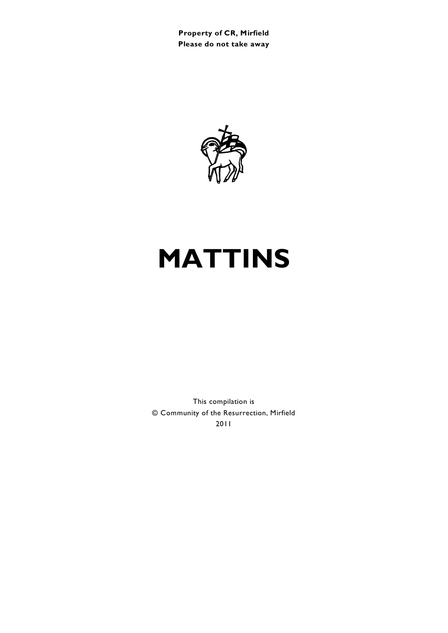**Property of CR, Mirfield Please do not take away**



# **MATTINS**

This compilation is © Community of the Resurrection, Mirfield 2011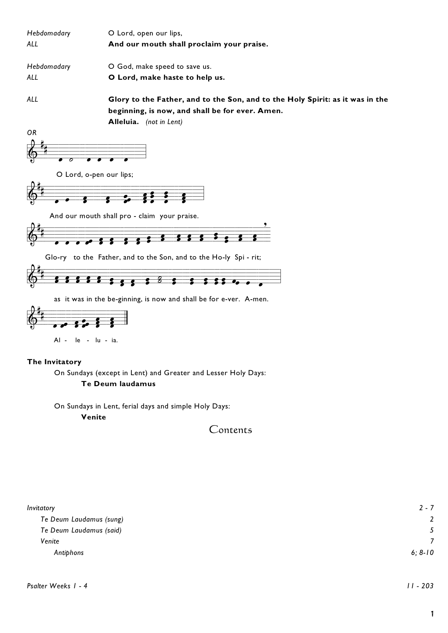



as it was in the be-ginning, is now and shall be for e-ver. A-men.



Al - le - lu - ia.

# **The Invitatory**

On Sundays (except in Lent) and Greater and Lesser Holy Days:

# **Te Deum laudamus**

On Sundays in Lent, ferial days and simple Holy Days: **Venite**

*Contents*

| $2 - 7$      |
|--------------|
| 2            |
| 5            |
| $\mathbf{7}$ |
| $6; 8-10$    |
|              |
|              |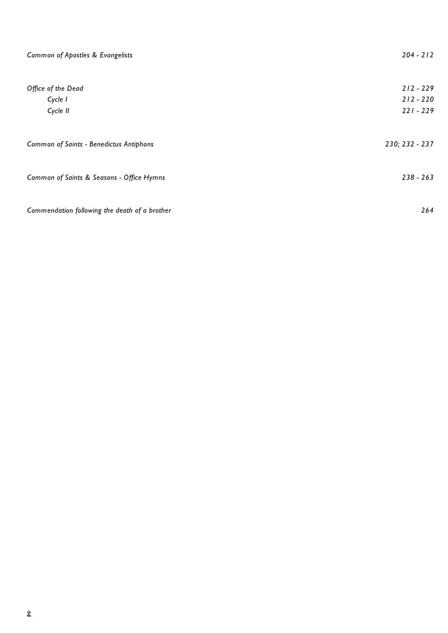| Common of Apostles & Evangelists              | $204 - 212$    |
|-----------------------------------------------|----------------|
|                                               |                |
| Office of the Dead                            | $212 - 229$    |
| Cycle I                                       | $212 - 220$    |
| Cycle II                                      | $221 - 229$    |
|                                               |                |
| Common of Saints - Benedictus Antiphons       | 230; 232 - 237 |
| Common of Saints & Seasons - Office Hymns     | $238 - 263$    |
| Commendation following the death of a brother | 264            |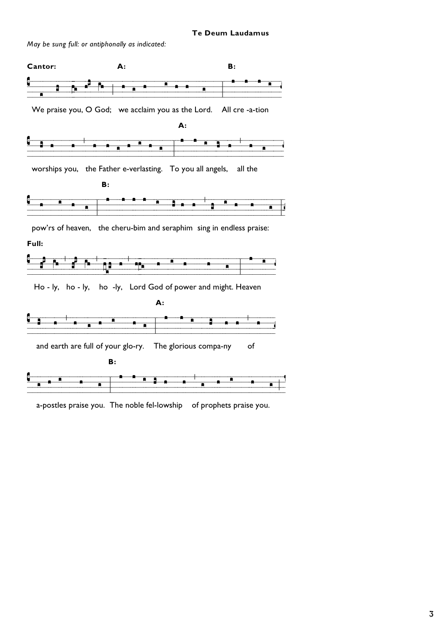#### **Te Deum Laudamus**

*May be sung full: or antiphonally as indicated:*



a-postles praise you. The noble fel-lowship of prophets praise you.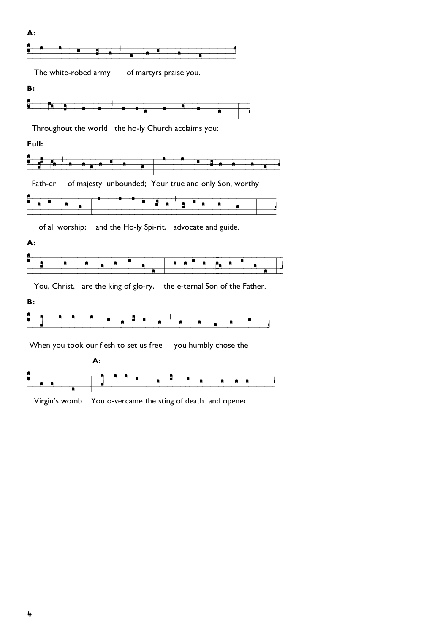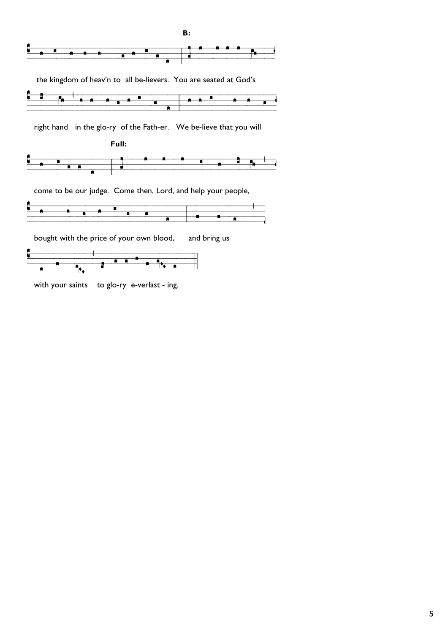

with your saints to glo-ry e-verlast - ing.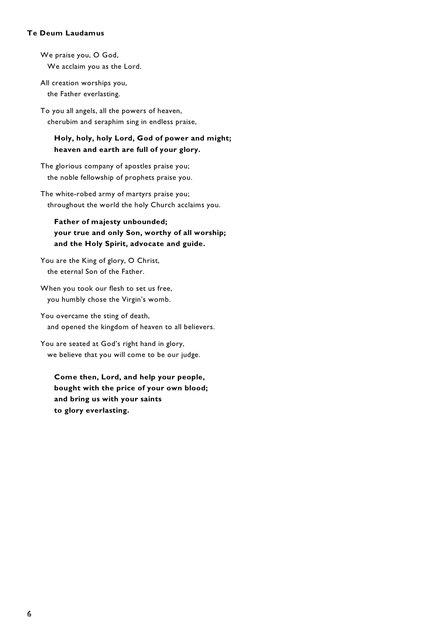# **Te Deum Laudamus**

We praise you, O God, We acclaim you as the Lord.

All creation worships you, the Father everlasting.

To you all angels, all the powers of heaven, cherubim and seraphim sing in endless praise,

# **Holy, holy, holy Lord, God of power and might; heaven and earth are full of your glory.**

The glorious company of apostles praise you; the noble fellowship of prophets praise you.

The white-robed army of martyrs praise you; throughout the world the holy Church acclaims you.

# **Father of majesty unbounded; your true and only Son, worthy of all worship; and the Holy Spirit, advocate and guide.**

You are the King of glory, O Christ, the eternal Son of the Father.

When you took our flesh to set us free, you humbly chose the Virgin's womb.

You overcame the sting of death, and opened the kingdom of heaven to all believers.

You are seated at God's right hand in glory, we believe that you will come to be our judge.

**Come then, Lord, and help your people, bought with the price of your own blood; and bring us with your saints to glory everlasting.**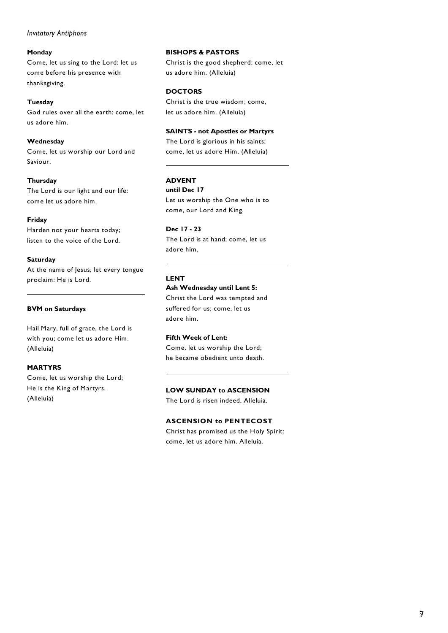#### *Invitatory Antiphons*

#### **Monday**

Come, let us sing to the Lord: let us come before his presence with thanksgiving.

# **Tuesday**

God rules over all the earth: come, let us adore him.

#### **Wednesday**

Come, let us worship our Lord and Saviour.

#### **Thursday**

The Lord is our light and our life: come let us adore him.

#### **Friday**

Harden not your hearts today; listen to the voice of the Lord.

#### **Saturday**

At the name of Jesus, let every tongue proclaim: He is Lord.

#### **BVM on Saturdays**

Hail Mary, full of grace, the Lord is with you; come let us adore Him. (Alleluia)

# **MARTYRS**

Come, let us worship the Lord; He is the King of Martyrs. (Alleluia)

## **BISHOPS & PASTORS**

Christ is the good shepherd; come, let us adore him. (Alleluia)

# **DOCTORS**

Christ is the true wisdom; come, let us adore him. (Alleluia)

# **SAINTS - not Apostles or Martyrs**

The Lord is glorious in his saints; come, let us adore Him. (Alleluia)

# **ADVENT**

**until Dec 17** Let us worship the One who is to come, our Lord and King.

# **Dec 17 - 23**

The Lord is at hand; come, let us adore him.

# **LENT**

# **Ash Wednesday until Lent 5:**

Christ the Lord was tempted and suffered for us; come, let us adore him.

#### **Fifth Week of Lent:**

Come, let us worship the Lord; he became obedient unto death.

# **LOW SUNDAY to ASCENSION**

The Lord is risen indeed, Alleluia.

# **ASCENSION to PENTECOST**

Christ has promised us the Holy Spirit: come, let us adore him. Alleluia.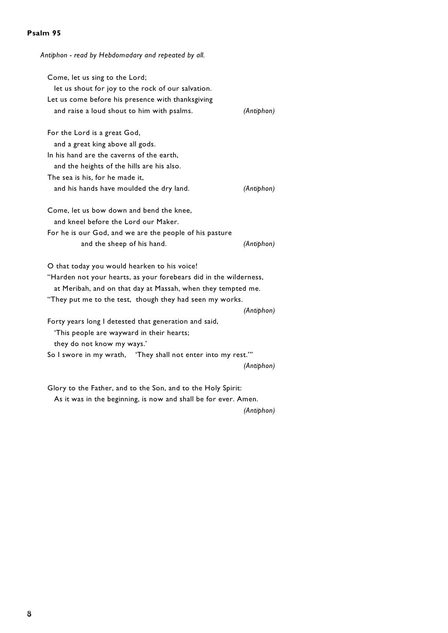# **Psalm 95**

*Antiphon - read by Hebdomadary and repeated by all.*

| Come, let us sing to the Lord;                                    |            |
|-------------------------------------------------------------------|------------|
| let us shout for joy to the rock of our salvation.                |            |
| Let us come before his presence with thanksgiving                 |            |
| and raise a loud shout to him with psalms.                        | (Antiphon) |
|                                                                   |            |
| For the Lord is a great God,                                      |            |
| and a great king above all gods.                                  |            |
| In his hand are the caverns of the earth,                         |            |
| and the heights of the hills are his also.                        |            |
| The sea is his, for he made it,                                   |            |
| and his hands have moulded the dry land.                          | (Antiphon) |
|                                                                   |            |
| Come, let us bow down and bend the knee,                          |            |
| and kneel before the Lord our Maker.                              |            |
| For he is our God, and we are the people of his pasture           |            |
| and the sheep of his hand.                                        | (Antiphon) |
| O that today you would hearken to his voice!                      |            |
| "Harden not your hearts, as your forebears did in the wilderness, |            |
| at Meribah, and on that day at Massah, when they tempted me.      |            |
| "They put me to the test, though they had seen my works.          |            |
|                                                                   | (Antiphon) |
| Forty years long I detested that generation and said,             |            |
| 'This people are wayward in their hearts;                         |            |
| they do not know my ways.'                                        |            |
| So I swore in my wrath, 'They shall not enter into my rest."      |            |
|                                                                   | (Antiphon) |
| Glory to the Father, and to the Son, and to the Holy Spirit:      |            |
|                                                                   |            |

As it was in the beginning, is now and shall be for ever. Amen.

*(Antiphon)*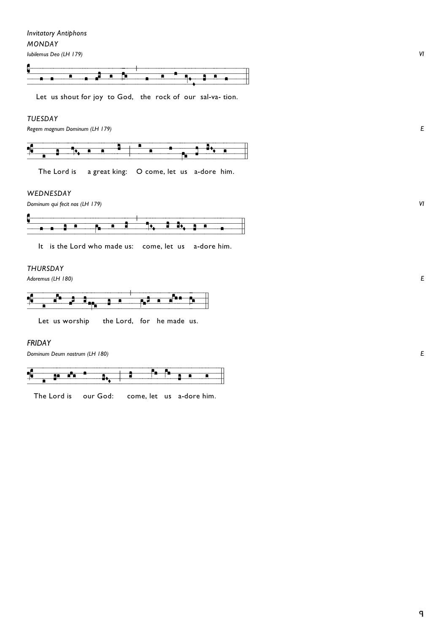*Invitatory Antiphons MONDAY*

*Iubilemus Deo (LH 179) VI*



Let us shout for joy to God, the rock of our sal-va- tion.

#### *TUESDAY*

*Regem magnum Dominum (LH 179) E*



The Lord is a great king: O come, let us a-dore him.

# *WEDNESDAY*

*Dominum qui fecit nos (LH 179) VI*



It is the Lord who made us: come, let us a-dore him.

# *THURSDAY*

*Adoremus (LH 180) E*



Let us worship the Lord, for he made us.

# *FRIDAY*

*Dominum Deum nostrum (LH 180) E*



The Lord is our God: come, let us a-dore him.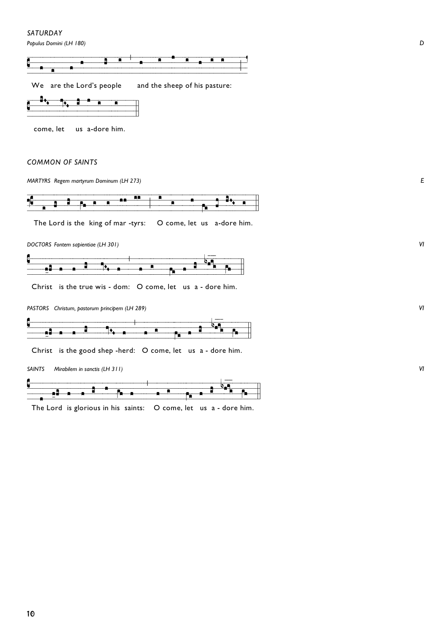*SATURDAY*





The Lord is glorious in his saints: O come, let us a - dore him.

10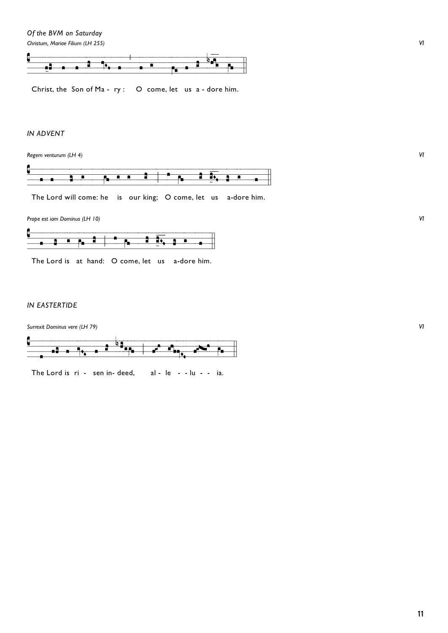*Of the BVM on Saturday Christum, Mariae Filium (LH 255) VI*



Christ, the Son of Ma - ry : O come, let us a - dore him.

# *IN ADVENT*

*Regem venturum (LH 4) VI*



The Lord will come: he is our king; O come, let us a-dore him.

*Prope est iam Dominus (LH 10) VI*



The Lord is at hand: O come, let us a-dore him.

### *IN EASTERTIDE*

*Surrexit Dominus vere (LH 79) VI*



The Lord is  $ri - sen in- deed$ ,  $al - le - lu - - ia$ .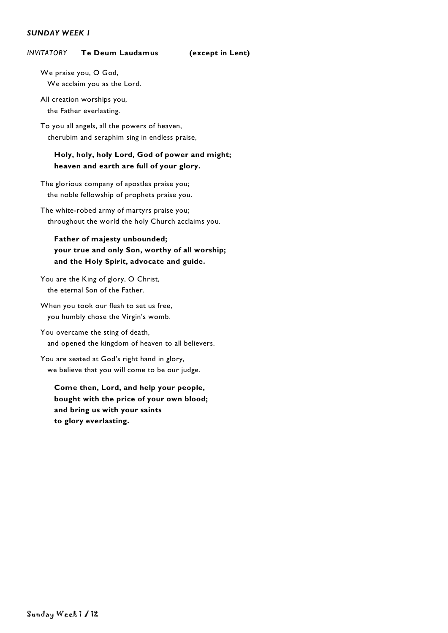# *SUNDAY WEEK 1*

# *INVITATORY* **Te Deum Laudamus (except in Lent)**

We praise you, O God, We acclaim you as the Lord.

All creation worships you, the Father everlasting.

To you all angels, all the powers of heaven, cherubim and seraphim sing in endless praise,

# **Holy, holy, holy Lord, God of power and might; heaven and earth are full of your glory.**

The glorious company of apostles praise you; the noble fellowship of prophets praise you.

The white-robed army of martyrs praise you; throughout the world the holy Church acclaims you.

# **Father of majesty unbounded; your true and only Son, worthy of all worship; and the Holy Spirit, advocate and guide.**

You are the King of glory, O Christ, the eternal Son of the Father.

When you took our flesh to set us free, you humbly chose the Virgin's womb.

You overcame the sting of death, and opened the kingdom of heaven to all believers.

You are seated at God's right hand in glory, we believe that you will come to be our judge.

**Come then, Lord, and help your people, bought with the price of your own blood; and bring us with your saints to glory everlasting.**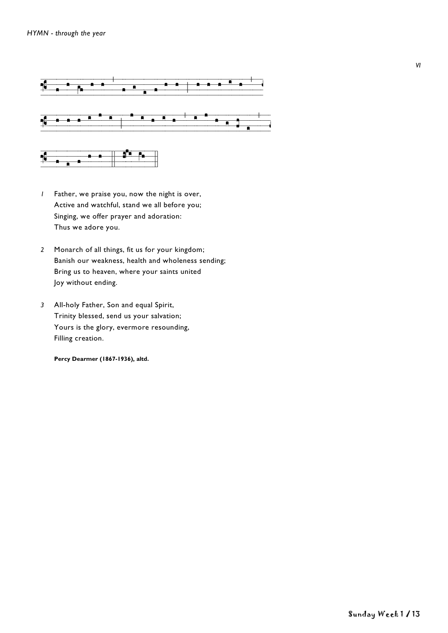

- *1* Father, we praise you, now the night is over, Active and watchful, stand we all before you; Singing, we offer prayer and adoration: Thus we adore you.
- *2* Monarch of all things, fit us for your kingdom; Banish our weakness, health and wholeness sending; Bring us to heaven, where your saints united Joy without ending.
- *3* All-holy Father, Son and equal Spirit, Trinity blessed, send us your salvation; Yours is the glory, evermore resounding, Filling creation.

**Percy Dearmer (1867-1936), altd.**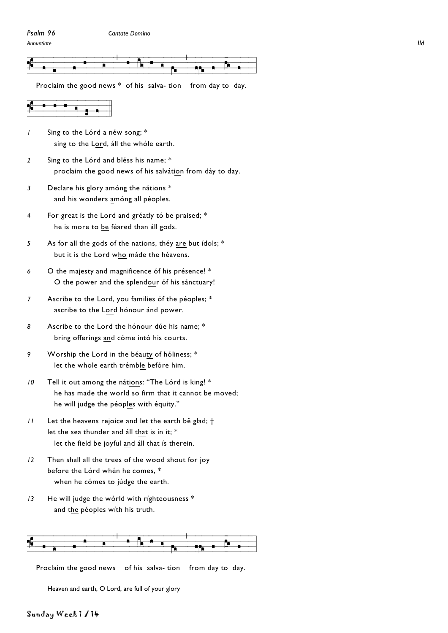

Proclaim the good news \* of his salva- tion from day to day.



- Sing to the Lórd a néw song; \*  $\overline{1}$ sing to the Lord, all the whole earth.
- $\overline{2}$ Sing to the Lórd and bléss his name; \* proclaim the good news of his salvátion from dáy to day.
- Declare his glory amóng the nátions \*  $\mathfrak{Z}$ and his wonders amóng all péoples.
- For great is the Lord and gréatly tó be praised; \*  $\overline{4}$ he is more to be féared than áll gods.
- As for all the gods of the nations, théy are but ídols; \* 5 but it is the Lord who máde the héavens.
- O the majesty and magnificence of his presence! \* 6 O the power and the splendour of his sanctuary!
- $\overline{7}$ Ascribe to the Lord, you families of the peoples; \* ascribe to the Lord hónour ánd power.
- 8 Ascribe to the Lord the hónour dúe his name; \* bring offerings and cóme intó his courts.
- 9 Worship the Lord in the béauty of hóliness; \* let the whole earth trémble befóre him.
- Tell it out among the nátions: "The Lórd is king! \*  $10$ he has made the world so firm that it cannot be moved; he will judge the péoples with équity."
- Let the heavens rejoice and let the earth bê glad; †  $\frac{1}{2}$ let the sea thunder and áll that is ín it; \* let the field be joyful and all that is therein.
- Then shall all the trees of the wood shout for joy  $12$ before the Lórd whén he comes, \* when he cómes to júdge the earth.
- $13$ He will judge the wórld with ríghteousness \* and the péoples with his truth.



Proclaim the good news of his salva- tion from day to day.

Heaven and earth, O Lord, are full of your glory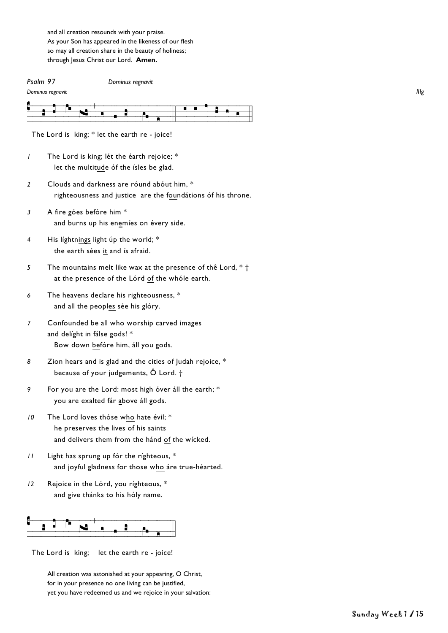and all creation resounds with your praise. As your Son has appeared in the likeness of our flesh so may all creation share in the beauty of holiness; through Jesus Christ our Lord. **Amen.**

| Psalm 97 | Dominus regnavit |  |
|----------|------------------|--|
|          |                  |  |

*Dominus regnavit IIIg*

BczGYcHIcvijcbÎhYvv[vvgcvfcGYcvvvtfczdcv}cjcjckcHUchcgc}

The Lord is king; \* let the earth re - joice!

- *1* The Lord is king; lét the éarth rejoice; \* let the multitude óf the ísles be glad.
- *2* Clouds and darkness are róund abóut him, \* righteousness and justice are the foundátions óf his throne.
- *3* A fire góes befóre him \* and burns up his enemíes on évery side.
- *4* His líghtnings light úp the world; \* the earth sées it and ís afraid.
- *5* The mountains melt like wax at the presence of thê Lord, \* † at the presence of the Lórd of the whóle earth.
- *6* The heavens declare his righteousness, \* and all the peoples sée his glóry.
- *7* Confounded be all who worship carved images and delíght in fálse gods! \* Bow down befóre him, áll you gods.
- *8* Zion hears and is glad and the cities of Judah rejoice, \* because of your judgements, Ô Lord. †
- *9* For you are the Lord: most high óver áll the earth; \* you are exalted fár above áll gods.
- *10* The Lord loves thóse who hate évil; \* he preserves the lives of his saints and delivers them from the hánd of the wícked.
- *11* Light has sprung up fór the ríghteous, \* and joyful gladness for those who áre true-héarted.
- *12* Rejoice in the Lórd, you ríghteous, \* and give thánks to his hóly name.



The Lord is king; let the earth re - joice!

All creation was astonished at your appearing, O Christ, for in your presence no one living can be justified, yet you have redeemed us and we rejoice in your salvation: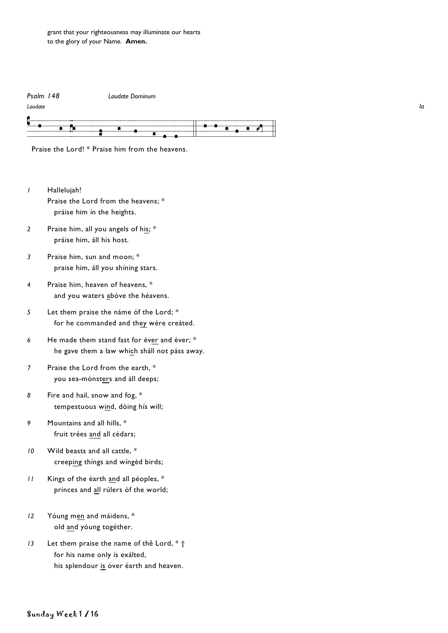

Praise the Lord! \* Praise him from the heavens.

- *1* Hallelujah! Praise the Lord from the heavens; \* práise him ín the heights.
- *2* Praise him, all you angels of his; \* práise him, áll his host.
- *3* Praise him, sun and moon; \* praise him, áll you shíning stars.
- *4* Praise him, heaven of heavens, \* and you waters abóve the héavens.
- *5* Let them praise the náme óf the Lord; \* for he commanded and they wére creáted.
- *6* He made them stand fast for éver and éver; \* he gave them a law which sháll not páss away.
- *7* Praise the Lord from the earth, \* you sea-mónsters and áll deeps;
- *8* Fire and hail, snow and fog, \* tempestuous wind, dóing hís will;
- *9* Mountains and all hills, \* fruit trées and all cédars;
- 10 Wild beasts and all cattle,  $*$ creeping thíngs and wíngèd birds;
- *11* Kings of the éarth and all péoples, \* princes and all rúlers óf the world;
- *12* Yóung men and máidens, \* old and yóung togéther.
- *13* Let them praise the name of thê Lord, \* † for his name only ís exálted, his splendour is óver éarth and heaven.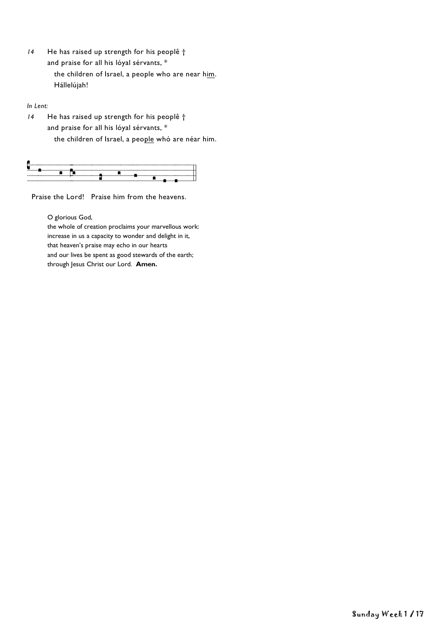*14* He has raised up strength for his peoplê † and praise for all his lóyal sérvants, \* the children of Israel, a people who are near him. Hállelújah!

# *In Lent:*

*14* He has raised up strength for his peoplê † and praise for all his lóyal sérvants, \* the children of Israel, a people whó are néar him.



Praise the Lord! Praise him from the heavens.

O glorious God,

the whole of creation proclaims your marvellous work: increase in us a capacity to wonder and delight in it, that heaven's praise may echo in our hearts and our lives be spent as good stewards of the earth; through Jesus Christ our Lord. **Amen.**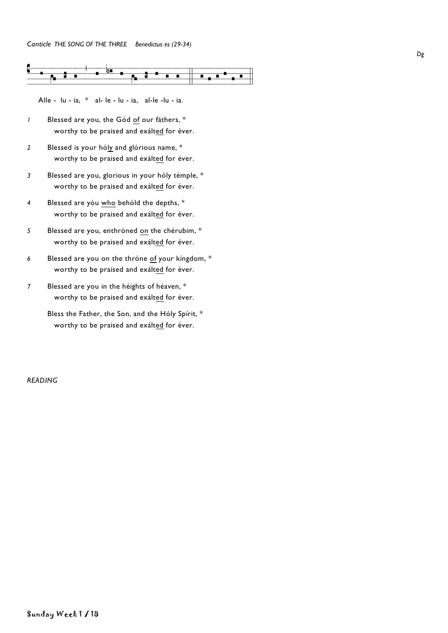



Alle - lu - ia, \* al- le - lu - ia, al-le -lu - ia.

- *1* Blessed are you, the Gód of our fáthers, \* worthy to be praised and exálted for éver.
- *2* Blessed is your hóly and glórious name, \* worthy to be praised and exálted for éver.
- *3* Blessed are you, glorious in your hóly témple, \* worthy to be praised and exálted for éver.
- *4* Blessed are yóu who behóld the depths, \* worthy to be praised and exálted for éver.
- *5* Blessed are you, enthróned on the chérubim, \* worthy to be praised and exálted for éver.
- *6* Blessed are you on the thróne of your kíngdom, \* worthy to be praised and exálted for éver.
- *7* Blessed are you in the héights of héaven, \* worthy to be praised and exálted for éver.
	- Bless the Father, the Son, and the Hóly Spírit, \* worthy to be praised and exálted for éver.

# *READING*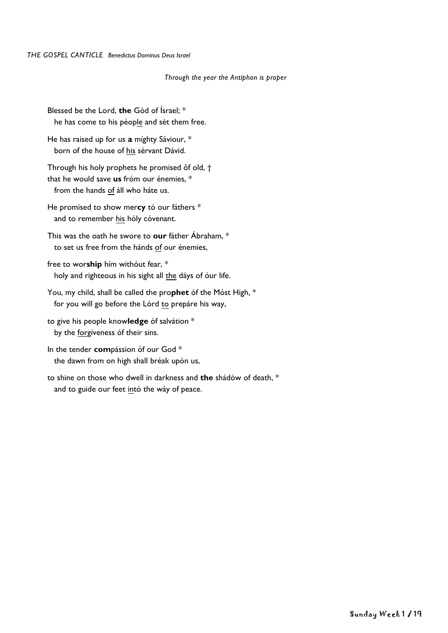#### *Through the year the Antiphon is proper*

Blessed be the Lord, **the** Gód of Ísrael; \* he has come to his péople and sét them free.

He has raised up for us **a** míghty Sáviour, \* born of the house of his sérvant Dávid.

Through his holy prophets he promised ôf old, † that he would save **us** fróm our énemies, \* from the hands of áll who háte us.

He promised to show mer**cy** tó our fáthers \* and to remember his hóly cóvenant.

This was the oath he swore to **our** fáther Ábraham, \* to set us free from the hánds of our énemies,

free to wor**ship** hím withóut fear, \* holy and righteous in his sight all the dáys of óur life.

- You, my child, shall be called the pro**phet** óf the Móst High, \* for you will go before the Lórd to prepáre his way,
- to give his people know**ledge** óf salvátion \* by the forgíveness óf their sins.

In the tender **com**pássion óf our God \* the dawn from on high shall bréak upón us,

to shine on those who dwell in darkness and **the** shádów of death, \* and to guide our feet intó the wáy of peace.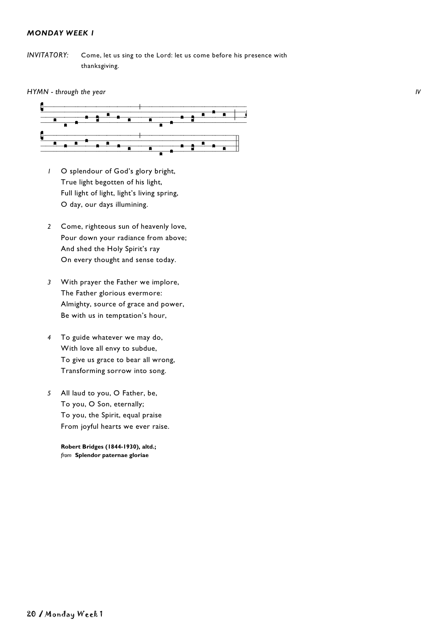# *MONDAY WEEK 1*

*INVITATORY:* Come, let us sing to the Lord: let us come before his presence with thanksgiving.

# *HYMN - through the year IV*



- *1* O splendour of God's glory bright, True light begotten of his light, Full light of light, light's living spring, O day, our days illumining.
- *2* Come, righteous sun of heavenly love, Pour down your radiance from above; And shed the Holy Spirit's ray On every thought and sense today.
- *3* With prayer the Father we implore, The Father glorious evermore: Almighty, source of grace and power, Be with us in temptation's hour,
- *4* To guide whatever we may do, With love all envy to subdue, To give us grace to bear all wrong, Transforming sorrow into song.
- *5* All laud to you, O Father, be, To you, O Son, eternally; To you, the Spirit, equal praise From joyful hearts we ever raise.

**Robert Bridges (1844-1930), altd.;** *from* **Splendor paternae gloriae**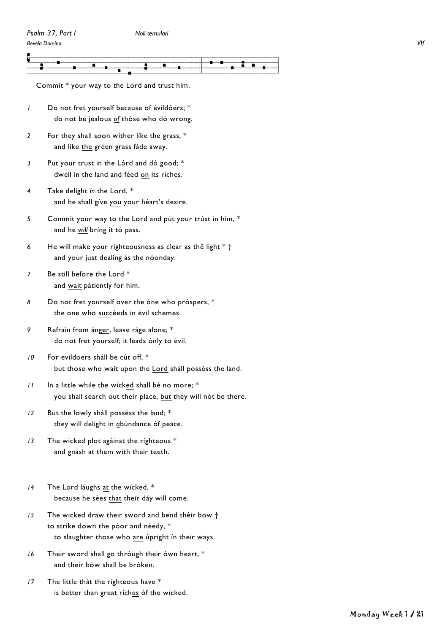| ____ | ______<br>______ | ____________<br>____<br>___ | _______<br>_____ | ______<br>________ |  |
|------|------------------|-----------------------------|------------------|--------------------|--|
|      |                  |                             |                  |                    |  |
|      | _______<br>____  | _________<br>----           |                  | _______<br>_____   |  |
|      |                  |                             |                  |                    |  |

Noli œmulari

Commit \* your way to the Lord and trust him.

- Do not fret yourself because of évildóers; \*  $\overline{1}$ do not be jealous of thóse who dó wrong.
- For they shall soon wither like the grass, \*  $\overline{\phantom{a}}$ and like the gréen grass fáde away.
- $\overline{3}$ Put your trust in the Lórd and dó good; \* dwell in the land and féed on its ríches.
- Take delight in the Lord, \*  $\overline{4}$ and he shall give you your héart's desire.
- Commit your way to the Lord and pút your trúst in him, \* 5 and he will bring it to pass.
- He will make your righteousness as clear as thê light  $*$   $\dagger$ 6 and your just dealing ás the nóonday.
- $\overline{7}$ Be still before the Lord \* and wait pátientlý for him.
- Do not fret yourself over the óne who próspers, \* 8 the one who succéeds in évil schemes.
- 9 Refrain from ánger, leave ráge alone; \* do not fret yourself; it leads ónly to évil.
- $10$ For evildoers sháll be cút off, \* but those who wait upon the Lord shall possess the land.
- $\frac{1}{2}$ In a little while the wicked shall bé no more; \* you shall search out their place, but théy will nót be there.
- But the lowly sháll posséss the land; \*  $12$ they will delight in *a*búndance óf peace.
- The wicked plot agáinst the ríghteous \*  $13$ and gnásh at them with their teeth.
- The Lord láughs at the wicked, \*  $\overline{14}$ because he sées that their dáy will come.
- The wicked draw their sword and bend thêir bow  $\dagger$  $15$ to strike down the póor and néedy, \* to slaughter those who are upright in their ways.
- Their sword shall go thróugh their ówn heart, \*  $16$ and their bów shall be bróken.
- The little thát the ríghteous have \*  $17$ is better than great riches of the wicked.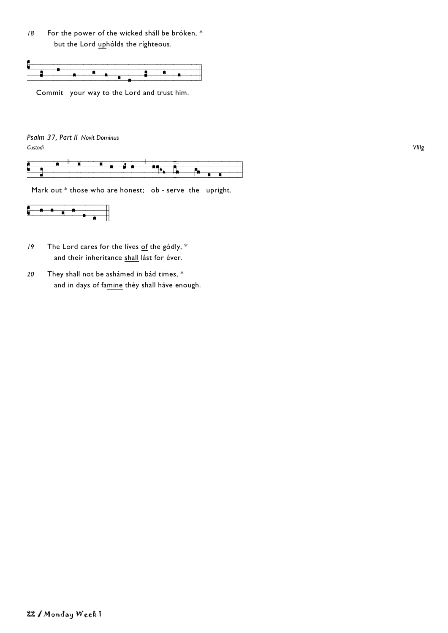For the power of the wicked sháll be bróken, \*  $18$ but the Lord uphólds the ríghteous.



Commit your way to the Lord and trust him.

# Psalm 37, Part II Novit Dominus Custodi

VIIIg



Mark out \* those who are honest; ob - serve the upright.



- The Lord cares for the lives of the gódly, \*  $19$ and their inheritance shall lást for éver.
- They shall not be ashámed in bád times, \* 20 and in days of famine théy shall háve enough.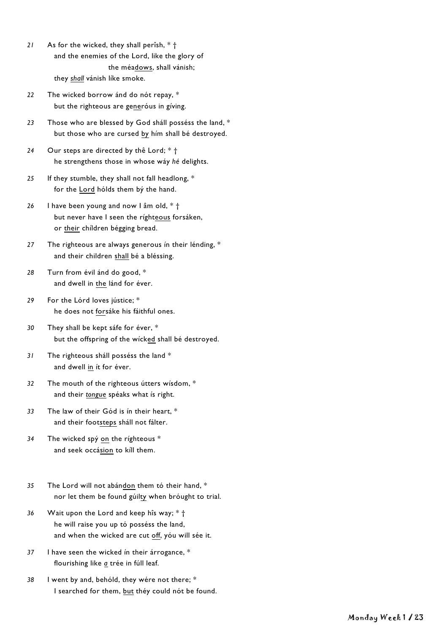- *21* As for the wicked, they shall perîsh, \* † and the enemies of the Lord, like the glory of the méadows, shall vánish; they *shall* vánish líke smoke.
- *22* The wicked borrow ánd do nót repay, \* but the righteous are generóus in gíving.
- *23* Those who are blessed by God sháll posséss the land, \* but those who are cursed by hím shall bé destroyed.
- *24* Our steps are directed by thê Lord; \* † he strengthens those in whose wáy *hé* delights.
- *25* If they stumble, they shall not fall headlong, \* for the Lord hólds them bý the hand.
- *26* I have been young and now I âm old, \* † but never have I seen the ríghteous forsáken, or their chíldren bégging bread.
- *27* The righteous are always generous ín their lénding, \* and their children shall bé a bléssing.
- *28* Turn from évil ánd do good, \* and dwell in the lánd for éver.
- *29* For the Lórd loves jústice; \* he does not forsáke his fáithful ones.
- *30* They shall be kept sáfe for éver, \* but the offspring of the wícked shall bé destroyed.
- *31* The righteous sháll posséss the land \* and dwell in ít for éver.
- *32* The mouth of the righteous útters wísdom, \* and their *tongue* spéaks what ís right.
- *33* The law of their Gód is ín their heart, \* and their footsteps sháll not fálter.
- *34* The wicked spý on the ríghteous \* and seek occásion to kíll them.
- *35* The Lord will not abándon them tó their hand, \* nor let them be found gúilty when bróught to trial.
- *36* Wait upon the Lord and keep hîs way; \* † he will raise you up tó posséss the land, and when the wicked are cut off, yóu will sée it.
- *37* I have seen the wicked ín their árrogance, \* flourishing like *a* trée in fúll leaf.
- *38* I went by and, behóld, they wére not there; \* I searched for them, but théy could nót be found.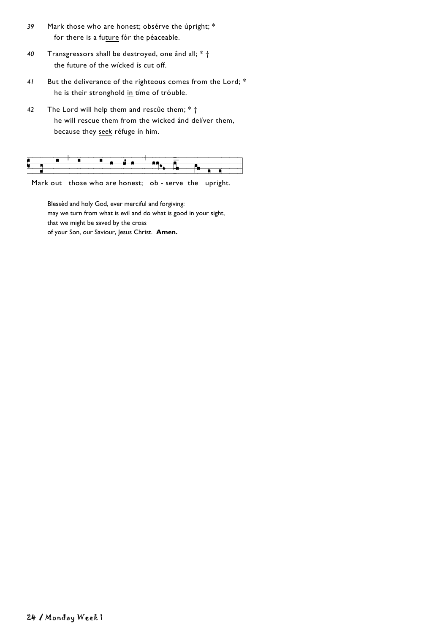- Mark those who are honest; obsérve the úpright; \* 39 for there is a future fór the péaceable.
- Transgressors shall be destroyed, one and all; \* + 40 the future of the wicked is cut off.
- But the deliverance of the righteous comes from the Lord; \*  $41$ he is their stronghold in time of trouble.
- 42 The Lord will help them and rescûe them;  $*$   $\dagger$ he will rescue them from the wicked and deliver them, because they seek réfuge ín him.



Mark out those who are honest; ob - serve the upright.

Blessèd and holy God, ever merciful and forgiving: may we turn from what is evil and do what is good in your sight, that we might be saved by the cross of your Son, our Saviour, Jesus Christ. Amen.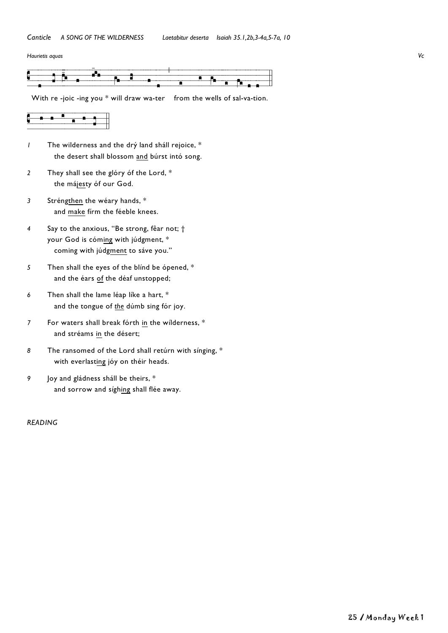Haurietis aquas



With re-joic-ing you \* will draw wa-ter from the wells of sal-va-tion.



- The wilderness and the drý land sháll rejoice, \*  $\overline{1}$ the desert shall blossom and búrst intó song.
- They shall see the glóry óf the Lord, \*  $\overline{2}$ the májesty óf our God.
- $\mathfrak{Z}$ Stréngthen the wéary hands, \* and make fírm the féeble knees.
- Say to the anxious, "Be strong, fêar not; †  $\overline{4}$ your God is cóming with júdgment, \* coming with júdgment to sáve you."
- $\sqrt{5}$ Then shall the eyes of the blind be opened, \* and the éars of the déaf unstopped;
- Then shall the lame léap líke a hart, \*  $\pmb{6}$ and the tongue of the dúmb sing fór joy.
- For waters shall break fórth in the wilderness, \*  $\overline{7}$ and stréams in the désert;
- The ransomed of the Lord shall return with singing, \* 8 with everlasting jóy on théir heads.
- Joy and gládness sháll be theirs, \* 9 and sorrow and síghing shall flée away.

**READING**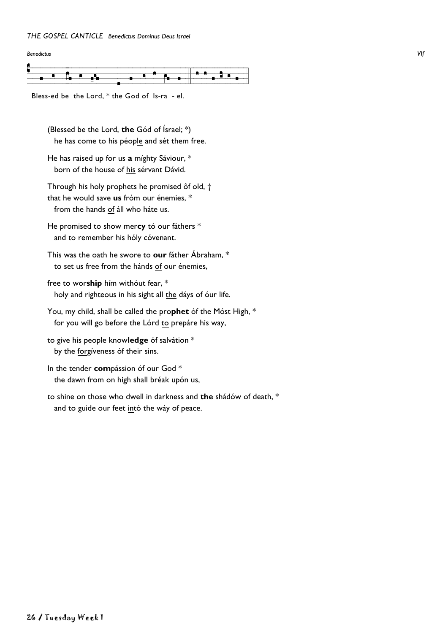#### *THE GOSPEL CANTICLE Benedictus Dominus Deus Israel*

*Benedictus VIf*



Bless-ed be the Lord, \* the God of Is-ra - el.

(Blessed be the Lord, **the** Gód of Ísrael; \*) he has come to his péople and sét them free.

He has raised up for us **a** míghty Sáviour, \* born of the house of his sérvant Dávid.

Through his holy prophets he promised ôf old, † that he would save **us** fróm our énemies, \* from the hands of áll who háte us.

He promised to show mer**cy** tó our fáthers \* and to remember his hóly cóvenant.

This was the oath he swore to **our** fáther Ábraham, \* to set us free from the hánds of our énemies,

- free to wor**ship** hím withóut fear, \* holy and righteous in his sight all the dáys of óur life.
- You, my child, shall be called the pro**phet** óf the Móst High, \* for you will go before the Lórd to prepáre his way,

```
to give his people knowledge óf salvátion *
by the forgíveness óf their sins.
```
- In the tender **com**pássion óf our God \* the dawn from on high shall bréak upón us,
- to shine on those who dwell in darkness and **the** shádów of death, \* and to guide our feet intó the wáy of peace.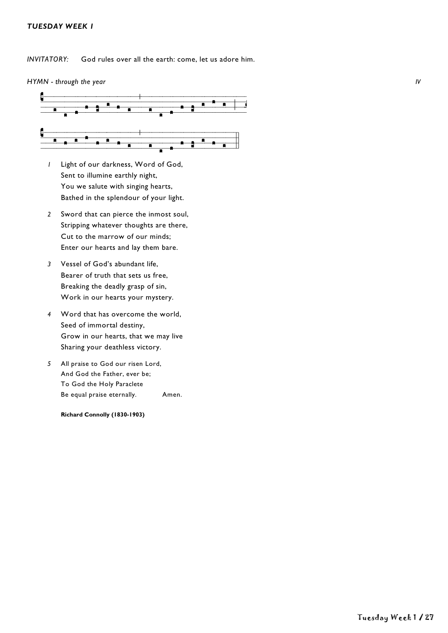#### *INVITATORY:* God rules over all the earth: come, let us adore him.





- *1* Light of our darkness, Word of God, Sent to illumine earthly night, You we salute with singing hearts, Bathed in the splendour of your light.
- *2* Sword that can pierce the inmost soul, Stripping whatever thoughts are there, Cut to the marrow of our minds; Enter our hearts and lay them bare.
- *3* Vessel of God's abundant life, Bearer of truth that sets us free, Breaking the deadly grasp of sin, Work in our hearts your mystery.
- *4* Word that has overcome the world, Seed of immortal destiny, Grow in our hearts, that we may live Sharing your deathless victory.
- *5* All praise to God our risen Lord, And God the Father, ever be; To God the Holy Paraclete Be equal praise eternally. Amen.

**Richard Connolly (1830-1903)**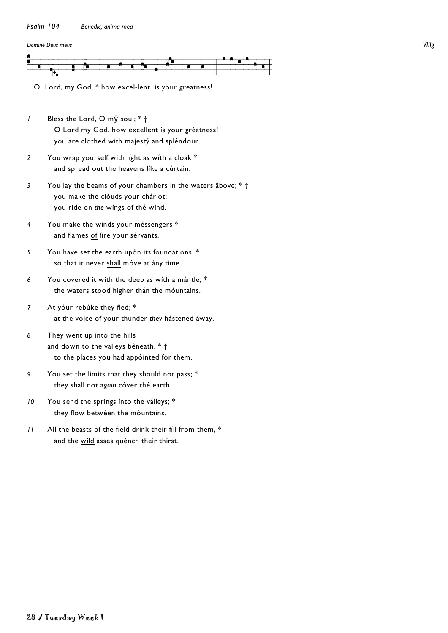# *Psalm 104 Benedic, anima mea*

| Domine Deus meus                                                                                                                                      | VIIIg |
|-------------------------------------------------------------------------------------------------------------------------------------------------------|-------|
| m<br>Т                                                                                                                                                |       |
| O Lord, my God, * how excel-lent is your greatness!                                                                                                   |       |
| Bless the Lord, O mŷ soul; $*$ $\dagger$<br>$\overline{1}$                                                                                            |       |
| O Lord my God, how excellent is your gréatness!<br>you are clothed with majestý and spléndour.                                                        |       |
| You wrap yourself with light as with a cloak *<br>$\overline{2}$<br>and spread out the heavens líke a cúrtain.                                        |       |
| You lay the beams of your chambers in the waters âbove; $*$ $\dagger$<br>3<br>you make the clóuds your cháriot;<br>you ride on the wings of the wind. |       |
| You make the winds your méssengers *<br>4<br>and flames of fíre your sérvants.                                                                        |       |
| You have set the earth upón its foundátions, *<br>5<br>so that it never shall móve at ány time.                                                       |       |
| You covered it with the deep as with a mántle; *<br>6<br>the waters stood higher thán the móuntains.                                                  |       |
| At yóur rebúke they fled; *<br>7<br>at the voice of your thunder they hástened áway.                                                                  |       |
| They went up into the hills<br>8<br>and down to the valleys bêneath, $*$ $\dagger$<br>to the places you had appóinted fór them.                       |       |
| You set the limits that they should not pass; *<br>9<br>they shall not again cóver thé earth.                                                         |       |
| You send the springs into the valleys; *<br>10<br>they flow betwéen the móuntains.                                                                    |       |

*11* All the beasts of the field drínk their fíll from them, \* and the wild ásses quénch their thirst.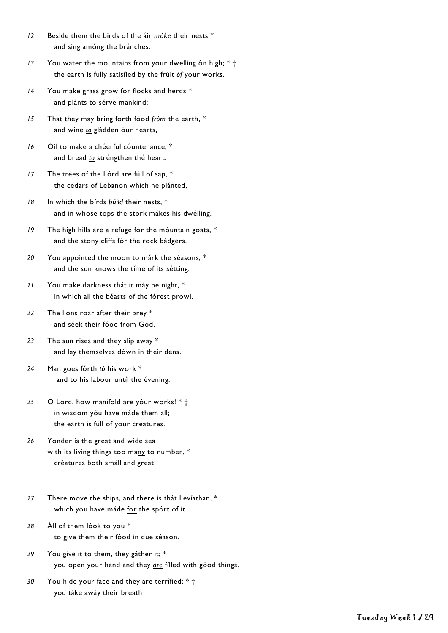- *12* Beside them the birds of the áir *máke* their nests \* and sing amóng the bránches.
- *13* You water the mountains from your dwelling ôn high; \* † the earth is fully satisfied by the frúit *óf* your works.
- *14* You make grass grow for flocks and herds \* and plánts to sérve mankind;
- *15* That they may bring forth fóod *fróm* the earth, \* and wine *to* gládden óur hearts,
- *16* Oil to make a chéerful cóuntenance, \* and bread *to* stréngthen thé heart.
- *17* The trees of the Lórd are fúll of sap, \* the cedars of Lebanon whích he plánted,
- *18* In which the bírds *búild* their nests, \* and in whose tops the stork mákes his dwélling.
- *19* The high hills are a refuge fór the móuntain goats, \* and the stony cliffs fór the rock bádgers.
- *20* You appointed the moon to márk the séasons, \* and the sun knows the tíme of its sétting.
- *21* You make darkness thát it máy be night, \* in which all the béasts of the fórest prowl.
- *22* The lions roar after their prey \* and séek their fóod from God.
- *23* The sun rises and they slip away \* and lay themselves dówn in théir dens.
- *24* Man goes fórth *tó* his work \* and to his labour untíl the évening.
- *25* O Lord, how manifold are yôur works! \* † in wisdom yóu have máde them all; the earth is fúll of your créatures.
- *26* Yonder is the great and wide sea with its living things too mány to númber, \* créatures both smáll and great.
- *27* There move the ships, and there is thát Levíathan, \* which you have máde for the spórt of it.
- *28* Áll of them lóok to you \* to give them their fóod in due séason.
- *29* You give it to thém, they gáther it; \* you open your hand and they *are* fílled with góod things.
- *30* You hide your face and they are terrîfied; \* † you táke awáy their breath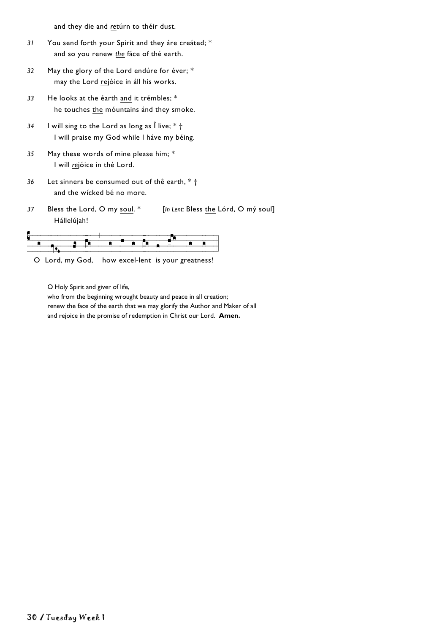and they die and retúrn to théir dust.

- $31$ You send forth your Spirit and they are created; \* and so you renew the fáce of thé earth.
- May the glory of the Lord endúre for éver; \* 32 may the Lord rejóice in áll his works.
- He looks at the éarth and it trémbles; \* 33 he touches the móuntains ánd they smoke.
- I will sing to the Lord as long as  $\hat{I}$  live;  $*$   $\dagger$ 34 I will praise my God while I háve my béing.
- May these words of mine please him; \* 35 I will rejóice in thé Lord.
- Let sinners be consumed out of thê earth, \* + 36 and the wicked bé no more.
- Bless the Lord, O my soul. \* [In Lent: Bless the Lórd, O mý soul] 37 Hállelújah!



O Lord, my God, how excel-lent is your greatness!

O Holy Spirit and giver of life,

who from the beginning wrought beauty and peace in all creation; renew the face of the earth that we may glorify the Author and Maker of all and rejoice in the promise of redemption in Christ our Lord. Amen.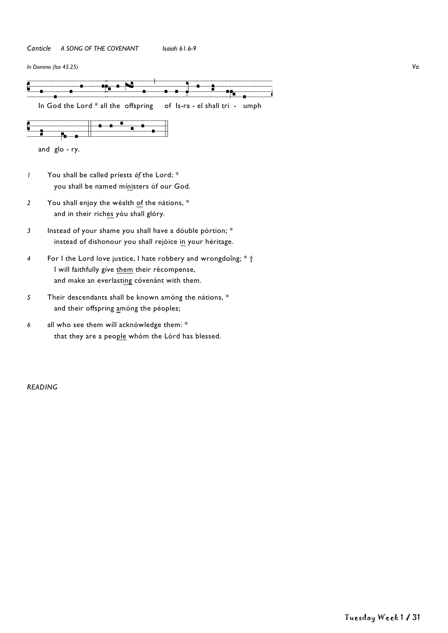#### Canticle A SONG OF THE COVENANT Isaiah 61.6-9

In Domino (Isa 45.25)



and glo - ry.

- You shall be called priests of the Lord; \*  $\overline{1}$ you shall be named ministers of our God.
- You shall enjoy the wéalth of the nátions, \*  $\overline{2}$ and in their riches you shall glory.
- Instead of your shame you shall have a dóuble pórtion; \*  $\boldsymbol{\mathfrak{Z}}$ instead of dishonour you shall rejóice in your héritage.
- For I the Lord love justice, I hate robbery and wrongdoing; \* +  $\overline{\mathcal{A}}$ I will faithfully give them their récompense, and make an everlasting cóvenánt with them.
- Their descendants shall be known amóng the nátions, \*  $\sqrt{5}$ and their offspring amóng the péoples;
- all who see them will acknówledge them: \*  $\pmb{\epsilon}$ that they are a people whóm the Lórd has blessed.

**READING**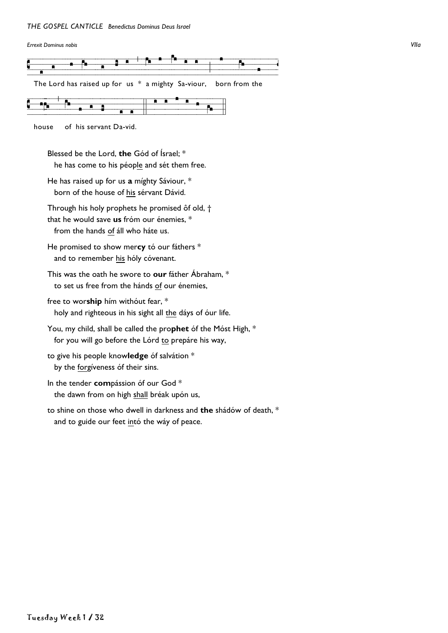## *THE GOSPEL CANTICLE Benedictus Dominus Deus Israel*

# *Errexit Dominus nobis VIIa*



The Lord has raised up for us  $*$  a mighty Sa-viour, born from the



house of his servant Da-vid.

Blessed be the Lord, **the** Gód of Ísrael; \* he has come to his péople and sét them free.

He has raised up for us **a** míghty Sáviour, \* born of the house of his sérvant Dávid.

Through his holy prophets he promised ôf old, † that he would save **us** fróm our énemies, \* from the hands of áll who háte us.

He promised to show mer**cy** tó our fáthers \* and to remember his hóly cóvenant.

This was the oath he swore to **our** fáther Ábraham, \* to set us free from the hánds of our énemies,

free to wor**ship** hím withóut fear, \*

holy and righteous in his sight all the dáys of óur life.

You, my child, shall be called the pro**phet** óf the Móst High, \* for you will go before the Lórd to prepáre his way,

to give his people know**ledge** óf salvátion \* by the forgíveness óf their sins.

- In the tender **com**pássion óf our God \* the dawn from on high shall bréak upón us,
- to shine on those who dwell in darkness and **the** shádów of death, \* and to guide our feet intó the wáy of peace.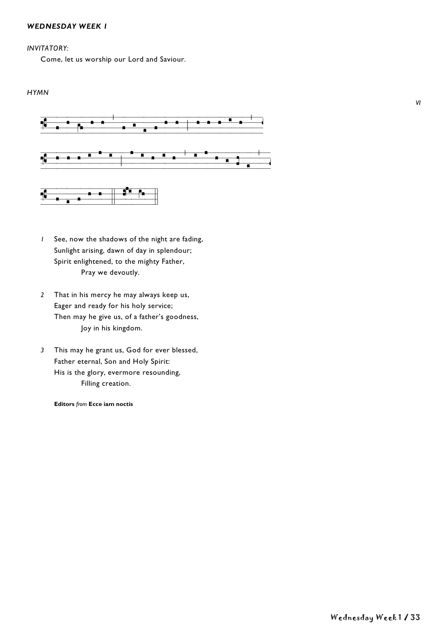# *INVITATORY:*

Come, let us worship our Lord and Saviour.

# *HYMN*



- *1* See, now the shadows of the night are fading, Sunlight arising, dawn of day in splendour; Spirit enlightened, to the mighty Father, Pray we devoutly.
- *2* That in his mercy he may always keep us, Eager and ready for his holy service; Then may he give us, of a father's goodness, Joy in his kingdom.
- *3* This may he grant us, God for ever blessed, Father eternal, Son and Holy Spirit: His is the glory, evermore resounding, Filling creation.

**Editors** *from* **Ecce iam noctis**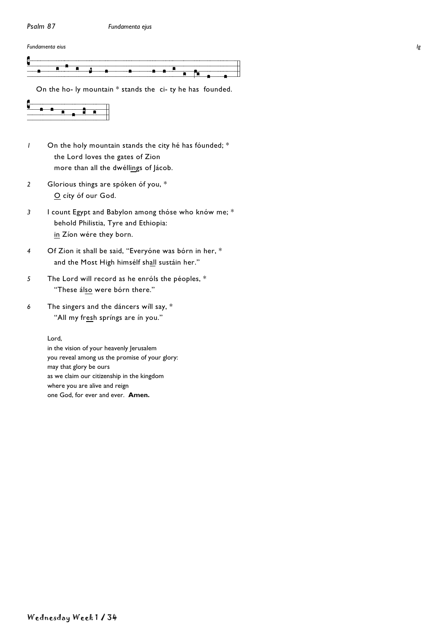# *Psalm 87 Fundamenta ejus*

*Fundamenta eius Ig* e<br>Bo<sup>v</sup>fcc victor for the set of the set of the set of the set of the set of the set of the set of the set of the set of the set of the set of the set of the set of the set of the set of the set of the set of the set of th

On the ho- ly mountain \* stands the ci- ty he has founded.



- *1* On the holy mountain stands the city hé has fóunded; \* the Lord loves the gates of Zion more than all the dwéllings of Jácob.
- *2* Glorious things are spóken óf you, \* O cíty óf our God.
- *3* I count Egypt and Babylon among thóse who knów me; \* behold Philistia, Tyre and Ethiopia: in Zíon wére they born.
- *4* Of Zion it shall be said, "Everyóne was bórn in her, \* and the Most High himsélf shall sustáin her."
- *5* The Lord will record as he enróls the péoples, \* "These álso were bórn there."
- *6* The singers and the dáncers wíll say, \* "All my fresh spríngs are ín you."

#### Lord,

in the vision of your heavenly Jerusalem you reveal among us the promise of your glory: may that glory be ours as we claim our citizenship in the kingdom where you are alive and reign one God, for ever and ever. **Amen.**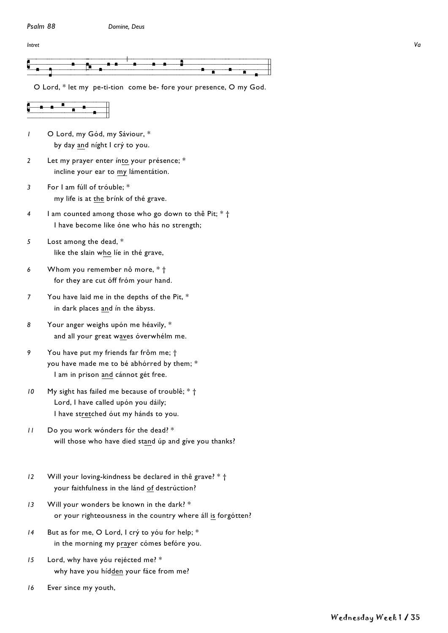O Lord, \* let my pe-ti-tion come be- fore your presence, O my God.



Intret

- O Lord, my Gód, my Sáviour, \*  $\overline{1}$ by day and níght I crý to you.
- $\overline{2}$ Let my prayer enter ínto your présence; \* incline your ear to my lámentátion.
- For I am fúll of tróuble; \*  $\mathfrak{Z}$ my life is at the brink of the grave.
- I am counted among those who go down to thê Pit; \* +  $\overline{4}$ I have become like óne who hás no strength;
- Lost among the dead, \* 5 like the slain who líe in thé grave,
- Whom you remember nô more, \* + 6 for they are cut off from your hand.
- You have laid me in the depths of the Pit, \*  $\overline{7}$ in dark places and in the abyss.
- Your anger weighs upón me héavily, \* 8 and all your great waves óverwhélm me.
- You have put my friends far frôm me; † 9 you have made me to bé abhórred by them; \* I am in prison and cánnot gét free.
- $10$ My sight has failed me because of trouble;  $*$   $\dagger$ Lord, I have called upón you dáily; I have stretched out my hands to you.
- $\frac{1}{2}$ Do you work wónders fór the dead? \* will those who have died stand up and give you thanks?
- $12$ Will your loving-kindness be declared in thê grave? \* + your faithfulness in the lánd of destrúction?
- $13$ Will your wonders be known in the dark? \* or your righteousness in the country where all is forgotten?
- $\overline{14}$ But as for me, O Lord, I crý to yóu for help; \* in the morning my prayer cómes befóre you.
- Lord, why have yóu rejécted me? \*  $15$ why have you hídden your fáce from me?
- Ever since my youth,  $16$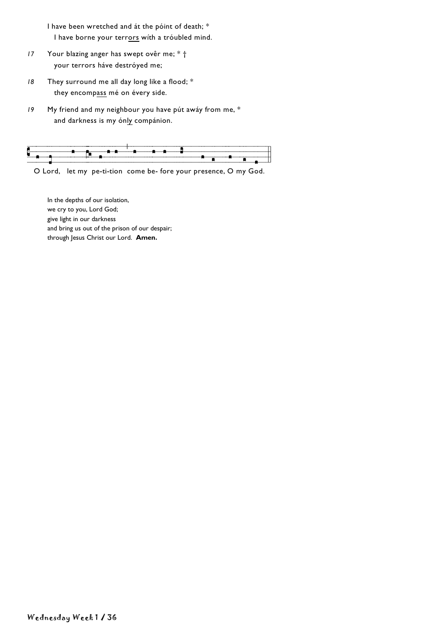I have been wretched and át the póint of death; \* I have borne your terrors wíth a tróubled mind.

- *17* Your blazing anger has swept ovêr me; \* † your terrors háve destróyed me;
- 18 They surround me all day long like a flood;  $*$ they encompass mé on évery side.
- *19* My friend and my neighbour you have pút awáy from me, \* and darkness is my ónly compánion.



In the depths of our isolation, we cry to you, Lord God; give light in our darkness and bring us out of the prison of our despair; through Jesus Christ our Lord. **Amen.**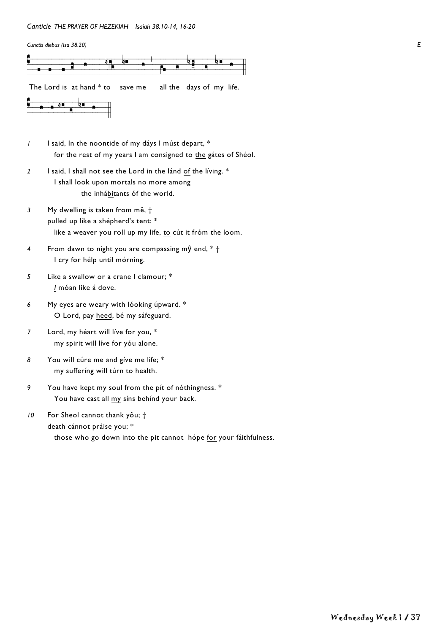*Cunctis diebus (Isa 38.20) E*



The Lord is at hand  $*$  to save me all the days of my life.



- *1* I said, In the noontide of my dáys I múst depart, \* for the rest of my years I am consigned to the gátes of Shéol.
- *2* I said, I shall not see the Lord in the lánd of the líving. \* I shall look upon mortals no more among the inhábitants óf the world.
- *3* My dwelling is taken from mê, † pulled up líke a shépherd's tent: \* like a weaver you roll up my life, to cút it fróm the loom.
- 4 From dawn to night you are compassing mŷ end,  $*$   $\dagger$ I cry for hélp until mórning.
- *5* Like a swallow or a crane I clamour; \* *I* móan like á dove.
- *6* My eyes are weary with lóoking úpward. \* O Lord, pay heed, bé my sáfeguard.
- *7* Lord, my héart will líve for you, \* my spirit will líve for yóu alone.
- *8* You will cúre me and gíve me life; \* my sufferíng will túrn to health.
- *9* You have kept my soul from the pít of nóthingness. \* You have cast all my síns behínd your back.
- *10* For Sheol cannot thank yôu; † death cánnot práise you; \* those who go down into the pit cannot hópe for your fáithfulness.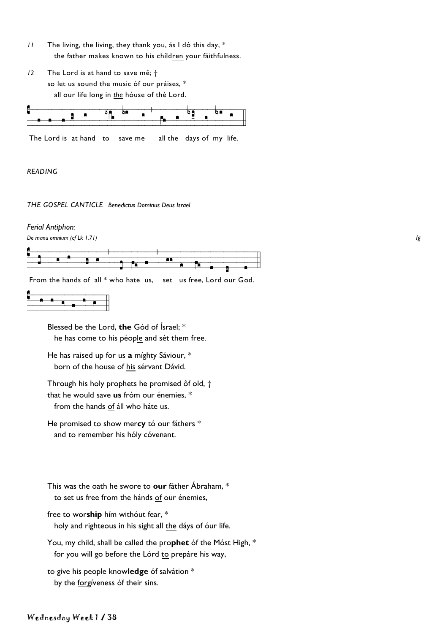- *11* The living, the living, they thank you, ás I dó this day, \* the father makes known to his chíldren your fáithfulness.
- *12* The Lord is at hand to save mê; † so let us sound the music óf our práises, \* all our life long in *the* hóuse of thé Lord.



The Lord is at hand to save me all the days of my life.

## *READING*

# *THE GOSPEL CANTICLE Benedictus Dominus Deus Israel*

#### *Ferial Antiphon:*

*De manu omnium (cf Lk 1.71) Ig*



From the hands of all \* who hate us, set us free, Lord our God.



Blessed be the Lord, **the** Gód of Ísrael; \* he has come to his péople and sét them free.

He has raised up for us **a** míghty Sáviour, \* born of the house of his sérvant Dávid.

Through his holy prophets he promised ôf old, † that he would save **us** fróm our énemies, \* from the hands of áll who háte us.

He promised to show mer**cy** tó our fáthers \* and to remember his hóly cóvenant.

This was the oath he swore to **our** fáther Ábraham, \* to set us free from the hánds of our énemies,

free to wor**ship** hím withóut fear, \* holy and righteous in his sight all the dáys of óur life.

You, my child, shall be called the pro**phet** óf the Móst High, \* for you will go before the Lórd to prepáre his way,

to give his people know**ledge** óf salvátion \* by the forgíveness óf their sins.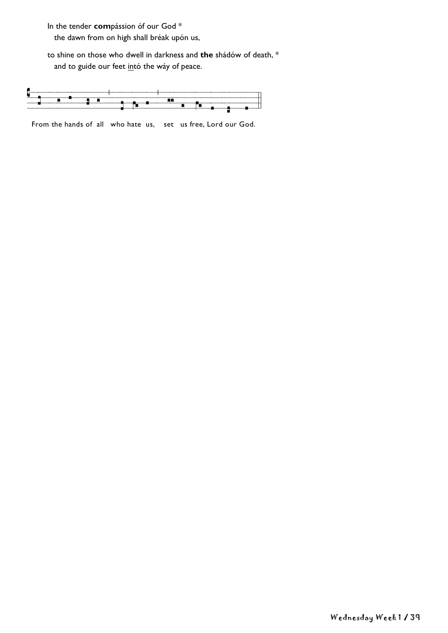In the tender compássion óf our God<sup>\*</sup>

the dawn from on high shall bréak upón us,

to shine on those who dwell in darkness and the shádów of death, \* and to guide our feet intó the wáy of peace.



From the hands of all who hate us, set us free, Lord our God.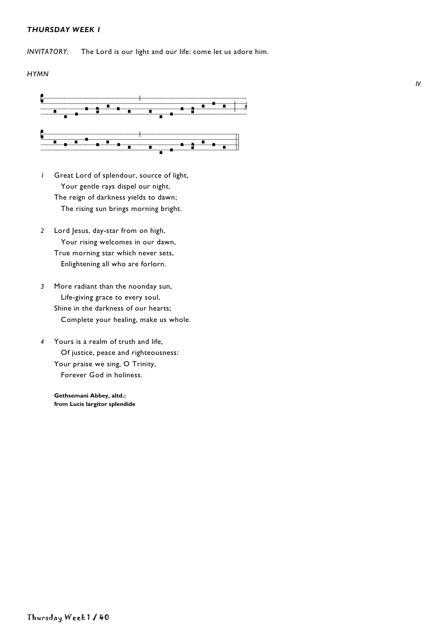# *THURSDAY WEEK 1*

*INVITATORY:* The Lord is our light and our life: come let us adore him.

# *HYMN*



- *1* Great Lord of splendour, source of light, Your gentle rays dispel our night. The reign of darkness yields to dawn; The rising sun brings morning bright.
- *2* Lord Jesus, day-star from on high, Your rising welcomes in our dawn, True morning star which never sets, Enlightening all who are forlorn.
- *3* More radiant than the noonday sun, Life-giving grace to every soul, Shine in the darkness of our hearts; Complete your healing, make us whole.
- *4* Yours is a realm of truth and life, Of justice, peace and righteousness: Your praise we sing, O Trinity, Forever God in holiness.

**Gethsemani Abbey, altd.: from Lucis largitor splendide** *IV*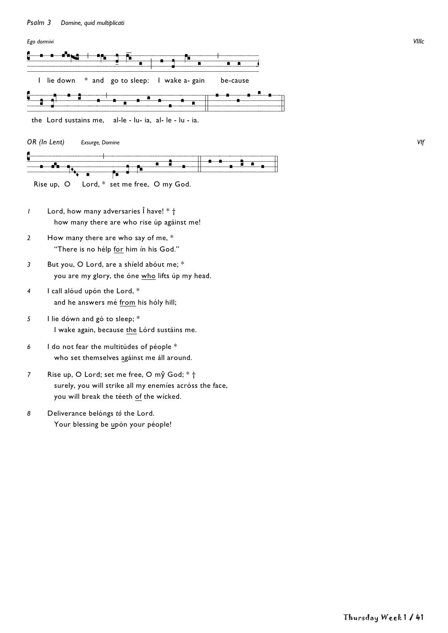#### Psalm 3 Domine, quid multiplicati

#### Ego dormivi



OR (In Lent)

Exsurge, Domine





- Lord, how many adversaries  $\hat{I}$  have! \*  $\dagger$  $\overline{1}$ how many there are who rise úp agáinst me!
- How many there are who say of me, \*  $\overline{2}$ "There is no hélp for him in his God."
- $\mathfrak{Z}$ But you, O Lord, are a shíeld abóut me; \* you are my glory, the óne who lifts úp my head.
- $\overline{\mathcal{L}}$ I call alóud upón the Lord, \* and he answers mé from his hóly hill;
- $\overline{5}$ I lie dówn and gó to sleep; \* I wake again, because the Lórd sustáins me.
- 6 I do not fear the multitúdes of péople \* who set themselves agáinst me áll around.
- Rise up, O Lord; set me free, O mŷ God; \* +  $\overline{7}$ surely, you will strike all my enemies across the face, you will break the téeth of the wicked.
- Deliverance belóngs tó the Lord. 8 Your blessing be upón your péople!

VIIIc

VIf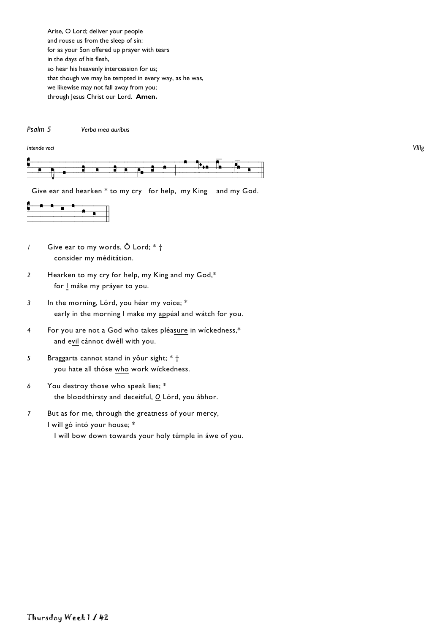Arise, O Lord; deliver your people and rouse us from the sleep of sin: for as your Son offered up prayer with tears in the days of his flesh, so hear his heavenly intercession for us; that though we may be tempted in every way, as he was, we likewise may not fall away from you; through Jesus Christ our Lord. **Amen.**

# *Psalm 5 Verba mea auribus*

#### *Intende voci VIIIg*



Give ear and hearken \* to my cry for help, my King and my God.



- *1* Give ear to my words, Ô Lord; \* † consider my méditátion.
- *2* Hearken to my cry for help, my King and my God,\* for I máke my práyer to you.
- *3* In the morning, Lórd, you héar my voice; \* early in the morning I make my appéal and wátch for you.
- *4* For you are not a God who takes pléasure in wíckedness,\* and evil cánnot dwéll with you.
- *5* Braggarts cannot stand in yôur sight; \* † you hate all thóse who work wíckedness.
- *6* You destroy those who speak lies; \* the bloodthirsty and deceitful, *O* Lórd, you ábhor.
- *7* But as for me, through the greatness of your mercy, I will gó intó your house; \* I will bow down towards your holy témple in áwe of you.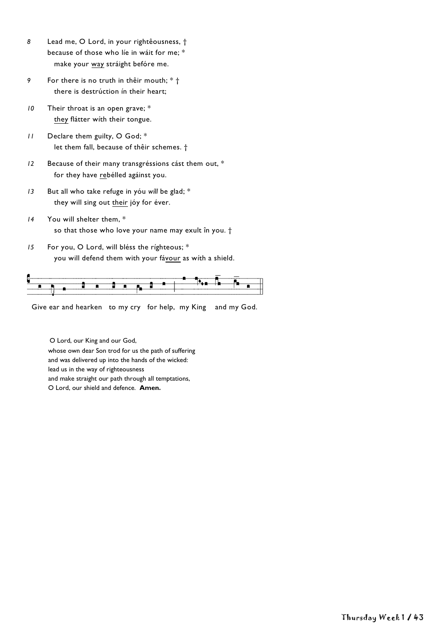- *8* Lead me, O Lord, in your rightêousness, † because of those who líe in wáit for me; \* make your way stráight befóre me.
- *9* For there is no truth in thêir mouth; \* † there is destrúction ín their heart;
- *10* Their throat is an open grave; \* they flátter wíth their tongue.
- *11* Declare them guilty, O God; \* let them fall, because of thêir schemes. †
- *12* Because of their many transgréssions cást them out, \* for they have rebélled agáinst you.
- *13* But all who take refuge in yóu *wíll* be glad; \* they will sing out their jóy for éver.
- *14* You will shelter them, \* so that those who love your name may exult în you. †
- *15* For you, O Lord, will bléss the ríghteous; \* you will defend them with your fávour as with a shield.



Give ear and hearken to my cry for help, my King and my God.

O Lord, our King and our God, whose own dear Son trod for us the path of suffering and was delivered up into the hands of the wicked: lead us in the way of righteousness and make straight our path through all temptations, O Lord, our shield and defence. **Amen.**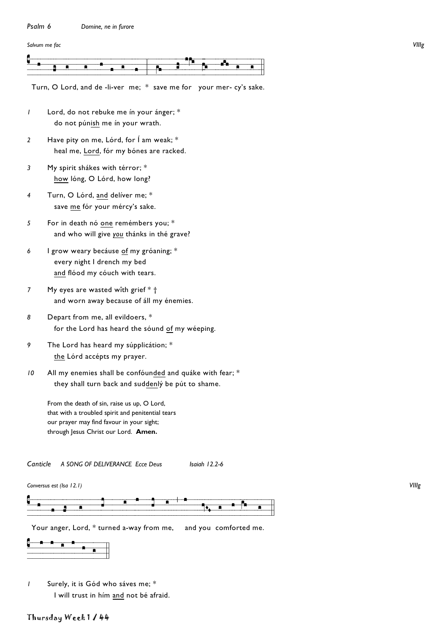Salvum me fac

Turn, O Lord, and de -li-ver me; \* save me for your mer- cy's sake.

- Lord, do not rebuke me ín your ánger; \*  $\overline{1}$ do not púnish me ín your wrath.
- Have pity on me, Lórd, for l am weak; \*  $\overline{2}$ heal me, Lord, fór my bónes are racked.
- My spirit shákes with térror; \*  $\mathfrak{Z}$ how lóng, O Lórd, how long?
- Turn, O Lórd, and delíver me; \*  $\overline{4}$ save me fór your mércy's sake.
- For in death nó one remémbers you; \* 5 and who will give you thánks in thé grave?
- 6 I grow weary becáuse of my gróaning; \* every night I drench my bed and flóod my cóuch with tears.
- My eyes are wasted with grief  $*$   $\dagger$  $\overline{7}$ and worn away because of all my énemies.
- Depart from me, all evildoers, \* 8 for the Lord has heard the sóund of my wéeping.
- The Lord has heard my súpplicátion; \* 9 the Lórd accépts my prayer.
- $10$ All my enemies shall be confóunded and quáke with fear; \* they shall turn back and suddenlý be pút to shame.

From the death of sin, raise us up, O Lord, that with a troubled spirit and penitential tears our prayer may find favour in your sight; through Jesus Christ our Lord. Amen.

Canticle A SONG OF DELIVERANCE Ecce Deus Isaiah 12.2-6

Conversus est (Isa 12.1)

Your anger, Lord, \* turned a-way from me, and you comforted me.



Surely, it is Gód who sáves me; \*  $\overline{1}$ 

I will trust in hím and not bé afraid.

VIIIg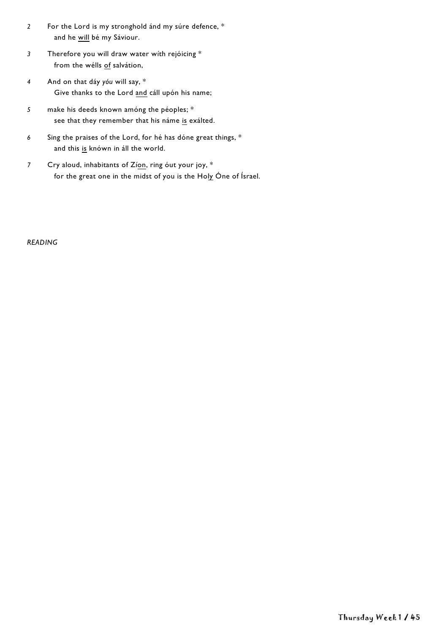- *2* For the Lord is my stronghold ánd my súre defence, \* and he will bé my Sáviour.
- *3* Therefore you will draw water wíth rejóicing \* from the wélls of salvátion,
- *4* And on that dáy *yóu* will say, \* Give thanks to the Lord and cáll upón his name;
- *5* make his deeds known amóng the péoples; \* see that they remember that his náme is exálted.
- *6* Sing the praises of the Lord, for hé has dóne great things, \* and this is knówn in áll the world.
- 7 Cry aloud, inhabitants of Zíon, ring óut your joy, \* for the great one in the midst of you is the Holy One of Ísrael.

# *READING*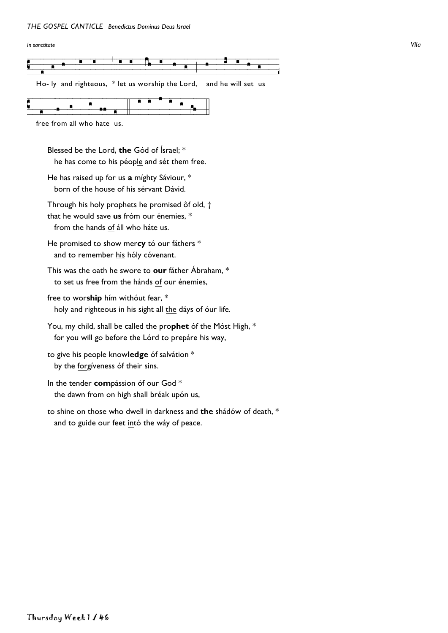## *THE GOSPEL CANTICLE Benedictus Dominus Deus Israel*

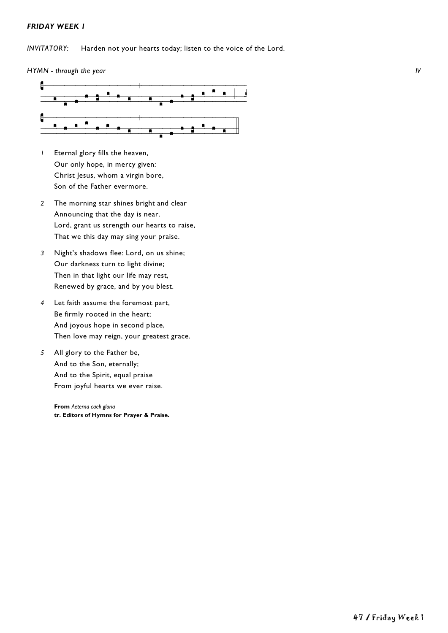# *FRIDAY WEEK 1*

# *INVITATORY:* Harden not your hearts today; listen to the voice of the Lord.

*HYMN - through the year IV*



- *1* Eternal glory fills the heaven, Our only hope, in mercy given: Christ Jesus, whom a virgin bore, Son of the Father evermore.
- *2* The morning star shines bright and clear Announcing that the day is near. Lord, grant us strength our hearts to raise, That we this day may sing your praise.
- *3* Night's shadows flee: Lord, on us shine; Our darkness turn to light divine; Then in that light our life may rest, Renewed by grace, and by you blest.
- *4* Let faith assume the foremost part, Be firmly rooted in the heart; And joyous hope in second place, Then love may reign, your greatest grace.
- *5* All glory to the Father be, And to the Son, eternally; And to the Spirit, equal praise From joyful hearts we ever raise.

**From** *Aeterna caeli gloria* **tr. Editors of Hymns for Prayer & Praise.**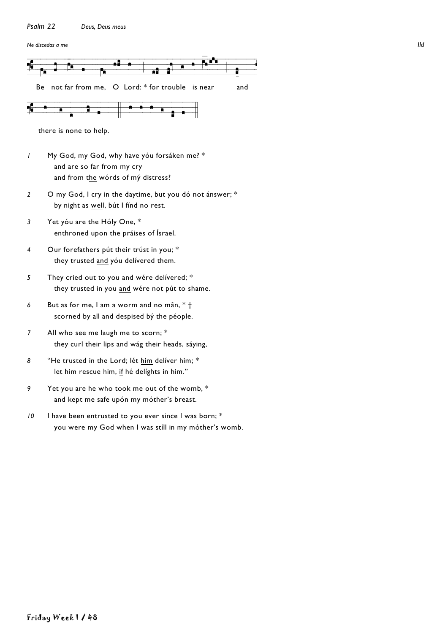#### Psalm 22 Deus, Deus meus

Ne discedas a me



lld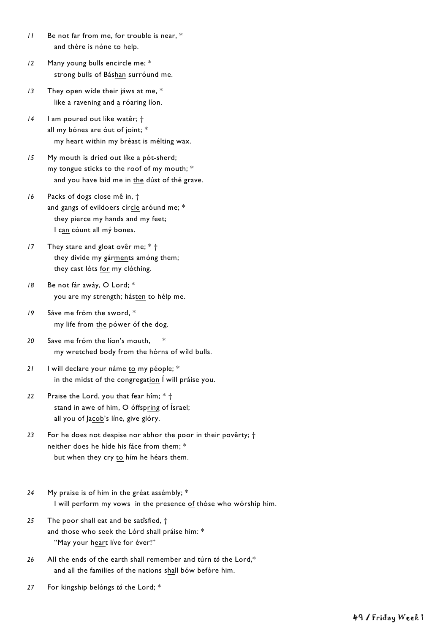- *11* Be not far from me, for trouble is near, \* and thére is nóne to help.
- *12* Many young bulls encircle me; \* strong bulls of Báshan surróund me.
- *13* They open wíde their jáws at me, \* like a ravening and a róaring líon.
- *14* I am poured out like watêr; † all my bónes are óut of joint; \* my heart within my bréast is mélting wax.
- *15* My mouth is dried out líke a pót-sherd; my tongue sticks to the roof of my mouth; \* and you have laid me in the dúst of thé grave.
- *16* Packs of dogs close mê in, † and gangs of evildoers círcle aróund me; \* they pierce my hands and my feet; I can cóunt all mý bones.
- *17* They stare and gloat ovêr me; \* † they divide my gárments amóng them; they cast lóts for my clóthing.
- *18* Be not fár awáy, O Lord; \* you are my strength; hásten to hélp me.
- *19* Sáve me fróm the sword, \* my life from the pówer óf the dog.
- *20* Save me fróm the líon's mouth, \* my wretched body from the hórns of wíld bulls.
- *21* I will declare your náme to my péople; \* in the midst of the congregation Í will práise you.
- *22* Praise the Lord, you that fear hîm; \* † stand in awe of him, O óffspring of Ísrael; all you of Jacob's líne, give glóry.
- *23* For he does not despise nor abhor the poor in their povêrty; † neither does he híde his fáce from them; \* but when they cry to hím he héars them.
- *24* My praise is of him in the gréat assémbly; \* I will perform my vows in the presence of thóse who wórship him.
- *25* The poor shall eat and be satîsfied, † and those who seek the Lórd shall práise him: \* "May your heart líve for éver!"
- *26* All the ends of the earth shall remember and túrn *tó* the Lord,\* and all the families of the nations shall bów befóre him.
- *27* For kingship belóngs *tó* the Lord; \*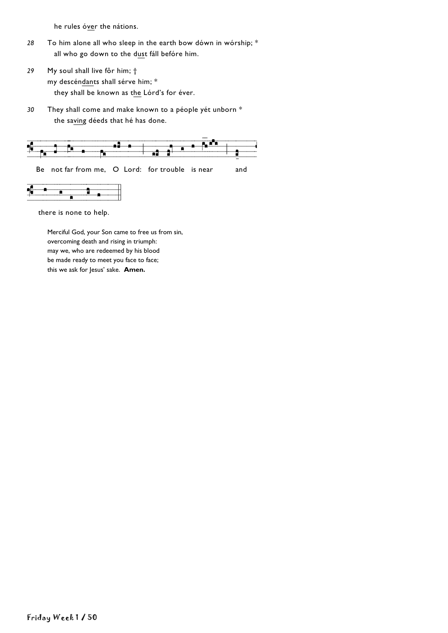he rules óver the nátions.

- 28 To him alone all who sleep in the earth bow dówn in wórship; \* all who go down to the dust fáll befóre him.
- 29 My soul shall live fôr him; t my descéndants shall sérve him; \* they shall be known as the Lórd's for éver.
- 30 They shall come and make known to a péople yét unborn \* the saving déeds that hé has done.



Be not far from me, O Lord: for trouble is near and



there is none to help.

Merciful God, your Son came to free us from sin, overcoming death and rising in triumph: may we, who are redeemed by his blood be made ready to meet you face to face; this we ask for Jesus' sake. Amen.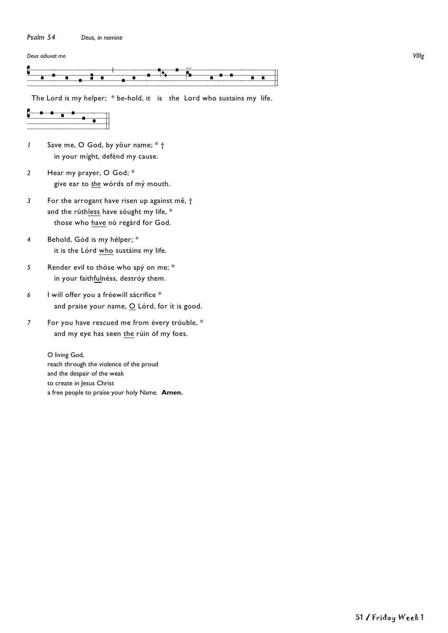Psalm 54 Deus, in nomine

Deus adiuvat me



The Lord is my helper; \* be-hold, it is the Lord who sustains my life.



- Save me, O God, by your name; \* +  $\overline{1}$ in your míght, defénd my cause.
- Hear my prayer, O God; \*  $\overline{2}$ give ear to the wórds of mý mouth.
- $\mathfrak{Z}$ For the arrogant have risen up against mê,  $\dagger$ and the rúthless have sóught my life, \* those who have nó regárd for God.
- Behold, Gód is my hélper; \*  $\overline{4}$ it is the Lórd who sustáins my life.
- $\sqrt{5}$ Render evil to thóse who spý on me; \* in your faithfulnéss, destróy them.
- I will offer you a fréewill sácrifice \*  $\pmb{6}$ and praise your name, O Lórd, for ít is good.
- For you have rescued me from évery tróuble, \*  $\overline{7}$ and my eye has seen the rúin óf my foes.

O living God, reach through the violence of the proud and the despair of the weak to create in Jesus Christ a free people to praise your holy Name. Amen.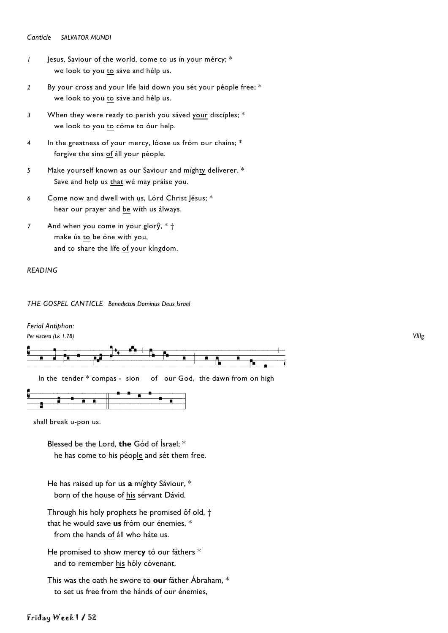#### Canticle **SALVATOR MUNDI**

- Jesus, Saviour of the world, come to us in your mércy; \*  $\overline{1}$ we look to you to sáve and hélp us.
- $\overline{\phantom{a}}$ By your cross and your life laid down you sét your péople free; \* we look to you to sáve and hélp us.
- When they were ready to perish you sáved your discíples; \* ्र we look to you to cóme to óur help.
- In the greatness of your mercy, lóose us fróm our chains; \*  $\overline{4}$ forgive the sins of all your péople.
- Make yourself known as our Saviour and mighty deliverer. \*  $\overline{5}$ Save and help us that wé may práise you.
- Come now and dwell with us, Lórd Christ Jésus; \* 6 hear our prayer and be with us álways.
- And when you come in your glory, \* +  $\overline{7}$ make ús to be óne with you, and to share the life of your kingdom.

# **READING**

THE GOSPEL CANTICLE Benedictus Dominus Deus Israel

**Ferial Antiphon:** 

Per viscera (Lk 1.78)



In the tender  $*$  compas - sion of our God, the dawn from on high



shall break u-pon us.

Blessed be the Lord, the Gód of Ísrael; \* he has come to his péople and sét them free.

He has raised up for us a míghty Sáviour, \* born of the house of his sérvant Dávid.

Through his holy prophets he promised ôf old, † that he would save us fróm our énemies, \* from the hands of áll who háte us.

He promised to show mercy tó our fáthers \* and to remember his hóly cóvenant.

This was the oath he swore to our father Abraham, \* to set us free from the hánds of our énemies,

VIIIg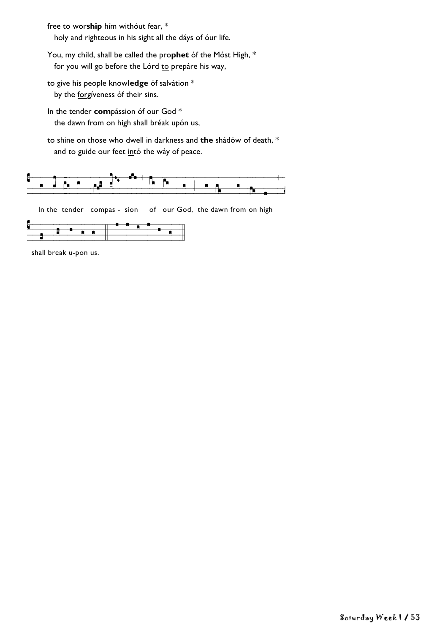free to worship hím withóut fear, \*

holy and righteous in his sight all the dáys of óur life.

You, my child, shall be called the prophet of the Most High, \* for you will go before the Lórd to prepáre his way,

to give his people knowledge óf salvátion \* by the forgiveness of their sins.

In the tender compássion óf our God\* the dawn from on high shall bréak upón us,

to shine on those who dwell in darkness and the shádów of death, \* and to guide our feet intó the wáy of peace.



of our God, the dawn from on high In the tender compas - sion



shall break u-pon us.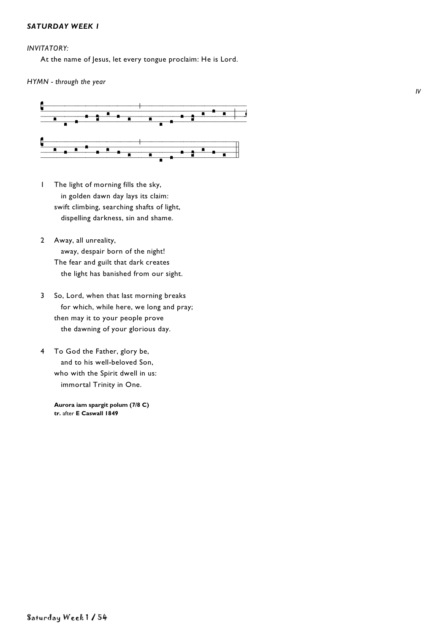# *INVITATORY:*

At the name of Jesus, let every tongue proclaim: He is Lord.

# *HYMN - through the year*



- 1 The light of morning fills the sky, in golden dawn day lays its claim: swift climbing, searching shafts of light, dispelling darkness, sin and shame.
- 2 Away, all unreality, away, despair born of the night! The fear and guilt that dark creates the light has banished from our sight.
- 3 So, Lord, when that last morning breaks for which, while here, we long and pray; then may it to your people prove the dawning of your glorious day.
- 4 To God the Father, glory be, and to his well-beloved Son, who with the Spirit dwell in us: immortal Trinity in One.

**Aurora iam spargit polum (7/8 C) tr.** after **E Caswall 1849**

*IV*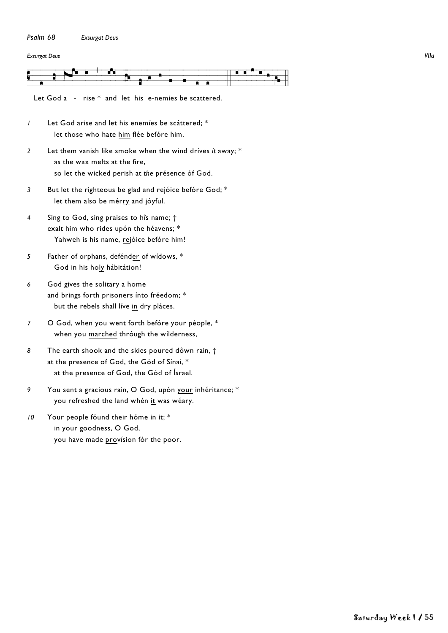#### Psalm 68 **Exsurgat Deus**

**Exsurgat Deus** 



VIIn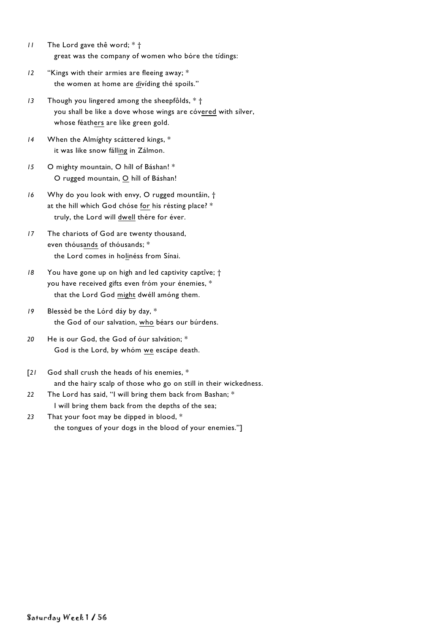- *11* The Lord gave thê word; \* † great was the company of women who bóre the tídings:
- *12* "Kings with their armies are fleeing away; \* the women at home are *di*víding thé spoils."
- *13* Though you lingered among the sheepfôlds, \* † you shall be like a dove whose wings are cóvered with sílver, whose féathers are líke green gold.
- *14* When the Almíghty scáttered kings, \* it was like snow fálling in Zálmon.
- 15 O mighty mountain, O híll of Báshan! \* O rugged mountain, O híll of Báshan!
- *16* Why do you look with envy, O rugged mountâin, † at the hill which God chóse for his résting place? \* truly, the Lord will dwell thére for éver.
- *17* The chariots of God are twenty thousand, even thóusands of thóusands; \* the Lord comes in holinéss from Sínai.
- *18* You have gone up on high and led captivity captîve; † you have received gifts even fróm your énemies, \* that the Lord God might dwéll amóng them.
- *19* Blessèd be the Lórd dáy by day, \* the God of our salvation, who béars our búrdens.
- *20* He is our God, the God of óur salvátion; \* God is the Lord, by whóm we escápe death.
- [*21* God shall crush the heads of his enemies, \* and the hairy scalp of those who go on still in their wickedness.
- *22* The Lord has said, "I will bring them back from Bashan; \* I will bring them back from the depths of the sea;
- *23* That your foot may be dipped in blood, \* the tongues of your dogs in the blood of your enemies."]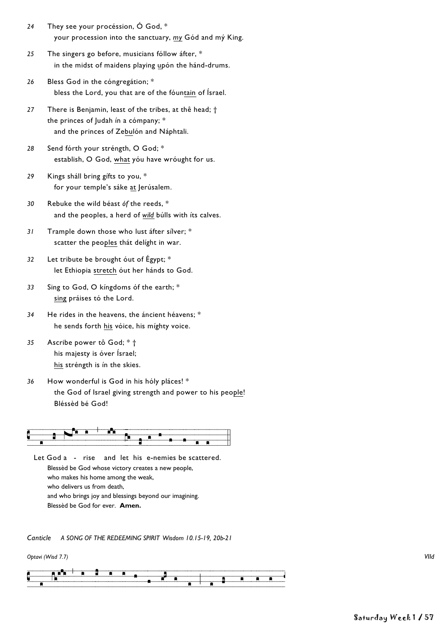- *24* They see your procéssion, Ó God, \* your procession into the sanctuary, *my* Gód and mý King.
- *25* The singers go before, musicians fóllow áfter, \* in the midst of maidens playing upón the hánd-drums.
- *26* Bless God in the cóngregátion; \* bless the Lord, you that are of the fóuntain of Ísrael.
- *27* There is Benjamin, least of the tribes, at thê head; † the princes of Judah ín a cómpany; \* and the princes of Zebulón and Náphtali.
- *28* Send fórth your stréngth, O God; \* establish, O God, what yóu have wróught for us.
- *29* Kings sháll bring gífts to you, \* for your temple's sáke at Jerúsalem.
- *30* Rebuke the wild béast *óf* the reeds, \* and the peoples, a herd of *wild* búlls with íts calves.
- *31* Trample down those who lust áfter sílver; \* scatter the peoples thát delíght in war.
- *32* Let tribute be brought óut of Égypt; \* let Ethiopia stretch óut her hánds to God.
- *33* Sing to God, O kíngdoms óf the earth; \* sing práises tó the Lord.
- *34* He rides in the heavens, the áncient héavens; \* he sends forth his vóice, his míghty voice.
- *35* Ascribe power tô God; \* † his majesty is óver Ísrael; his stréngth is ín the skies.
- *36* How wonderful is God in his hóly pláces! \* the God of Israel giving strength and power to his people! Bléssèd bé God!



Let God a - rise and let his e-nemies be scattered. Blessèd be God whose victory creates a new people, who makes his home among the weak, who delivers us from death, and who brings joy and blessings beyond our imagining. Blessèd be God for ever. **Amen.**

*Canticle A SONG OF THE REDEEMING SPIRIT Wisdom 10.15-19, 20b-21*

*Optavi (Wisd 7.7) VIId*

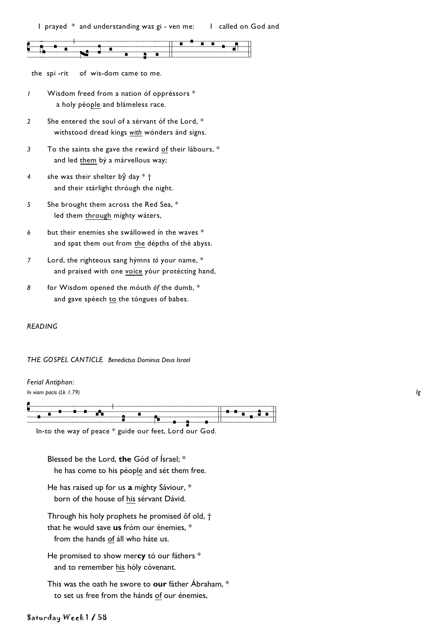## I prayed \* and understanding was gi - ven me: I called on God and

|  | ___ |  |  |  |  |  |  |
|--|-----|--|--|--|--|--|--|

the spi -rit of wis-dom came to me.

- *1* Wisdom freed from a nation óf oppréssors \* a holy péople and blámeless race.
- *2* She entered the soul of a sérvant óf the Lord, \* withstood dread kings *with* wónders ánd signs.
- *3* To the saints she gave the rewárd of their lábours, \* and led them bý a márvellous way;
- 4 she was their shelter  $b\hat{y}$  day  $*$   $\dagger$ and their stárlight thróugh the night.
- *5* She brought them across the Red Sea, \* led them through míghty wáters,
- *6* but their enemies she swállowed ín the waves \* and spat them out from the dépths of thé abyss.
- *7* Lord, the righteous sang hýmns *tó* your name, \* and praised with one voice yóur protécting hand,
- *8* for Wisdom opened the móuth *óf* the dumb, \* and gave spéech to the tóngues of babes.

## *READING*

# *THE GOSPEL CANTICLE Benedictus Dominus Deus Israel*

### *Ferial Antiphon:*

*In viam pacis (Lk 1.79) Ig*

| In-to the way of peace * guide our feet, Lord our God. |  |  |  |  |
|--------------------------------------------------------|--|--|--|--|

Blessed be the Lord, **the** Gód of Ísrael; \* he has come to his péople and sét them free.

He has raised up for us **a** míghty Sáviour, \* born of the house of his sérvant Dávid.

Through his holy prophets he promised ôf old, † that he would save **us** fróm our énemies, \* from the hands of áll who háte us.

He promised to show mer**cy** tó our fáthers \* and to remember his hóly cóvenant.

This was the oath he swore to **our** fáther Ábraham, \* to set us free from the hánds of our énemies,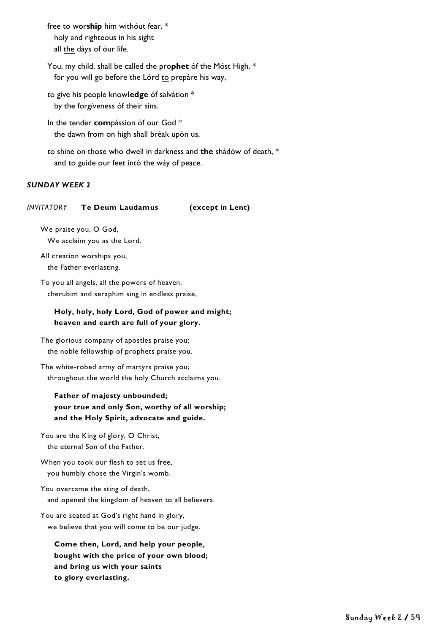free to wor**ship** hím withóut fear, \* holy and righteous in his sight all the dáys of óur life.

You, my child, shall be called the pro**phet** óf the Móst High, \* for you will go before the Lórd to prepáre his way,

to give his people know**ledge** óf salvátion \* by the forgíveness óf their sins.

In the tender **com**pássion óf our God \* the dawn from on high shall bréak upón us,

to shine on those who dwell in darkness and **the** shádów of death, \* and to guide our feet intó the wáy of peace.

# *SUNDAY WEEK 2*

# *INVITATORY* **Te Deum Laudamus (except in Lent)**

We praise you, O God, We acclaim you as the Lord.

All creation worships you, the Father everlasting.

To you all angels, all the powers of heaven, cherubim and seraphim sing in endless praise,

# **Holy, holy, holy Lord, God of power and might; heaven and earth are full of your glory.**

The glorious company of apostles praise you; the noble fellowship of prophets praise you.

The white-robed army of martyrs praise you; throughout the world the holy Church acclaims you.

# **Father of majesty unbounded; your true and only Son, worthy of all worship; and the Holy Spirit, advocate and guide.**

You are the King of glory, O Christ, the eternal Son of the Father.

When you took our flesh to set us free, you humbly chose the Virgin's womb.

You overcame the sting of death, and opened the kingdom of heaven to all believers.

You are seated at God's right hand in glory, we believe that you will come to be our judge.

**Come then, Lord, and help your people, bought with the price of your own blood; and bring us with your saints to glory everlasting.**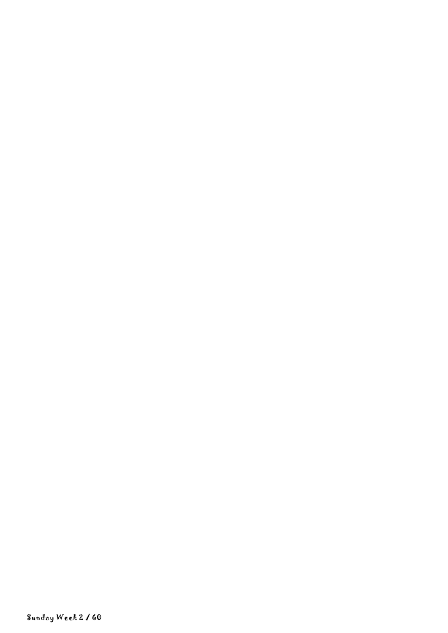Sunday Week 2 / 60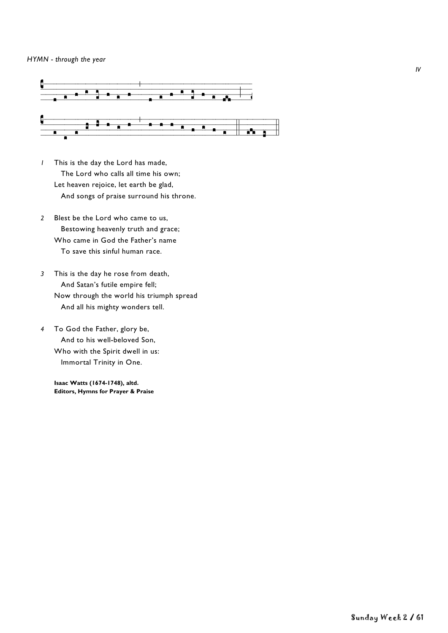# *HYMN - through the year*



- *1* This is the day the Lord has made, The Lord who calls all time his own; Let heaven rejoice, let earth be glad, And songs of praise surround his throne.
- *2* Blest be the Lord who came to us, Bestowing heavenly truth and grace; Who came in God the Father's name To save this sinful human race.
- *3* This is the day he rose from death, And Satan's futile empire fell; Now through the world his triumph spread And all his mighty wonders tell.
- *4* To God the Father, glory be, And to his well-beloved Son, Who with the Spirit dwell in us: Immortal Trinity in One.

**Isaac Watts (1674-1748), altd. Editors, Hymns for Prayer & Praise**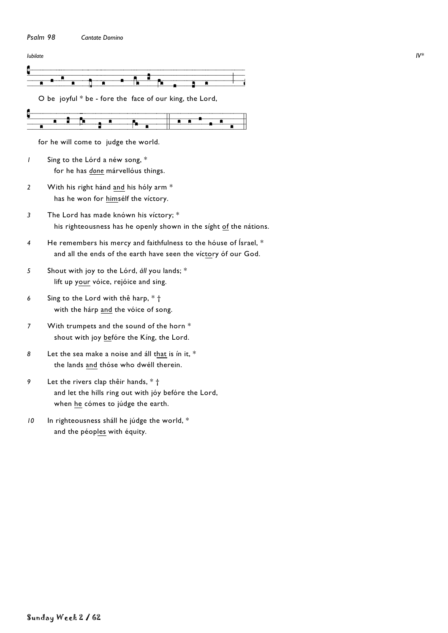lubilate

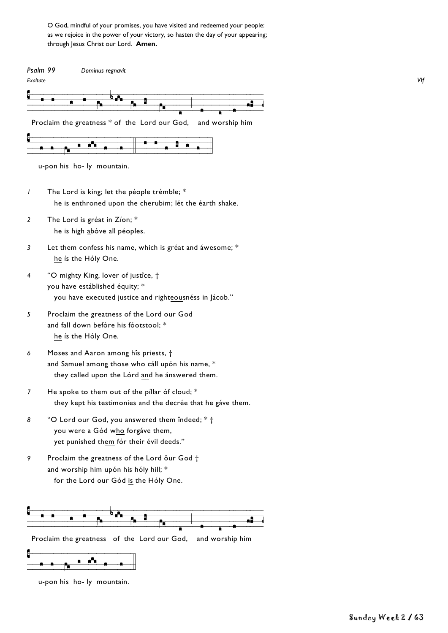O God, mindful of your promises, you have visited and redeemed your people: as we rejoice in the power of your victory, so hasten the day of your appearing; through Jesus Christ our Lord. Amen.

| Exaltate | ▚▚<br>Ŧ                                                                                                                                     |
|----------|---------------------------------------------------------------------------------------------------------------------------------------------|
|          | Proclaim the greatness * of the Lord our God,<br>and worship him<br>r'i                                                                     |
|          | т<br>u-pon his ho- ly mountain.                                                                                                             |
| T        | The Lord is king; let the péople trémble; *<br>he is enthroned upon the cherubim; lét the éarth shake.                                      |
| 2        | The Lord is gréat in Zíon; *<br>he is high abóve all péoples.                                                                               |
| 3        | Let them confess his name, which is gréat and áwesome; *<br>he is the Hóly One.                                                             |
| 4        | "O mighty King, lover of justice, †<br>you have estáblished équity; *<br>you have executed justice and righteousnéss in Jácob."             |
| 5        | Proclaim the greatness of the Lord our God<br>and fall down befóre his fóotstool; *<br>he is the Holy One.                                  |
| 6        | Moses and Aaron among his priests, †<br>and Samuel among those who cáll upón his name, *<br>they called upon the Lórd and he ánswered them. |
| 7        | He spoke to them out of the pillar of cloud; *<br>they kept his testimonies and the decrée that he gáve them.                               |
| 8        | "O Lord our God, you answered them îndeed; * +<br>you were a Gód who forgáve them,<br>yet punished them fór their évil deeds."              |
| 9        | Proclaim the greatness of the Lord ôur God +<br>and worship him upón his hóly hill; *<br>for the Lord our Gód is the Hóly One.              |
|          | ⊵⊷                                                                                                                                          |

ŧ

u-pon his ho-ly mountain.

Vlf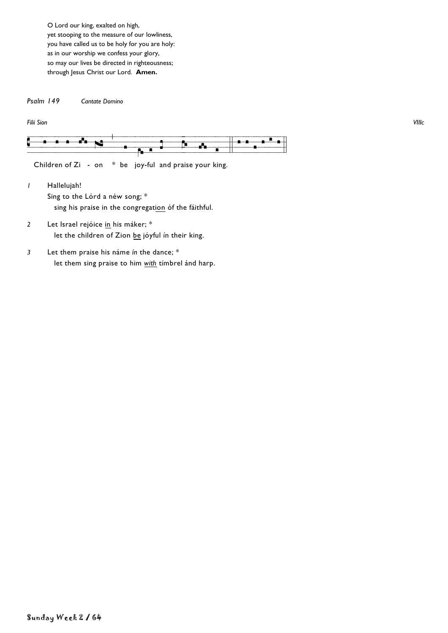O Lord our king, exalted on high, yet stooping to the measure of our lowliness, you have called us to be holy for you are holy: as in our worship we confess your glory, so may our lives be directed in righteousness; through Jesus Christ our Lord. Amen.

Psalm 149 Cantate Domino

Filii Sion



Children of  $Zi - on * be$  joy-ful and praise your king.

- $\overline{1}$ Hallelujah! Sing to the Lórd a néw song; \* sing his praise in the congregation of the faithful.
- Let Israel rejóice in his máker; \*  $\overline{2}$ let the children of Zion be jóyful ín their king.
- Let them praise his náme ín the dance; \*  $\overline{3}$ let them sing praise to him with timbrel and harp.

VIIIc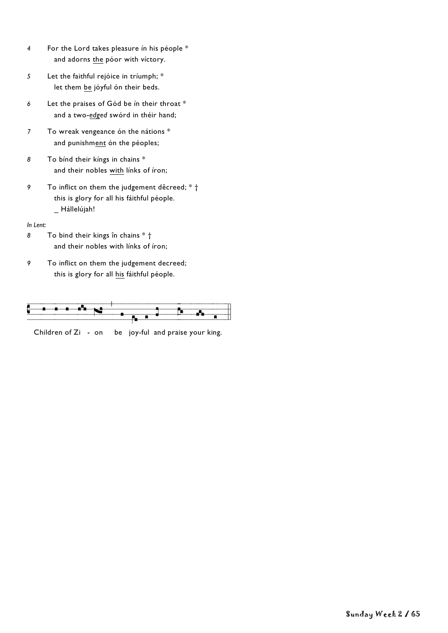- *4* For the Lord takes pleasure ín his péople \* and adorns the póor with víctory.
- *5* Let the faithful rejóice in tríumph; \* let them be jóyful ón their beds.
- *6* Let the praises of Gód be ín their throat \* and a two-*edged* swórd in théir hand;
- *7* To wreak vengeance ón the nátions \* and punishment ón the péoples;
- *8* To bínd their kíngs in chains \* and their nobles with línks of íron;
- *9* To inflict on them the judgement dêcreed; \* † this is glory for all his fáithful péople. \_ Hállelújah!

*In Lent:* 

- *8* To bind their kings în chains \* † and their nobles with línks of íron;
- *9* To inflict on them the judgement decreed; this is glory for all his fáithful péople.



Children of Zi - on be joy-ful and praise your king.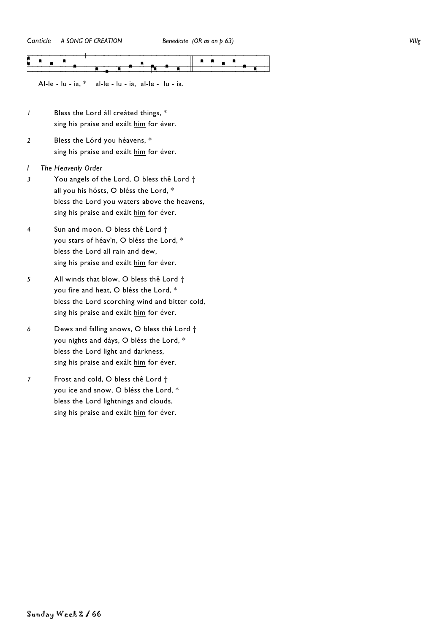Canticle A SONG OF CREATION





Al-le - lu - ia,  $*$ al-le - lu - ia, al-le - lu - ia.

- Bless the Lord all created things, \*  $\overline{1}$ sing his praise and exalt him for éver.
- Bless the Lórd you héavens, \*  $\overline{2}$ sing his praise and exalt him for éver.
- $\overline{I}$ The Heavenly Order
- $\overline{3}$ You angels of the Lord, O bless the Lord + all you his hósts, O bléss the Lord, \* bless the Lord you waters above the heavens, sing his praise and exalt him for éver.
- Sun and moon, O bless the Lord +  $\overline{4}$ you stars of héav'n, O bléss the Lord, \* bless the Lord all rain and dew, sing his praise and exalt him for éver.
- 5 All winds that blow, O bless the Lord + you fíre and heat, O bléss the Lord, \* bless the Lord scorching wind and bitter cold, sing his praise and exált him for éver.
- Dews and falling snows, O bless the Lord + 6 you nights and dáys, O bléss the Lord, \* bless the Lord light and darkness, sing his praise and exalt him for éver.
- $\overline{7}$ Frost and cold, O bless the Lord + you íce and snow, O bléss the Lord, \* bless the Lord lightnings and clouds, sing his praise and exalt him for éver.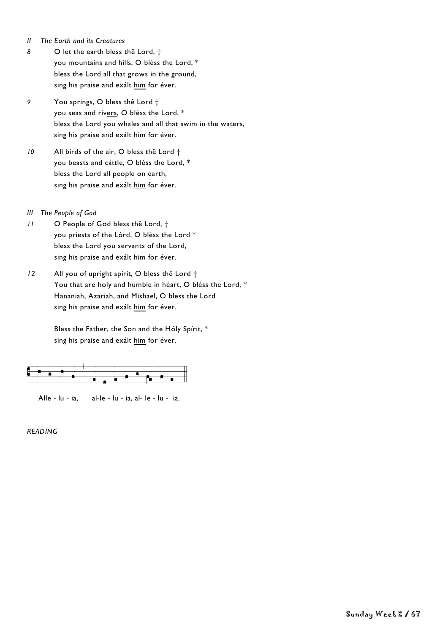- *II The Earth and its Creatures*
- *8* O let the earth bless thê Lord, † you mountains and hílls, O bléss the Lord, \* bless the Lord all that grows in the ground, sing his praise and exált him for éver.
- *9* You springs, O bless thê Lord † you seas and rívers, O bléss the Lord, \* bless the Lord you whales and all that swim in the waters, sing his praise and exált him for éver.
- *10* All birds of the air, O bless thê Lord † you beasts and cáttle, O bléss the Lord, \* bless the Lord all people on earth, sing his praise and exált him for éver.
- *III The People of God*
- *11* O People of God bless thê Lord, † you priests of the Lórd, O bléss the Lord \* bless the Lord you servants of the Lord, sing his praise and exált him for éver.
- *12* All you of upright spirit, O bless thê Lord † You that are holy and humble in héart, O bléss the Lord, \* Hananiah, Azariah, and Mishael, O bless the Lord sing his praise and exált him for éver.

Bless the Father, the Son and the Hóly Spírit, \* sing his praise and exált him for éver.



Alle - lu - ia, al-le - lu - ia, al- le - lu - ia.

*READING*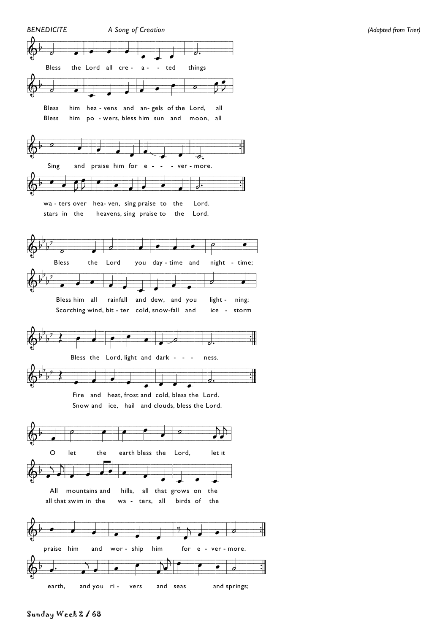

Sunday Week 2 / 68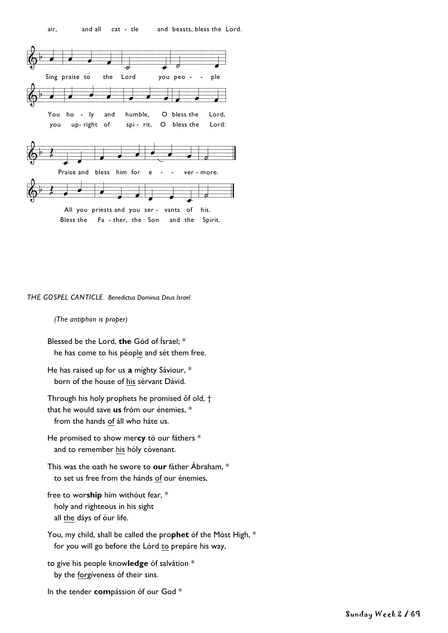

*THE GOSPEL CANTICLE Benedictus Dominus Deus Israel*

*(The antiphon is proper)*

Blessed be the Lord, **the** Gód of Ísrael; \* he has come to his péople and sét them free.

He has raised up for us **a** míghty Sáviour, \* born of the house of his sérvant Dávid.

Through his holy prophets he promised ôf old, † that he would save **us** fróm our énemies, \* from the hands of áll who háte us.

He promised to show mer**cy** tó our fáthers \* and to remember his hóly cóvenant.

This was the oath he swore to **our** fáther Ábraham, \* to set us free from the hánds of our énemies,

free to wor**ship** hím withóut fear, \* holy and righteous in his sight all the dáys of óur life.

You, my child, shall be called the pro**phet** óf the Móst High, \* for you will go before the Lórd to prepáre his way,

to give his people know**ledge** óf salvátion \* by the forgíveness óf their sins.

In the tender **com**pássion óf our God \*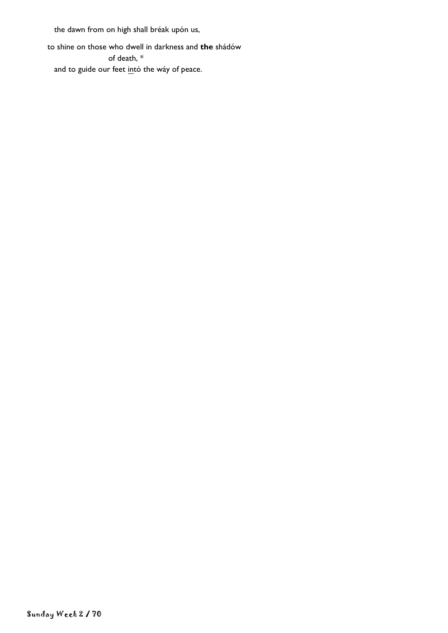the dawn from on high shall bréak upón us,

to shine on those who dwell in darkness and the shádów

of death, \*

and to guide our feet intó the wáy of peace.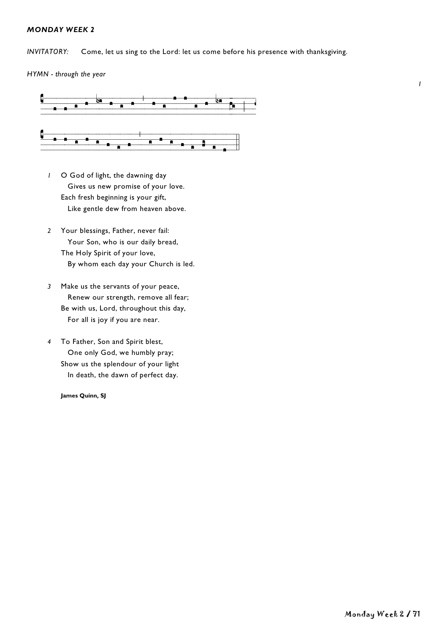# *MONDAY WEEK 2*

*INVITATORY:* Come, let us sing to the Lord: let us come before his presence with thanksgiving.

*HYMN - through the year*



- 1 O God of light, the dawning day Gives us new promise of your love. Each fresh beginning is your gift, Like gentle dew from heaven above.
- *2* Your blessings, Father, never fail: Your Son, who is our daily bread, The Holy Spirit of your love, By whom each day your Church is led.
- *3* Make us the servants of your peace, Renew our strength, remove all fear; Be with us, Lord, throughout this day, For all is joy if you are near.
- *4* To Father, Son and Spirit blest, One only God, we humbly pray; Show us the splendour of your light In death, the dawn of perfect day.

**James Quinn, SJ**

*I*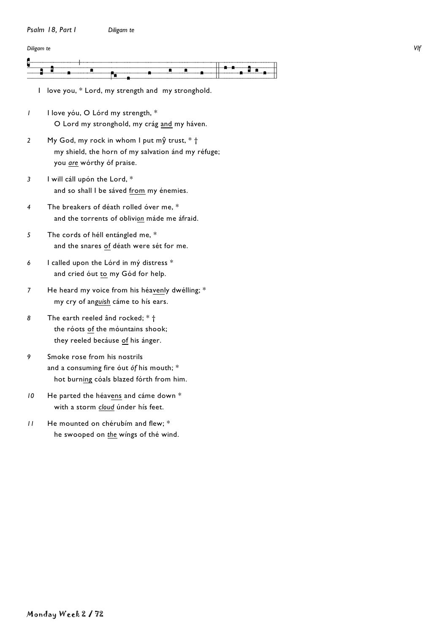*Diligam te VIf*

| __ | _____ |  | -<br>____ |  | --- |  |  |  |  |  |
|----|-------|--|-----------|--|-----|--|--|--|--|--|
|    |       |  |           |  |     |  |  |  |  |  |
|    |       |  |           |  |     |  |  |  |  |  |

- I love you, \* Lord, my strength and my stronghold.
- *1* I love yóu, O Lórd my strength, \* O Lord my stronghold, my crág and my háven.
- 2 My God, my rock in whom I put mŷ trust,  $*$   $\dagger$ my shield, the horn of my salvation ánd my réfuge; you *are* wórthy óf praise.
- *3* I will cáll upón the Lord, \* and so shall I be sáved from my énemies.
- *4* The breakers of déath rolled óver me, \* and the torrents of oblivi*on* máde me áfraid.
- *5* The cords of héll entángled me, \* and the snares of déath were sét for me.
- *6* I called upon the Lórd in mý distress \* and cried óut to my Gód for help.
- *7* He heard my voice from his héavenly dwélling; \* my cry of an*guish* cáme to hís ears.
- *8* The earth reeled ând rocked; \* † the róots of the móuntains shook; they reeled becáuse of his ánger.
- *9* Smoke rose from his nostrils and a consuming fire óut *óf* his mouth; \* hot burning cóals blazed fórth from him.
- *10* He parted the héavens and cáme down \* with a storm *cloud* únder hís feet.
- *11* He mounted on chérubím and flew; \* he swooped on *the* wíngs of thé wind.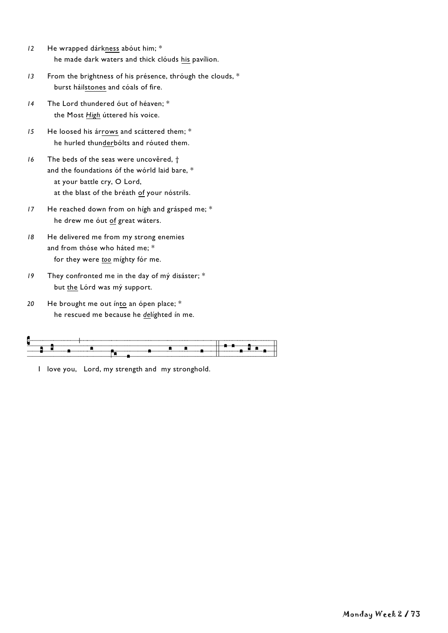- *12* He wrapped dárkness abóut him; \* he made dark waters and thick clóuds his pavílion.
- *13* From the brightness of his présence, thróugh the clouds, \* burst háilstones and cóals of fire.
- *14* The Lord thundered óut of héaven; \* the Most *High* úttered hís voice.
- 15 He loosed his árrows and scáttered them;  $*$ he hurled thunderbólts and róuted them.
- *16* The beds of the seas were uncovêred, † and the foundations óf the wórld laid bare, \* at your battle cry, O Lord, at the blast of the bréath of your nóstrils.
- *17* He reached down from on hígh and grásped me; \* he drew me óut of great wáters.
- *18* He delivered me from my strong enemies and from thóse who háted me; \* for they were *too* míghty fór me.
- *19* They confronted me in the day of mý disáster; \* but the Lórd was mý support.
- *20* He brought me out ínto an ópen place; \* he rescued me because he *de*líghted ín me.



I love you, Lord, my strength and my stronghold.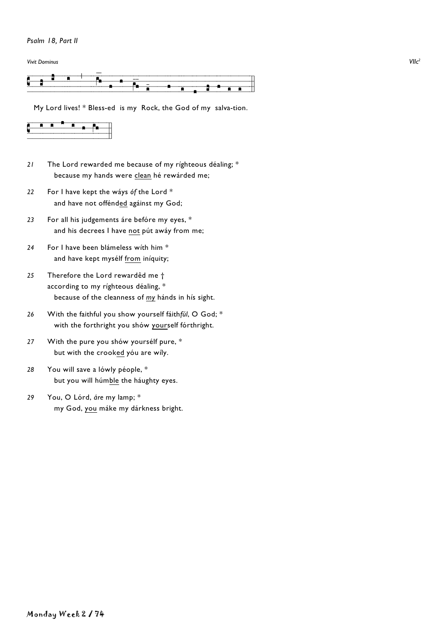### Psalm 18, Part II

**Vivit Dominus** 



My Lord lives! \* Bless-ed is my Rock, the God of my salva-tion.



- The Lord rewarded me because of my ríghteous déaling; \*  $21$ because my hands were clean hé rewárded me;
- For I have kept the wáys óf the Lord \* 22 and have not offénded agáinst my God;
- $23$ For all his judgements áre befóre my eyes, \* and his decrees I have not pút awáy from me;
- For I have been blámeless wíth him \*  $24$ and have kept mysélf from iníquity;
- Therefore the Lord rewardêd me t 25 according to my ríghteous déaling, \* because of the cleanness of my hánds in hís sight.
- With the faithful you show yourself fáithfúl, O God; \* 26 with the forthright you shów yourself fórthright.
- 27 With the pure you shów yoursélf pure, \* but with the crooked yóu are wíly.
- You will save a lówly péople, \* 28 but you will húmble the háughty eyes.
- 29 You, O Lórd, áre my lamp; \* my God, you máke my dárkness bright.

 $VIIc<sup>2</sup>$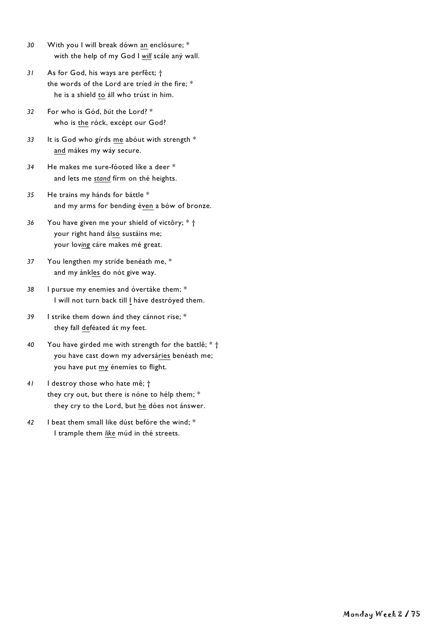- 30 With you I will break dówn an enclósure; \* with the help of my God I will scale any wall.
- As for God, his ways are perfect; †  $\overline{21}$ the words of the Lord are tried in the fire; \* he is a shield to áll who trúst in him.
- For who is Gód, bút the Lord? \*  $32$ who is the róck, excépt our God?
- It is God who gírds me about with strength \* 33 and mákes my wáy secure.
- He makes me sure-fóoted líke a deer \* 34 and lets me stand fírm on thé heights.
- $35$ He trains my hánds for báttle \* and my arms for bending éven a bów of bronze.
- 36 You have given me your shield of victôry; \* + your right hand álso sustáins me; your loving cáre makes mé great.
- You lengthen my stríde benéath me, \* 37 and my ánkles do nót give way.
- I pursue my enemies and óvertáke them; \* 38 I will not turn back till I háve destróyed them.
- 39 I strike them down ánd they cánnot rise; \* they fall deféated át my feet.
- You have girded me with strength for the battlê;  $*$   $\dagger$ 40 you have cast down my adversáries benéath me; you have put my énemíes to flight.
- I destroy those who hate mê; †  $41$ they cry out, but there is nóne to hélp them; \* they cry to the Lord, but he dóes not ánswer.
- $42$ I beat them small like dúst befóre the wind: \* I trample them like múd in thé streets.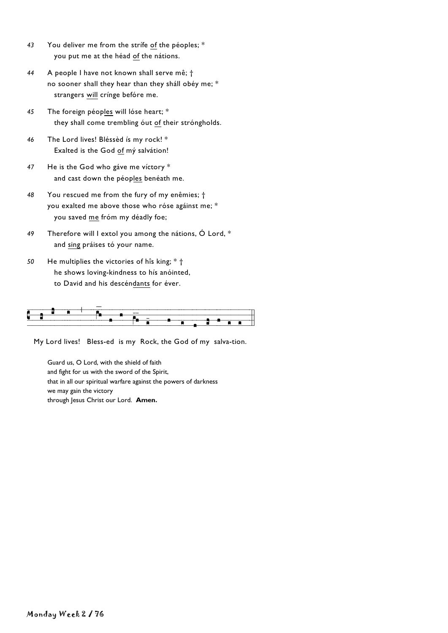- You deliver me from the strife of the péoples; \*  $4<sub>3</sub>$ you put me at the héad of the nátions.
- A people I have not known shall serve mê; †  $\overline{A}$ no sooner shall they hear than they sháll obéy me; \* strangers will crínge befóre me.
- The foreign péoples will lóse heart; \* 45 they shall come trembling out of their strongholds.
- The Lord lives! Bléssèd ís my rock! \* 46 Exalted is the God of mý salvátion!
- He is the God who gáve me víctory \* 47 and cast down the péoples benéath me.
- You rescued me from the fury of my enêmies; + 48 you exalted me above those who róse agáinst me; \* you saved me fróm my déadly foe;
- 49 Therefore will I extol you among the nátions, Ó Lord, \* and sing práises tó your name.
- He multiplies the victories of hîs king;  $*$   $\dagger$ 50 he shows loving-kindness to hís anóinted, to David and his descéndants for éver.



My Lord lives! Bless-ed is my Rock, the God of my salva-tion.

Guard us, O Lord, with the shield of faith and fight for us with the sword of the Spirit, that in all our spiritual warfare against the powers of darkness we may gain the victory through Jesus Christ our Lord. Amen.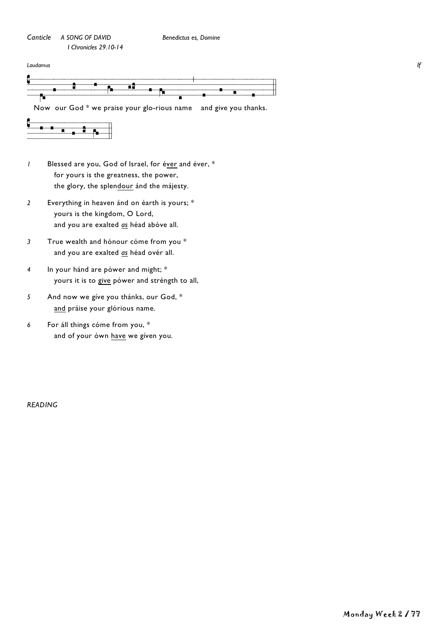



- *2* Everything in heaven ánd on éarth is yours; \* yours is the kingdom, O Lord, and you are exalted *as* héad abóve all.
- *3* True wealth and hónour cóme from you \* and you are exalted *as* héad ovér all.
- *4* In your hánd are pówer and might; \* yours it is to give pówer and stréngth to all,
- *5* And now we gíve you thánks, our God, \* and práise your glórious name.
- *6* For áll things cóme from you, \* and of your ówn have we gíven you.

*READING*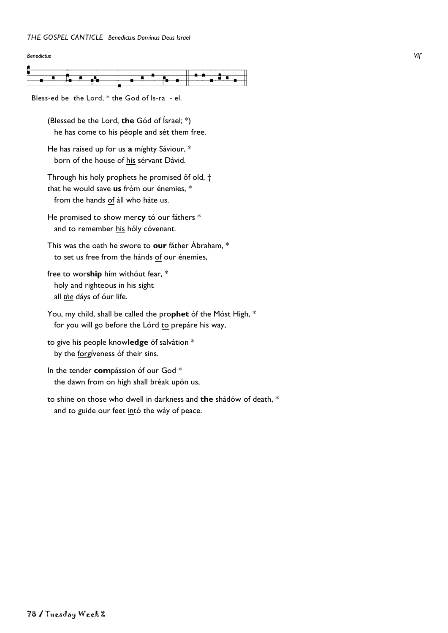### THE GOSPEL CANTICLE Benedictus Dominus Deus Israel

**Benedictus** 



Bless-ed be the Lord, \* the God of Is-ra - el.

(Blessed be the Lord, the Gód of Ísrael; \*) he has come to his péople and sét them free.

He has raised up for us a míghty Sáviour, \* born of the house of his sérvant Dávid.

Through his holy prophets he promised ôf old, t that he would save us fróm our énemies, \* from the hands of all who hate us.

He promised to show mercy tó our fáthers \* and to remember his hóly cóvenant.

This was the oath he swore to our father Abraham, \* to set us free from the hánds of our énemies,

free to worship him without fear, \* holy and righteous in his sight all the dáys of óur life.

You, my child, shall be called the prophet of the Most High, \* for you will go before the Lórd to prepáre his way,

to give his people knowledge óf salvátion \* by the forgiveness of their sins.

In the tender compássion óf our God\* the dawn from on high shall bréak upón us,

to shine on those who dwell in darkness and the shádów of death, \* and to guide our feet intó the wáy of peace.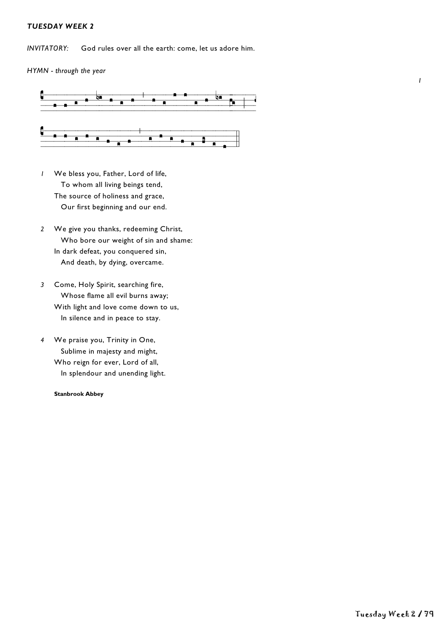### *TUESDAY WEEK 2*

*INVITATORY:* God rules over all the earth: come, let us adore him.

*HYMN - through the year*



- *1* We bless you, Father, Lord of life, To whom all living beings tend, The source of holiness and grace, Our first beginning and our end.
- *2* We give you thanks, redeeming Christ, Who bore our weight of sin and shame: In dark defeat, you conquered sin, And death, by dying, overcame.
- *3* Come, Holy Spirit, searching fire, Whose flame all evil burns away; With light and love come down to us, In silence and in peace to stay.
- *4* We praise you, Trinity in One, Sublime in majesty and might, Who reign for ever, Lord of all, In splendour and unending light.

**Stanbrook Abbey**

*I*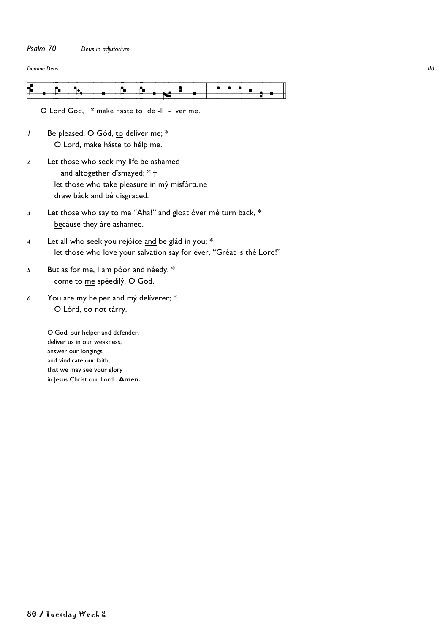#### Psalm 70 Deus in adjutorium

Domine Deus

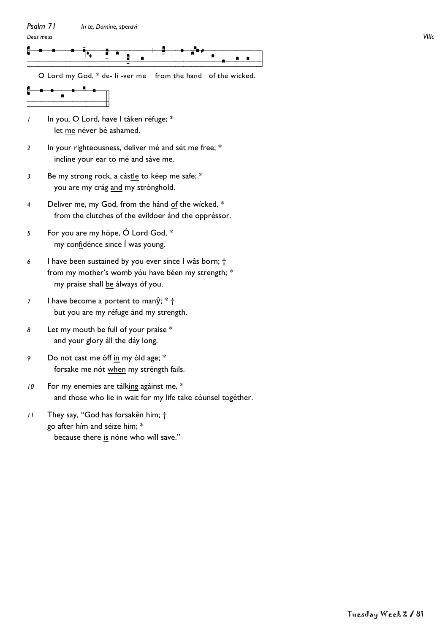| ___ | _____ | ___ | ____ | ______ |  |  |  |
|-----|-------|-----|------|--------|--|--|--|
|     |       |     |      |        |  |  |  |
|     |       |     |      |        |  |  |  |
|     |       |     |      |        |  |  |  |

O Lord my God, \* de- li -ver me from the hand of the wicked.



Deus meus

- In you, O Lord, have I táken réfuge; \*  $\overline{1}$ let me néver bé ashamed.
- In your righteousness, deliver mé and sét me free; \*  $\overline{2}$ incline your ear to mé and sáve me.
- $\overline{3}$ Be my strong rock, a cástle to kéep me safe; \* you are my crág and my strónghold.
- Deliver me, my God, from the hánd of the wicked, \*  $\overline{4}$ from the clutches of the evildoer and the oppressor.
- For you are my hópe, Ó Lord God, \*  $\sqrt{5}$ my confidénce since l was young.
- I have been sustained by you ever since I wâs born; † 6 from my mother's womb yóu have béen my strength; \* my praise shall be álways óf you.
- $\overline{7}$ I have become a portent to man $\hat{v}$ ; \* † but you are my réfuge ánd my strength.
- 8 Let my mouth be full of your praise \* and your glory áll the dáy long.
- Do not cast me óff in my óld age; \* 9 forsake me nót when my stréngth fails.
- For my enemies are tálking agáinst me, \*  $10$ and those who lie in wait for my life take counsel together.
- They say, "God has forsakên him; †  $\frac{1}{2}$ go after hím and séize him; \* because there is nóne who will save."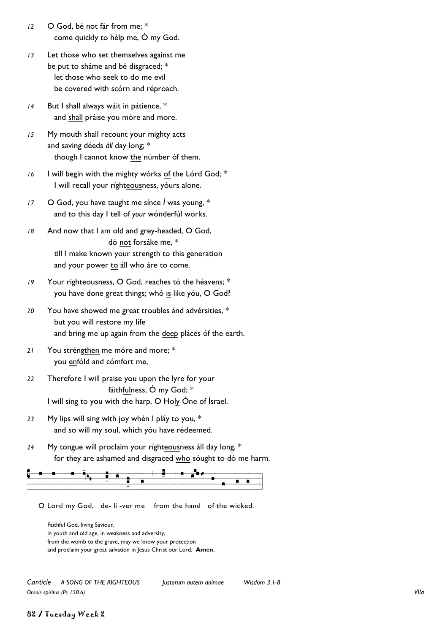- *12* O God, bé not fár from me; \* come quickly to hélp me, Ó my God.
- *13* Let those who set themselves against me be put to sháme and bé disgraced; \* let those who seek to do me evil be covered with scórn and réproach.
- *14* But I shall always wáit in pátience, \* and shall práise you móre and more.
- *15* My mouth shall recount your mighty acts and saving déeds *áll* day long; \* though I cannot know the númber óf them.
- *16* I will begin with the mighty wórks of the Lórd God; \* I will recall your ríghteousness, yóurs alone.
- *17* O God, you have taught me sínce *Í* was young, \* and to this day I tell of *your* wónderfúl works.
- 18 And now that I am old and grey-headed, O God, dó not forsáke me, \* till I make known your strength to this generation and your power to áll who áre to come.
- *19* Your righteousness, O God, reaches tó the héavens; \* you have done great things; whó is like yóu, O God?
- *20* You have showed me great troubles ánd advérsities, \* but you will restore my life and bring me up again from the deep pláces óf the earth.
- *21* You stréngthen me móre and more; \* you enfóld and cómfort me,
- *22* Therefore I will praise you upon the lyre for your fáithfulness, Ó my God; \* I will sing to you with the harp, O Holy Óne of Ísrael.
- *23* My lips will sing with joy whén I pláy to you, \* and so will my soul, which yóu have rédeemed.
- *24* My tongue will proclaim your ríghteousness áll day long, \* for they are ashamed and disgraced who sóught to dó me harm.



O Lord my God, de- li -ver me from the hand of the wicked.

Faithful God, living Saviour, in youth and old age, in weakness and adversity, from the womb to the grave, may we know your protection and proclaim your great salvation in Jesus Christ our Lord. **Amen.**

# 82 / Tuesday Week 2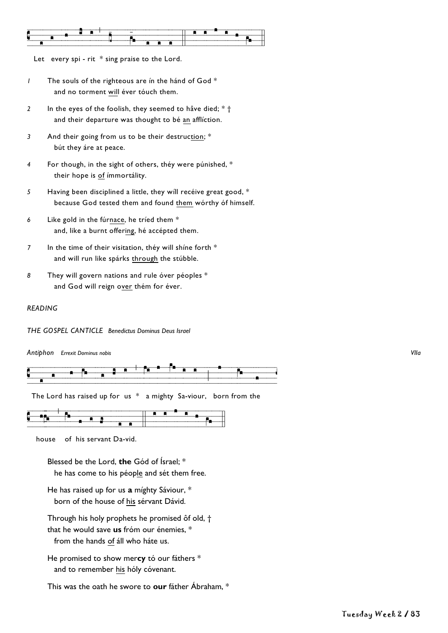

Let every spi - rit \* sing praise to the Lord.

- *1* The souls of the righteous are ín the hánd of God \* and no torment will éver tóuch them.
- *2* In the eyes of the foolish, they seemed to hâve died; \* † and their departure was thought to bé an afflíction.
- *3* And their going from us to be their destruction; \* bút they áre at peace.
- *4* For though, in the sight of others, théy were púnished, \* their hope is of ímmortálity.
- *5* Having been disciplined a little, they wíll recéive great good, \* because God tested them and found them wórthy óf himself.
- *6* Like gold in the fúrnace, he tríed them \* and, like a burnt offering, hé accépted them.
- *7* In the time of their visitation, théy will shíne forth \* and will run like spárks through the stúbble.
- *8* They will govern nations and rule óver péoples \* and God will reign over thém for éver.

### *READING*

*THE GOSPEL CANTICLE Benedictus Dominus Deus Israel*

*Antiphon Errexit Dominus nobis VIIa*



The Lord has raised up for us  $*$  a mighty Sa-viour, born from the



house of his servant Da-vid.

Blessed be the Lord, **the** Gód of Ísrael; \* he has come to his péople and sét them free.

He has raised up for us **a** míghty Sáviour, \* born of the house of his sérvant Dávid.

Through his holy prophets he promised ôf old, † that he would save **us** fróm our énemies, \* from the hands of áll who háte us.

He promised to show mer**cy** tó our fáthers \* and to remember his hóly cóvenant.

This was the oath he swore to **our** fáther Ábraham, \*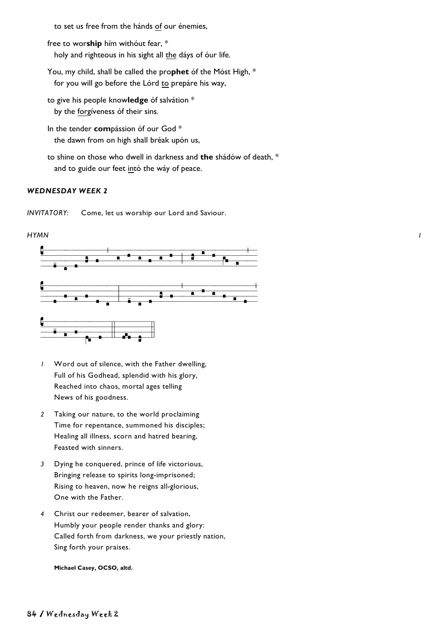to set us free from the hánds of our énemies,

free to wor**ship** hím withóut fear, \*

holy and righteous in his sight all the dáys of óur life.

You, my child, shall be called the pro**phet** óf the Móst High, \* for you will go before the Lórd to prepáre his way,

to give his people know**ledge** óf salvátion \* by the forgíveness óf their sins.

In the tender **com**pássion óf our God \* the dawn from on high shall bréak upón us,

to shine on those who dwell in darkness and **the** shádów of death, \* and to guide our feet intó the wáy of peace.

### *WEDNESDAY WEEK 2*



### *HYMN I*



- *1* Word out of silence, with the Father dwelling, Full of his Godhead, splendid with his glory, Reached into chaos, mortal ages telling News of his goodness.
- *2* Taking our nature, to the world proclaiming Time for repentance, summoned his disciples; Healing all illness, scorn and hatred bearing, Feasted with sinners.
- *3* Dying he conquered, prince of life victorious, Bringing release to spirits long-imprisoned; Rising to heaven, now he reigns all-glorious, One with the Father.
- *4* Christ our redeemer, bearer of salvation, Humbly your people render thanks and glory: Called forth from darkness, we your priestly nation, Sing forth your praises.

**Michael Casey, OCSO, altd.**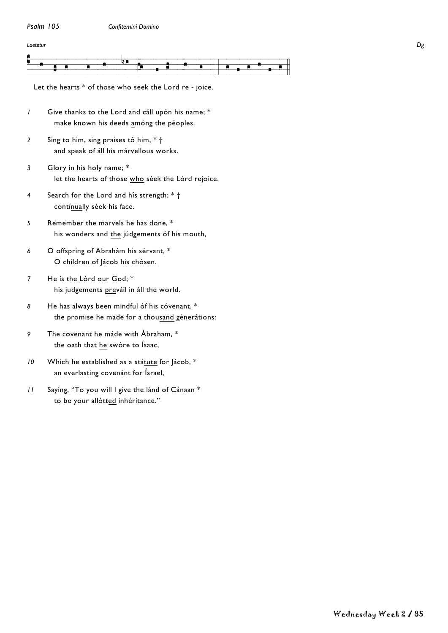|  | - |  |                |  |       |        |  |  |  |
|--|---|--|----------------|--|-------|--------|--|--|--|
|  |   |  | _____<br>----- |  | _____ | ------ |  |  |  |
|  |   |  |                |  |       |        |  |  |  |
|  |   |  |                |  |       |        |  |  |  |

Let the hearts \* of those who seek the Lord re - joice.

- *1* Give thanks to the Lord and cáll upón his name; \* make known his deeds amóng the péoples.
- *2* Sing to him, sing praises tô him, \* † and speak of áll his márvellous works.
- *3* Glory in his holy name; \* let the hearts of those who séek the Lórd rejoice.
- *4* Search for the Lord and hîs strength; \* † contínually séek his face.
- *5* Remember the marvels he has done, \* his wonders and the júdgements óf his mouth,
- *6* O offspring of Abrahám his sérvant, \* O children of Jácob his chósen.
- *7* He ís the Lórd our God; \* his judgements preváil in áll the world.
- *8* He has always been mindful óf his cóvenant, \* the promise he made for a thousand génerátions:
- *9* The covenant he máde with Ábraham, \* the oath that he swóre to Ísaac,
- 10 Which he established as a státute for Jácob, \* an everlasting covenánt for Ísrael,
- *11* Saying, "To you will I give the lánd of Cánaan \* to be your allótted inhéritance."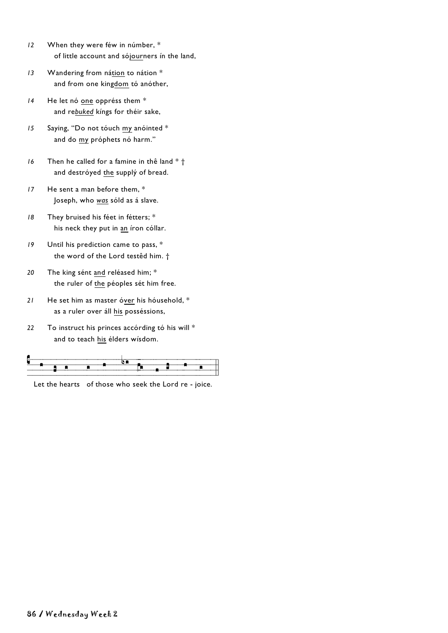- *12* When they were féw in númber, \* of little account and sójourners ín the land,
- 13 Wandering from nátion to nátion  $*$ and from one kingdom tó anóther,
- 14 He let nó one oppréss them \* and re*buked* kíngs for théir sake,
- *15* Saying, "Do not tóuch my anóinted \* and do my próphets nó harm."
- *16* Then he called for a famine in thê land \* † and destróyed the supplý of bread.
- *17* He sent a man before them, \* Joseph, who *was* sóld as á slave.
- *18* They bruised his féet in fétters; \* his neck they put in an íron cóllar.
- *19* Until his prediction came to pass, \* the word of the Lord testêd him. †
- *20* The king sént and reléased him; \* the ruler of the péoples sét him free.
- *21* He set him as master óver his hóusehold, \* as a ruler over áll his posséssions,
- *22* To instruct his princes accórding tó his will \* and to teach his élders wísdom.

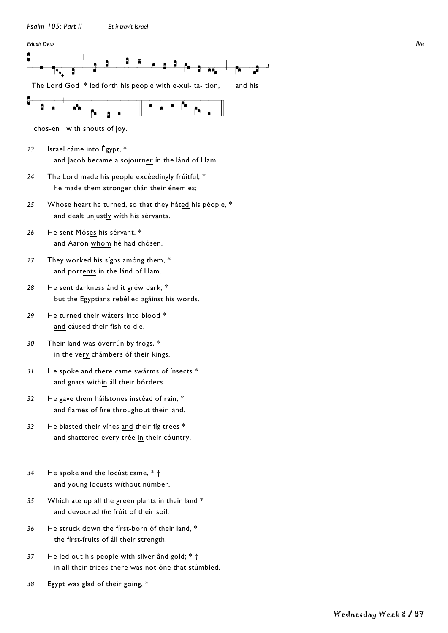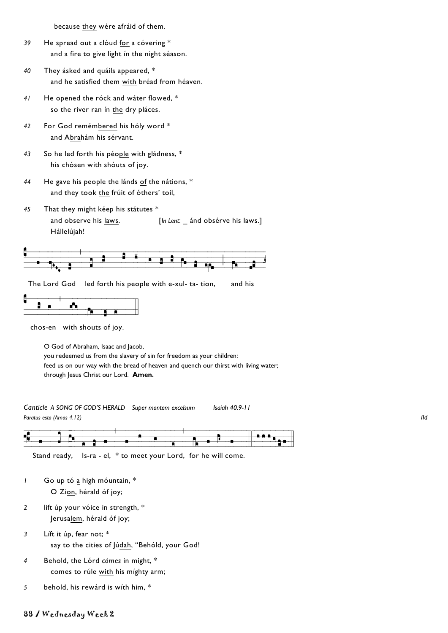because they wére afráid of them.

- He spread out a clóud for a cóvering \* 39 and a fire to give light in the night séason.
- They ásked and quáils appeared, \* 40 and he satisfied them with bréad from héaven.
- He opened the róck and wáter flowed, \*  $41$ so the river ran in the dry places.
- 42 For God remémbered his hóly word \* and Abrahám his sérvant.
- So he led forth his péople with gládness, \* 43 his chósen with shóuts of joy.
- 44 He gave his people the lánds of the nátions, \* and they took the frúit of óthers' toil,
- That they might kéep his státutes \* 45 and observe his laws. [In Lent: ánd obsérve his laws.] Hállelújah!



The Lord God led forth his people with e-xul- ta- tion, and his



chos-en with shouts of joy.

O God of Abraham, Isaac and Jacob,

you redeemed us from the slavery of sin for freedom as your children:

feed us on our way with the bread of heaven and quench our thirst with living water; through Jesus Christ our Lord. Amen.

Canticle A SONG OF GOD'S HERALD Super montem excelsum Isaiah 40.9-11 Paratus esto (Amos 4.12)



Is-ra - el, \* to meet your Lord, for he will come. Stand ready,

- Go up tó a high móuntain, \*  $\overline{I}$ O Zion, hérald óf joy;
- $\overline{2}$ lift úp your vóice in strength, \* Jerusalem, hérald óf joy;
- Líft it úp, fear not; \*  $\overline{3}$ say to the cities of Júdah, "Behóld, your God!
- Behold, the Lórd cómes in might, \* 4 comes to rúle with his míghty arm;
- $\overline{5}$ behold, his rewárd is wíth him, \*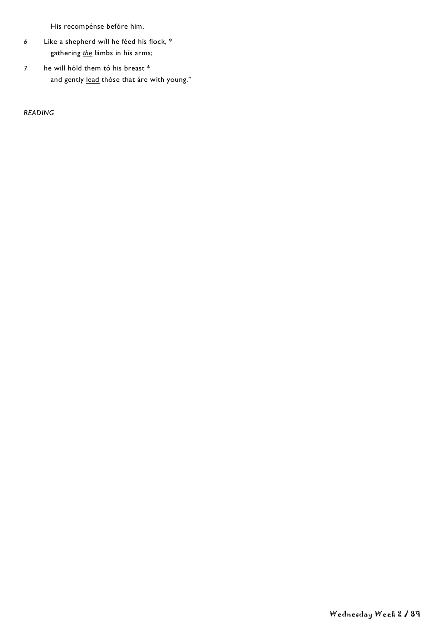His recompénse befóre him.

- Like a shepherd will he féed his flock, \*  $\pmb{6}$ gathering the lámbs in hís arms;
- $\boldsymbol{7}$ he will hóld them tó his breast \* and gently lead thóse that are with young."

**READING**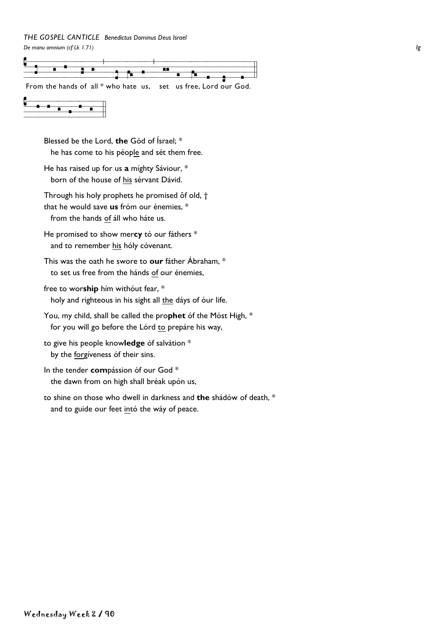### *THE GOSPEL CANTICLE Benedictus Dominus Deus Israel*

*De manu omnium (cf Lk 1.71) Ig*





Blessed be the Lord, **the** Gód of Ísrael; \* he has come to his péople and sét them free.

He has raised up for us **a** míghty Sáviour, \* born of the house of his sérvant Dávid.

Through his holy prophets he promised ôf old, † that he would save **us** fróm our énemies, \* from the hands of áll who háte us.

He promised to show mer**cy** tó our fáthers \* and to remember his hóly cóvenant.

This was the oath he swore to **our** fáther Ábraham, \* to set us free from the hánds of our énemies,

- free to wor**ship** hím withóut fear, \* holy and righteous in his sight all the dáys of óur life.
- You, my child, shall be called the pro**phet** óf the Móst High, \* for you will go before the Lórd to prepáre his way,
- to give his people know**ledge** óf salvátion \* by the forgíveness óf their sins.
- In the tender **com**pássion óf our God \* the dawn from on high shall bréak upón us,
- to shine on those who dwell in darkness and **the** shádów of death, \* and to guide our feet intó the wáy of peace.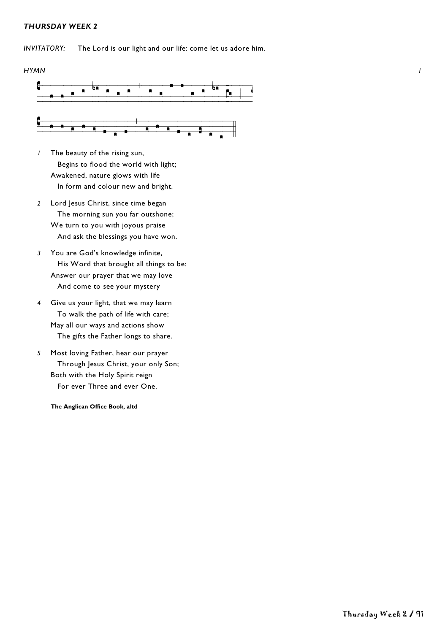### *THURSDAY WEEK 2*

*INVITATORY:* The Lord is our light and our life: come let us adore him.



- *1* The beauty of the rising sun, Begins to flood the world with light; Awakened, nature glows with life In form and colour new and bright.
- *2* Lord Jesus Christ, since time began The morning sun you far outshone; We turn to you with joyous praise And ask the blessings you have won.
- *3* You are God's knowledge infinite, His Word that brought all things to be: Answer our prayer that we may love And come to see your mystery
- *4* Give us your light, that we may learn To walk the path of life with care; May all our ways and actions show The gifts the Father longs to share.
- *5* Most loving Father, hear our prayer Through Jesus Christ, your only Son; Both with the Holy Spirit reign For ever Three and ever One.

**The Anglican Office Book, altd**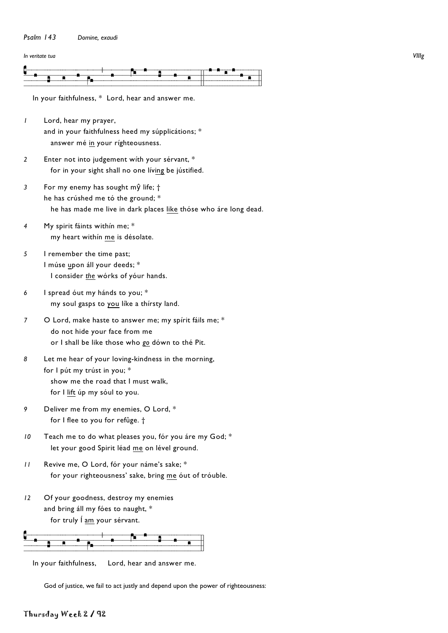#### Psalm 143 Domine, exaudi

In veritate tua

|  |  | In your faithfulness, * Lord, hear and answer me. |  |  |  |  |
|--|--|---------------------------------------------------|--|--|--|--|

- $\overline{1}$ Lord, hear my prayer, and in your faithfulness heed my súpplicátions; \* answer mé in your ríghteousness.
- $\overline{2}$ Enter not into judgement with your sérvant, \* for in your sight shall no one líving be jústified.
- For my enemy has sought mŷ life; †  $\overline{3}$ he has crúshed me tó the ground; \* he has made me live in dark places like thóse who áre long dead.
- My spirit fáints withín me; \*  $\overline{4}$ my heart withín me is désolate.
- $\overline{5}$ I remember the time past; I múse upon áll your deeds; \* I consider the wórks of yóur hands.
- I spread óut my hánds to you; \* 6 my soul gasps to you like a thirsty land.
- $\overline{7}$ O Lord, make haste to answer me; my spírit fáils me; \* do not hide your face from me or I shall be like those who go dówn to thé Pit.
- Let me hear of your loving-kindness in the morning, 8 for I pút my trúst in you; \* show me the road that I must walk, for I lift úp my sóul to you.
- Deliver me from my enemies, O Lord, \* 9 for I flee to you for refûge. +
- $10$ Teach me to do what pleases you, fór you áre my God; \* let your good Spirit léad me on lével ground.
- $\frac{1}{2}$ Revive me, O Lord, fór your náme's sake; \* for your righteousness' sake, bring me out of trouble.
- $12$ Of your goodness, destroy my enemies and bring all my foes to naught, \* for truly l am your sérvant.



In your faithfulness, Lord, hear and answer me.

God of justice, we fail to act justly and depend upon the power of righteousness: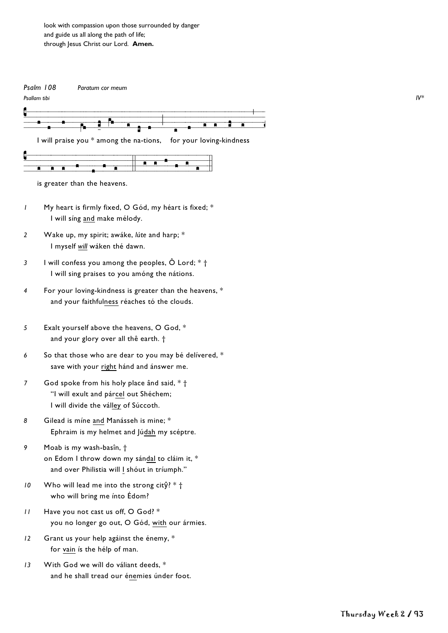look with compassion upon those surrounded by danger and guide us all along the path of life; through Jesus Christ our Lord. Amen.



is greater than the heavens.

- My heart is firmly fixed, O Gód, my héart is fixed; \*  $\overline{1}$ I will sing and make mélody.
- $\overline{2}$ Wake up, my spirit; awáke, lúte and harp; \* I myself will wáken thé dawn.
- I will confess you among the peoples,  $\hat{O}$  Lord;  $*$   $\dagger$ 3 I will sing praises to you amóng the nátions.
- $\overline{\mathcal{A}}$ For your loving-kindness is greater than the heavens, \* and your faithfulness réaches tó the clouds.
- $\overline{5}$ Exalt yourself above the heavens, O God, \* and your glory over all thê earth. +
- So that those who are dear to you may bé delivered, \* 6 save with your right hánd and ánswer me.
- $\overline{7}$ God spoke from his holy place and said, \* + "I will exult and párcel out Shéchem; I will divide the válley of Súccoth.
- Gilead is míne and Manásseh is mine; \* 8 Ephraim is my helmet and Júdah my scéptre.
- 9 Moab is my wash-basîn, † on Edom I throw down my sándal to cláim it, \* and over Philistia will I shout in triumph."
- Who will lead me into the strong cit $\hat{y}$ ? \* †  $10$ who will bring me into Édom?
- Have you not cast us off, O God? \*  $\frac{1}{2}$ you no longer go out, O Gód, with our ármies.
- $12$ Grant us your help agáinst the énemy, \* for vain is the hélp of man.
- With God we will do váliant deeds, \*  $13$ and he shall tread our énemies únder foot.

 $IV^*$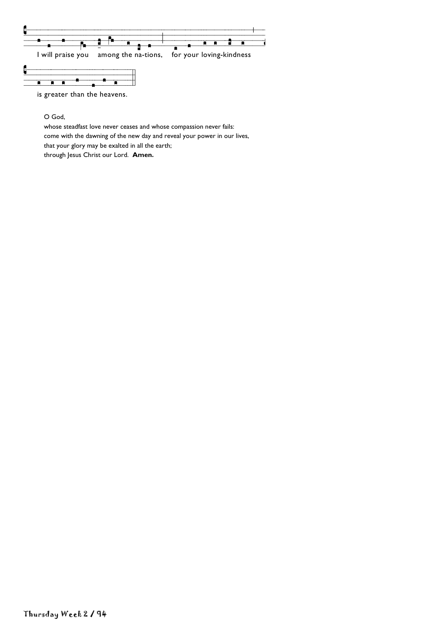

O God,

whose steadfast love never ceases and whose compassion never fails: come with the dawning of the new day and reveal your power in our lives, that your glory may be exalted in all the earth; through Jesus Christ our Lord. **Amen.**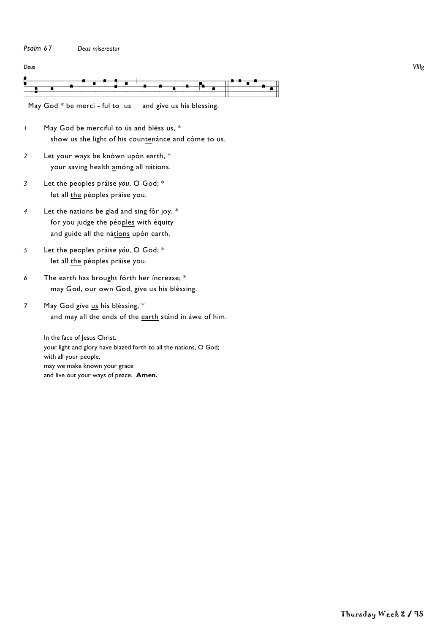## *Psalm 67 Deus misereatur*

| Deus |                                                                                                                                                            | VIIIg |
|------|------------------------------------------------------------------------------------------------------------------------------------------------------------|-------|
|      |                                                                                                                                                            |       |
|      | May God * be merci - ful to us<br>and give us his blessing.                                                                                                |       |
|      | May God be merciful to ús and bléss us, *<br>show us the light of his countenánce and cóme to us.                                                          |       |
| 2    | Let your ways be knówn upón earth, *<br>your saving health amóng all nátions.                                                                              |       |
| 3    | Let the peoples práise yóu, O God; *<br>let all the péoples práise you.                                                                                    |       |
| 4    | Let the nations be glad and sing fôr joy, $*$<br>for you judge the péoples with équity<br>and guide all the nátions upón earth.                            |       |
| 5    | Let the peoples práise yóu, O God; *<br>let all the péoples práise you.                                                                                    |       |
| 6    | The earth has brought fórth her íncrease; *<br>may God, our own God, give us his bléssing.                                                                 |       |
| 7    | May God give us his bléssing, *<br>and may all the ends of the earth stánd in áwe of him.                                                                  |       |
|      | In the face of Jesus Christ,<br>your light and glory have blazed forth to all the nations, O God;<br>with all your people,<br>may we make known your grace |       |

and live out your ways of peace. **Amen.**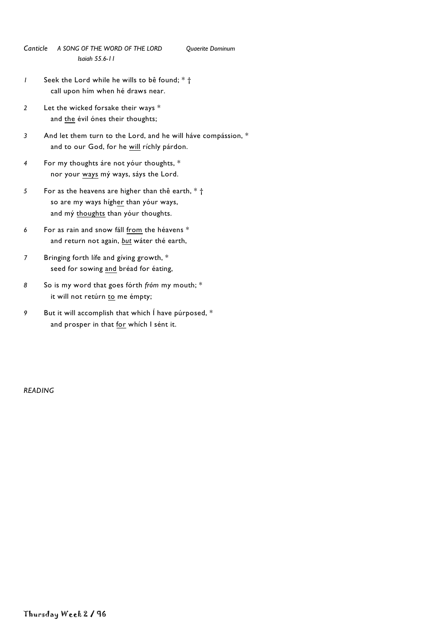*Canticle A SONG OF THE WORD OF THE LORD Quaerite Dominum Isaiah 55.6-11*

- *1* Seek the Lord while he wills to bê found; \* † call upon hím when hé draws near.
- *2* Let the wicked forsake their ways \* and the évil ónes their thoughts;
- *3* And let them turn to the Lord, and he will háve compássion, \* and to our God, for he will ríchly párdon.
- *4* For my thoughts áre not yóur thoughts, \* nor your ways mý ways, sáys the Lord.
- *5* For as the heavens are higher than thê earth, \* † so are my ways hígher than yóur ways, and mý thoughts than yóur thoughts.
- *6* For as rain and snow fáll from the héavens \* and return not again, *but* wáter thé earth,
- *7* Bringing forth lífe and gíving growth, \* seed for sowing and bréad for éating,
- *8* So is my word that goes fórth *fróm* my mouth; \* it will not retúrn to me émpty;
- *9* But it will accomplish that which Í have púrposed, \* and prosper in that for whích I sént it.

*READING*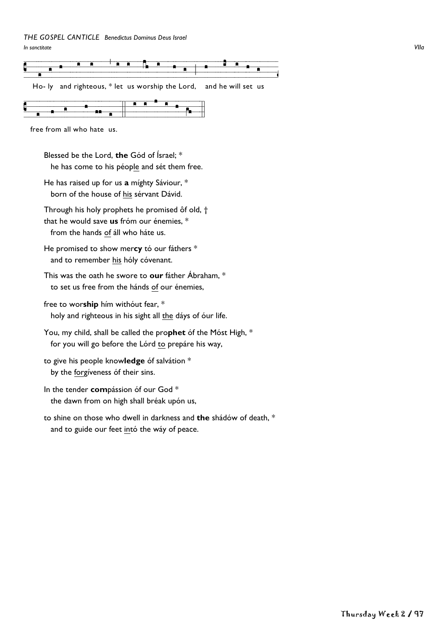## *THE GOSPEL CANTICLE Benedictus Dominus Deus Israel*

*In sanctitate VIIa*



free from all who hate us.

Blessed be the Lord, **the** Gód of Ísrael; \* he has come to his péople and sét them free.

He has raised up for us **a** míghty Sáviour, \* born of the house of his sérvant Dávid.

Through his holy prophets he promised ôf old, † that he would save **us** fróm our énemies, \* from the hands of áll who háte us.

He promised to show mer**cy** tó our fáthers \* and to remember his hóly cóvenant.

This was the oath he swore to **our** fáther Ábraham, \* to set us free from the hánds of our énemies,

- free to wor**ship** hím withóut fear, \* holy and righteous in his sight all the dáys of óur life.
- You, my child, shall be called the pro**phet** óf the Móst High, \* for you will go before the Lórd to prepáre his way,
- to give his people know**ledge** óf salvátion \* by the forgíveness óf their sins.
- In the tender **com**pássion óf our God \* the dawn from on high shall bréak upón us,
- to shine on those who dwell in darkness and **the** shádów of death, \* and to guide our feet intó the wáy of peace.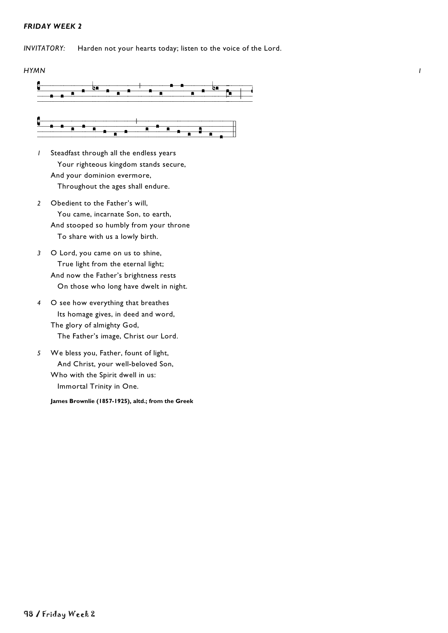### *FRIDAY WEEK 2*

*INVITATORY:* Harden not your hearts today; listen to the voice of the Lord.



- *1* Steadfast through all the endless years Your righteous kingdom stands secure, And your dominion evermore, Throughout the ages shall endure.
- *2* Obedient to the Father's will, You came, incarnate Son, to earth, And stooped so humbly from your throne To share with us a lowly birth.
- *3* O Lord, you came on us to shine, True light from the eternal light; And now the Father's brightness rests On those who long have dwelt in night.
- *4* O see how everything that breathes Its homage gives, in deed and word, The glory of almighty God, The Father's image, Christ our Lord.
- *5* We bless you, Father, fount of light, And Christ, your well-beloved Son, Who with the Spirit dwell in us: Immortal Trinity in One.

**James Brownlie (1857-1925), altd.; from the Greek**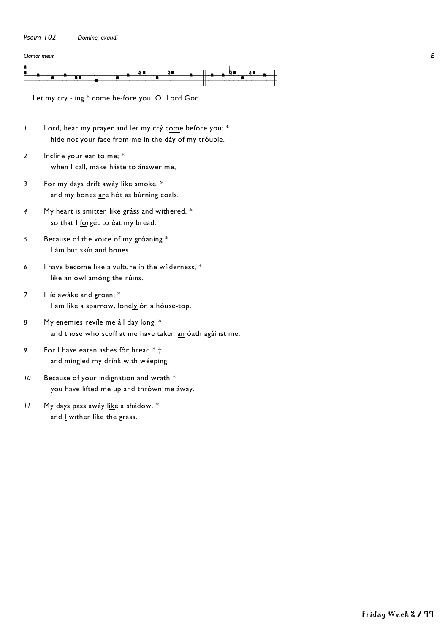Psalm 102 Domine, exaudi

Clamor meus



Let my cry - ing \* come be-fore you, O Lord God.

| Lord, hear my prayer and let my crý come befóre you; * |
|--------------------------------------------------------|
| hide not your face from me in the dáy of my tróuble.   |

- Inclíne your éar to me; \*  $\overline{2}$ when I call, make háste to ánswer me,
- For my days dríft awáy like smoke, \*  $\overline{3}$ and my bones are hót as búrning coals.
- My heart is smitten like gráss and wíthered, \*  $\overline{4}$ so that I forgét to éat my bread.
- $\overline{5}$ Because of the vóice of my gróaning \* I ám but skín and bones.
- I have become like a vulture in the wilderness, \* 6 like an owl amóng the rúins.
- I lie awake and groan; \*  $\overline{7}$ I am like a sparrow, lonely ón a hóuse-top.
- My enemies revíle me áll day long, \* 8 and those who scoff at me have taken an óath agáinst me.
- For I have eaten ashes fôr bread \* + 9 and mingled my drínk with wéeping.
- Because of your indignation and wrath \*  $10$ you have lifted me up and thrówn me áway.
- $\frac{1}{2}$ My days pass awáy like a shádow, \* and I wither like the grass.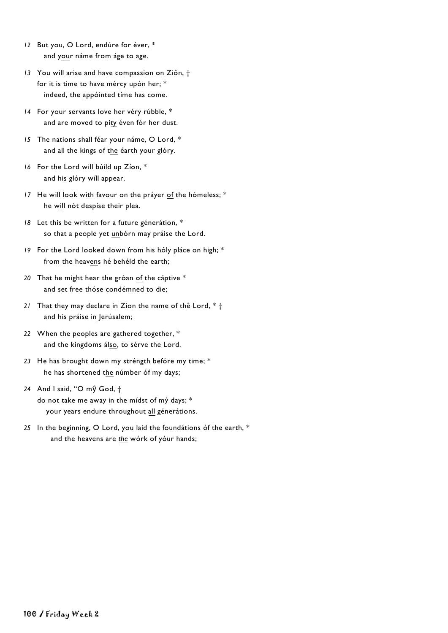- *12* But you, O Lord, endúre for éver, \* and your náme from áge to age.
- *13* You will arise and have compassion on Ziôn, † for it is time to have mércy upón her; \* indeed, the appóinted tíme has come.
- *14* For your servants love her véry rúbble, \* and are moved to pity éven fór her dust.
- *15* The nations shall féar your náme, O Lord, \* and all the kings of the éarth your glóry.
- *16* For the Lord will búild up Zíon, \* and his glóry wíll appear.
- *17* He will look with favour on the práyer of the hómeless; \* he will nót despíse their plea.
- *18* Let this be written for a future génerátion, \* so that a people yet unbórn may práise the Lord.
- *19* For the Lord looked down from his hóly pláce on high; \* from the heavens hé behéld the earth;
- *20* That he might hear the gróan of the cáptive \* and set free thóse condémned to die;
- *21* That they may declare in Zion the name of thê Lord, \* † and his práise in Jerúsalem;
- *22* When the peoples are gathered together, \* and the kingdoms álso, to sérve the Lord.
- *23* He has brought down my stréngth befóre my time; \* he has shortened the númber óf my days;
- 24 And I said, "O mŷ God,  $\dagger$ do not take me away in the mídst of mý days; \* your years endure throughout all génerátions.
- *25* In the beginning, O Lord, you laid the foundátions óf the earth, \* and the heavens are *the* wórk of yóur hands;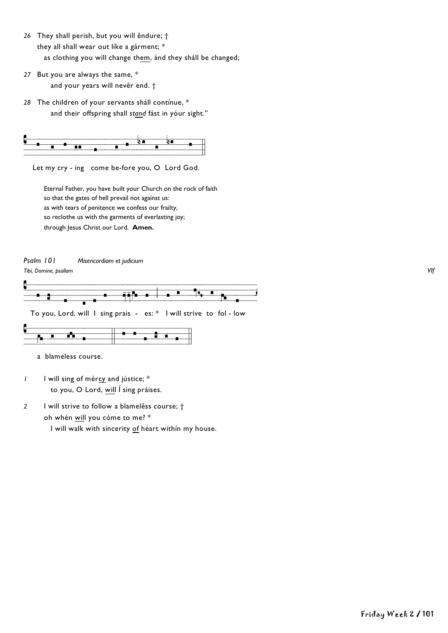- 26 They shall perish, but you will êndure; + they all shall wear out like a gárment; \* as clothing you will change them, and they shall be changed;
- 27 But you are always the same, \* and your years will nevêr end. +
- 28 The children of your servants shall continue, \* and their offspring shall stand fást in yóur sight."



Let my cry - ing come be-fore you, O Lord God.

Eternal Father, you have built your Church on the rock of faith so that the gates of hell prevail not against us: as with tears of penitence we confess our frailty, so reclothe us with the garments of everlasting joy; through Jesus Christ our Lord. Amen.

### Psalm 101 Misericordiam et judicium Tibi, Domine, psallam



To you, Lord, will I sing prais - es: \* I will strive to fol - low



a blameless course.

- I will sing of mércy and jústice; \*  $\mathbf{I}$ to you, O Lord, will I sing práises.
- $\overline{2}$ I will strive to follow a blamelêss course; † oh whén will you cóme to me? \* I will walk with sincerity of héart withín my house.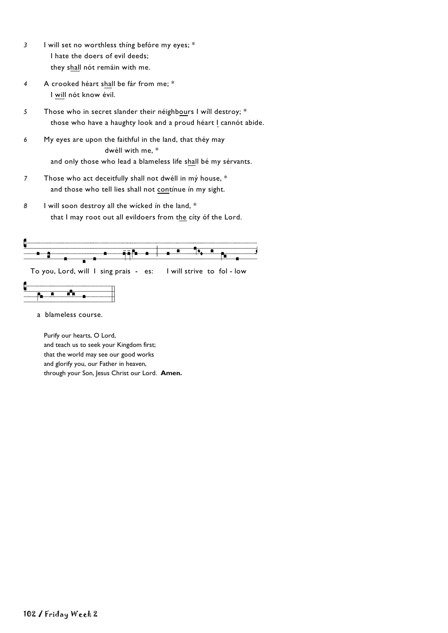- *3* I will set no worthless thíng befóre my eyes; \* I hate the doers of evil deeds; they shall nót remáin with me.
- *4* A crooked héart shall be fár from me; \* I will nót know évil.
- *5* Those who in secret slander their néighbours I wíll destroy; \* those who have a haughty look and a proud héart I cannót abide.
- *6* My eyes are upon the faithful in the land, that théy may dwéll with me, \* and only those who lead a blameless life shall bé my sérvants.
- *7* Those who act deceitfully shall not dwéll in mý house, \* and those who tell lies shall not contínue ín my sight.
- *8* I will soon destroy all the wícked ín the land, \* that I may root out all evildoers from the cíty óf the Lord.



To you, Lord, will I sing prais - es: I will strive to fol - low



a blameless course.

Purify our hearts, O Lord, and teach us to seek your Kingdom first; that the world may see our good works and glorify you, our Father in heaven, through your Son, Jesus Christ our Lord. **Amen.**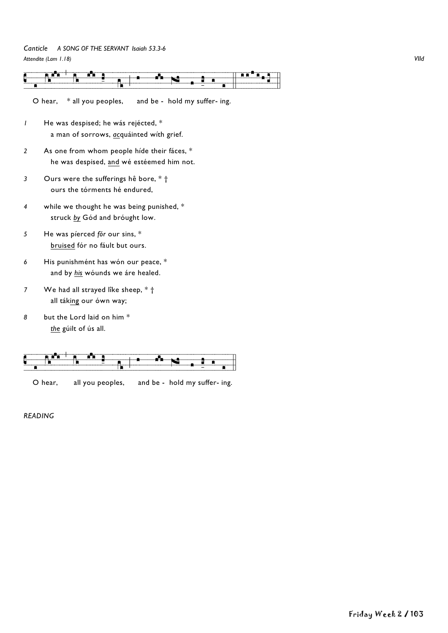Canticle A SONG OF THE SERVANT Isaiah 53.3-6 Attendite (Lam 1.18)

|   | $\blacksquare$                                                                           |
|---|------------------------------------------------------------------------------------------|
|   | * all you peoples,<br>O hear,<br>and be - hold my suffer- ing.                           |
| I | He was despised; he wás rejécted, *<br>a man of sorrows, acquáinted with grief.          |
| 2 | As one from whom people híde their fáces, *<br>he was despised, and wé estéemed him not. |
| 3 | Ours were the sufferings hê bore, * †<br>ours the tórments hé endured,                   |
| 4 | while we thought he was being punished, *<br>struck by Gód and bróught low.              |
| 5 | He was pierced for our sins, *<br>bruised fór no fáult but ours.                         |
| 6 | His punishmént has wón our peace, *<br>and by his wóunds we áre healed.                  |
| 7 | We had all strayed lîke sheep, $*$ $\dagger$<br>all táking our ówn way;                  |
| 8 | but the Lord laid on him *<br>the gúilt of ús all.                                       |
|   |                                                                                          |

all you peoples, and be - hold my suffer-ing. O hear,

READING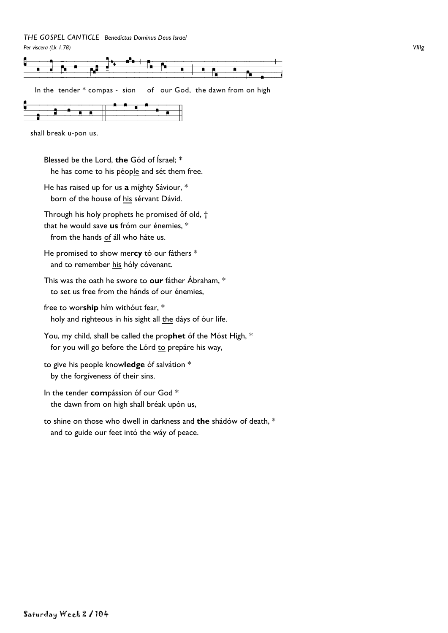### THE GOSPEL CANTICLE Benedictus Dominus Deus Israel

Per viscera (Lk 1.78)



In the tender  $*$  compas - sion of our God, the dawn from on high



shall break u-pon us.

Blessed be the Lord, the Gód of Ísrael; \* he has come to his péople and sét them free.

He has raised up for us a míghty Sáviour, \* born of the house of his sérvant Dávid.

Through his holy prophets he promised ôf old, † that he would save us fróm our énemies, \* from the hands of áll who háte us.

He promised to show mercy tó our fáthers \* and to remember his hóly cóvenant.

This was the oath he swore to our father Abraham, \* to set us free from the hánds of our énemies,

free to worship him without fear, \* holy and righteous in his sight all the dáys of óur life.

You, my child, shall be called the prophet of the Most High, \* for you will go before the Lórd to prepáre his way,

```
to give his people knowledge óf salvátion *
by the forgiveness of their sins.
```
- In the tender compássion óf our God\* the dawn from on high shall bréak upón us,
- to shine on those who dwell in darkness and the shádów of death, \* and to guide our feet intó the wáy of peace.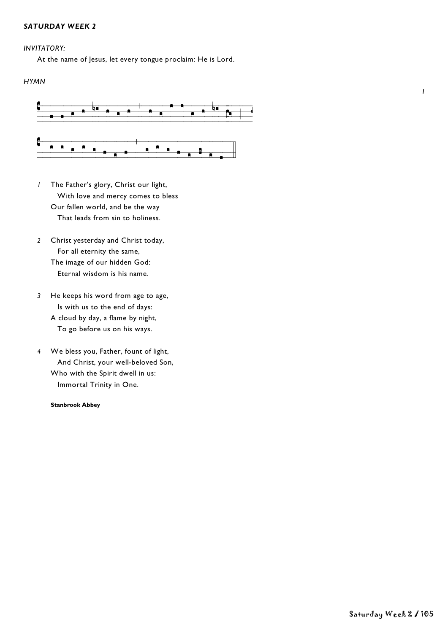### *SATURDAY WEEK 2*

### *INVITATORY:*

At the name of Jesus, let every tongue proclaim: He is Lord.

### *HYMN*



- *1* The Father's glory, Christ our light, With love and mercy comes to bless Our fallen world, and be the way That leads from sin to holiness.
- *2* Christ yesterday and Christ today, For all eternity the same, The image of our hidden God: Eternal wisdom is his name.
- *3* He keeps his word from age to age, Is with us to the end of days: A cloud by day, a flame by night, To go before us on his ways.
- *4* We bless you, Father, fount of light, And Christ, your well-beloved Son, Who with the Spirit dwell in us: Immortal Trinity in One.

**Stanbrook Abbey**

*I*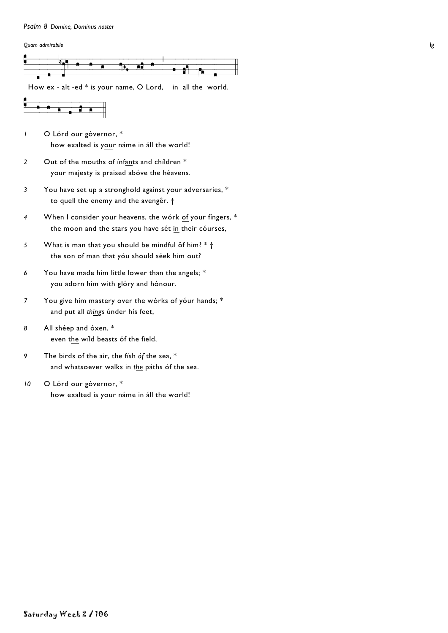### *Psalm 8 Domine, Dominus noster*

*Quam admirabile Ig*

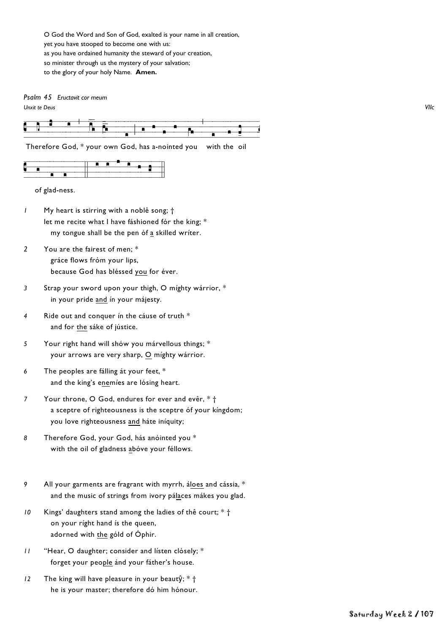O God the Word and Son of God, exalted is your name in all creation, yet you have stooped to become one with us: as you have ordained humanity the steward of your creation, so minister through us the mystery of your salvation; to the glory of your holy Name. Amen.

Psalm 45 Eructavit cor meum



Therefore God, \* your own God, has a-nointed you with the oil



of glad-ness.

- $\overline{I}$ My heart is stirring with a noblê song; † let me recite what I have fáshioned fór the king; \* my tongue shall be the pen of a skilled writer.
- You are the fairest of men; \*  $\overline{2}$ gráce flows fróm your lips, because God has bléssed you for éver.
- Strap your sword upon your thigh, O míghty wárrior, \*  $\mathbf{3}$ in your pride and in your májesty.
- Ride out and conquer in the cause of truth \*  $\overline{\mathcal{A}}$ and for the sáke of jústice.
- $\overline{5}$ Your right hand will shów you márvellous things; \* your arrows are very sharp, O míghty wárrior.
- The peoples are fálling át your feet, \* 6 and the king's enemies are lósing heart.
- Your throne, O God, endures for ever and evêr, \* +  $\overline{7}$ a sceptre of righteousness is the sceptre of your kingdom; you love righteousness and háte iníquity;
- Therefore God, your God, hás anóinted you \* 8 with the oil of gladness abóve your féllows.
- All your garments are fragrant with myrrh, áloes and cássia, \* 9 and the music of strings from ivory pálaces mákes you glad.
- Kings' daughters stand among the ladies of the court;  $*$   $\dagger$  $10$ on your right hand is the queen, adorned with the góld of Óphir.
- "Hear, O daughter; consider and listen closely; \*  $\overline{11}$ forget your people and your father's house.
- $12$ The king will have pleasure in your beaut $\hat{y}$ ; \*  $\dagger$ he is your master; therefore dó him hónour.

VIIc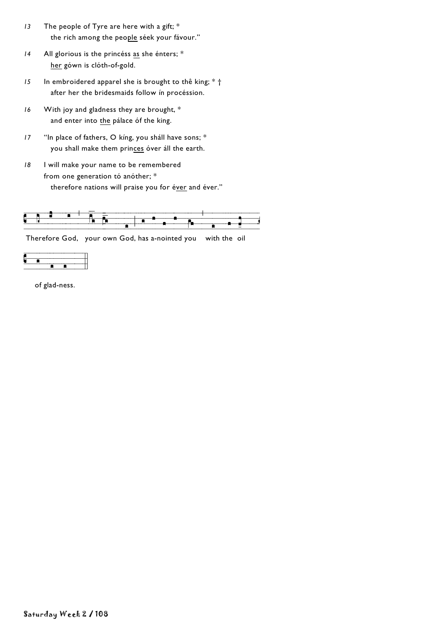- The people of Tyre are here with a gift; \*  $13$ the rich among the people séek your fávour."
- $\sqrt{4}$ All glorious is the princéss as she énters; \* her gówn is clóth-of-gold.
- In embroidered apparel she is brought to the king;  $*$   $\dagger$  $15$ after her the bridesmaids follow in procéssion.
- $16$ With joy and gladness they are brought, \* and enter into the pálace óf the king.
- "In place of fathers, O king, you shall have sons; \*  $17$ you shall make them princes óver áll the earth.
- $18$ I will make your name to be remembered from one generation tó anóther; \* therefore nations will praise you for éver and éver."



Therefore God, your own God, has a-nointed you with the oil



of glad-ness.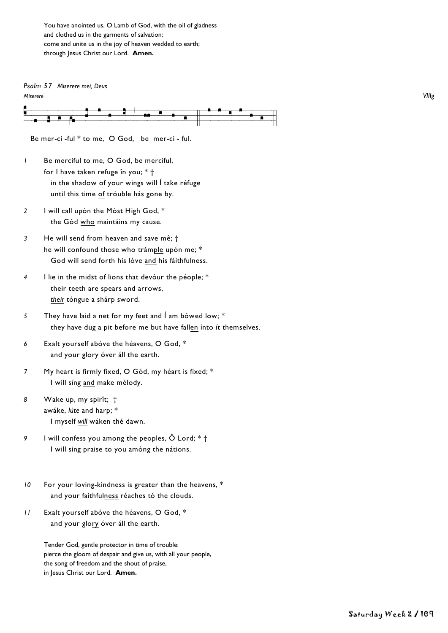You have anointed us, O Lamb of God, with the oil of gladness and clothed us in the garments of salvation: come and unite us in the joy of heaven wedded to earth; through Jesus Christ our Lord. **Amen.**

*Psalm 57 Miserere mei, Deus Miserere VIIIg*



Be mer-ci -ful \* to me, O God, be mer-ci - ful.

- *1* Be merciful to me, O God, be merciful, for I have taken refuge în you; \* † in the shadow of your wings will Í take réfuge until this time of tróuble hás gone by.
- *2* I will call upón the Móst High God, \* the Gód who maintáins my cause.
- *3* He will send from heaven and save mê; † he will confound those who trámple upón me; \* God will send forth his lóve and his fáithfulness.
- *4* I lie in the midst of lions that devóur the péople; \* their teeth are spears and arrows, *their* tóngue a shárp sword.
- *5* They have laid a net for my feet and Í am bówed low; \* they have dug a pit before me but have fallen ínto ít themselves.
- *6* Exalt yourself abóve the héavens, O God, \* and your glory óver áll the earth.
- *7* My heart is firmly fixed, O Gód, my héart is fixed; \* I will síng and make mélody.
- *8* Wake up, my spirît; † awáke, *lúte* and harp; \* I myself *will* wáken thé dawn.
- *9* I will confess you among the peoples, Ô Lord; \* † I will sing praise to you amóng the nátions.
- *10* For your loving-kindness is greater than the heavens, \* and your faithfulness réaches tó the clouds.
- *11* Exalt yourself abóve the héavens, O God, \* and your glory óver áll the earth.

Tender God, gentle protector in time of trouble: pierce the gloom of despair and give us, with all your people, the song of freedom and the shout of praise, in Jesus Christ our Lord. **Amen.**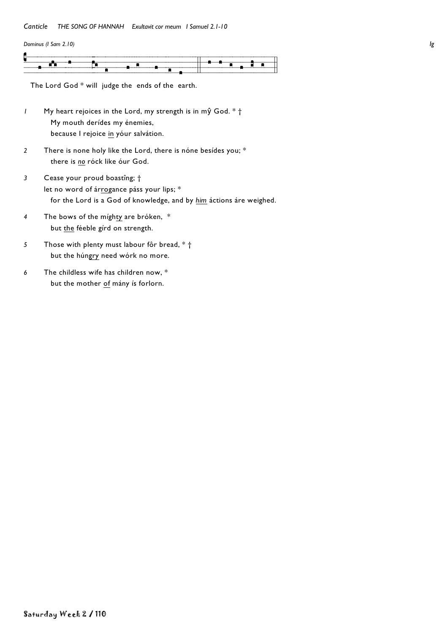Dominus (I Sam 2.10)



The Lord God \* will judge the ends of the earth.

- My heart rejoices in the Lord, my strength is in mŷ God.  $*$  +  $\overline{I}$ My mouth derídes my énemies, because I rejoice in yóur salvátion.
- There is none holy like the Lord, there is nóne besídes you; \*  $\overline{2}$ there is no róck like óur God.
- $\overline{3}$ Cease your proud boasting; † let no word of árrogance páss your lips; \* for the Lord is a God of knowledge, and by him áctions áre weighed.
- $\overline{\mathcal{A}}$ The bows of the mighty are bróken, \* but the féeble gírd on strength.
- Those with plenty must labour fôr bread, \* +  $\overline{5}$ but the húngry need wórk no more.
- The childless wife has children now, \*  $\pmb{6}$ but the mother of mány is forlorn.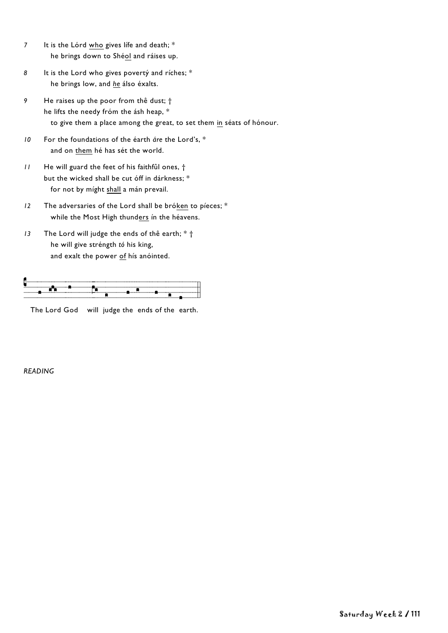- *7* It is the Lórd who gives lífe and death; \* he brings down to Shéol and ráises up.
- *8* It is the Lord who gives povertý and ríches; \* he brings low, and *he* álso éxalts.
- *9* He raises up the poor from thê dust; † he lifts the needy fróm the ásh heap, \* to give them a place among the great, to set them in séats of hónour.
- *10* For the foundations of the éarth *áre* the Lord's, \* and on them hé has sét the world.
- *11* He will guard the feet of his faithfûl ones, † but the wicked shall be cut óff in dárkness; \* for not by míght shall a mán prevail.
- *12* The adversaries of the Lord shall be bróken to píeces; \* while the Most High thunders in the héavens.
- *13* The Lord will judge the ends of thê earth; \* † he will give stréngth *tó* his king, and exalt the power of hís anóinted.



The Lord God will judge the ends of the earth.

*READING*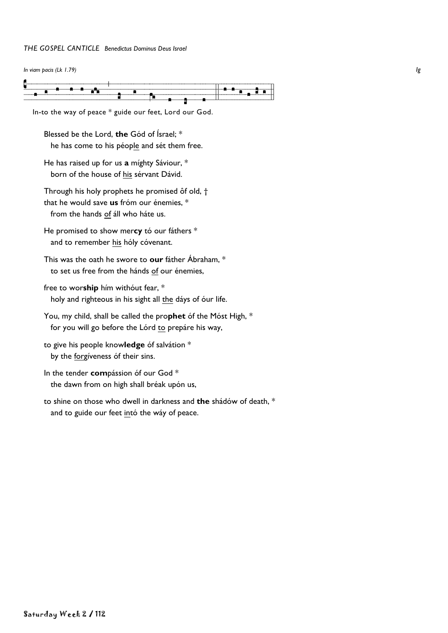## *THE GOSPEL CANTICLE Benedictus Dominus Deus Israel*

*In viam pacis (Lk 1.79) Ig*



In-to the way of peace \* guide our feet, Lord our God.

Blessed be the Lord, **the** Gód of Ísrael; \* he has come to his péople and sét them free.

He has raised up for us **a** míghty Sáviour, \* born of the house of his sérvant Dávid.

Through his holy prophets he promised ôf old, † that he would save **us** fróm our énemies, \* from the hands of áll who háte us.

- He promised to show mer**cy** tó our fáthers \* and to remember his hóly cóvenant.
- This was the oath he swore to **our** fáther Ábraham, \* to set us free from the hánds of our énemies,
- free to wor**ship** hím withóut fear, \* holy and righteous in his sight all the dáys of óur life.
- You, my child, shall be called the pro**phet** óf the Móst High, \* for you will go before the Lórd to prepáre his way,
- to give his people know**ledge** óf salvátion \* by the forgíveness óf their sins.
- In the tender **com**pássion óf our God \* the dawn from on high shall bréak upón us,
- to shine on those who dwell in darkness and **the** shádów of death, \* and to guide our feet intó the wáy of peace.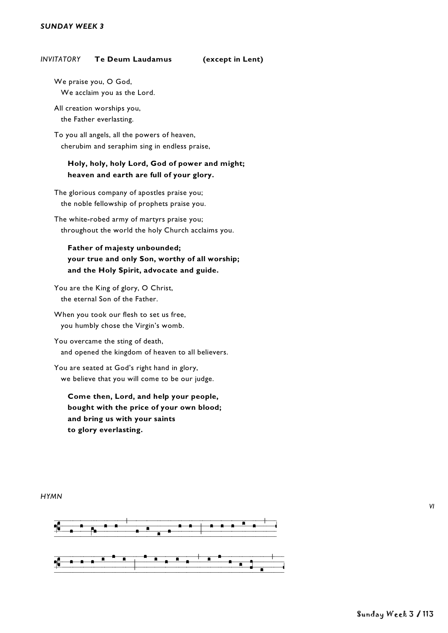## *INVITATORY* **Te Deum Laudamus (except in Lent)**

We praise you, O God, We acclaim you as the Lord.

All creation worships you, the Father everlasting.

To you all angels, all the powers of heaven, cherubim and seraphim sing in endless praise,

# **Holy, holy, holy Lord, God of power and might; heaven and earth are full of your glory.**

The glorious company of apostles praise you; the noble fellowship of prophets praise you.

The white-robed army of martyrs praise you; throughout the world the holy Church acclaims you.

# **Father of majesty unbounded; your true and only Son, worthy of all worship; and the Holy Spirit, advocate and guide.**

You are the King of glory, O Christ, the eternal Son of the Father.

When you took our flesh to set us free, you humbly chose the Virgin's womb.

You overcame the sting of death, and opened the kingdom of heaven to all believers.

You are seated at God's right hand in glory, we believe that you will come to be our judge.

**Come then, Lord, and help your people, bought with the price of your own blood; and bring us with your saints to glory everlasting.**

*HYMN*



*VI*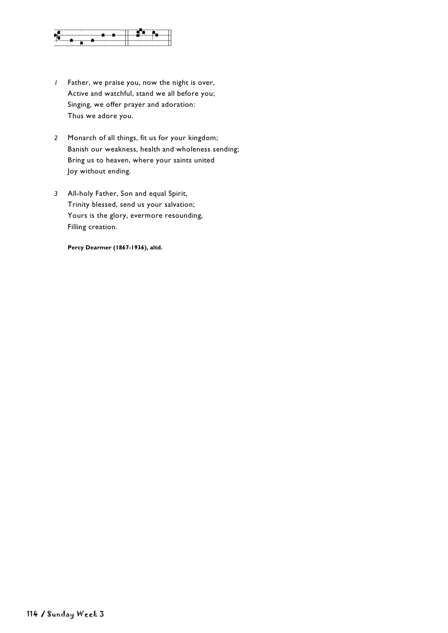

- *1* Father, we praise you, now the night is over, Active and watchful, stand we all before you; Singing, we offer prayer and adoration: Thus we adore you.
- *2* Monarch of all things, fit us for your kingdom; Banish our weakness, health and wholeness sending; Bring us to heaven, where your saints united Joy without ending.
- *3* All-holy Father, Son and equal Spirit, Trinity blessed, send us your salvation; Yours is the glory, evermore resounding, Filling creation.

**Percy Dearmer (1867-1936), altd.**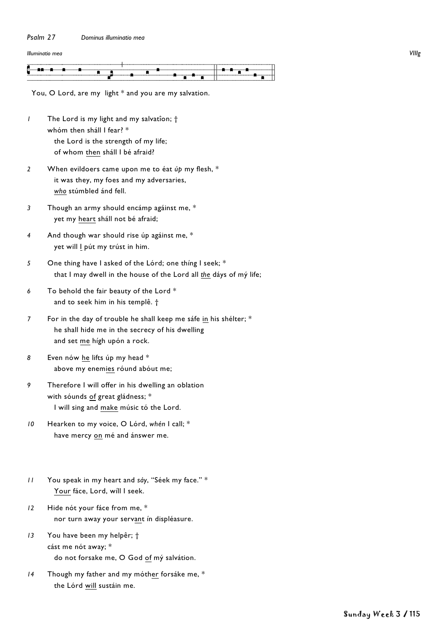## *Psalm 27 Dominus illuminatio mea*

*Illuminatio mea VIIIg*

| А |  |  |  |  |  |  |  |        |  |  |
|---|--|--|--|--|--|--|--|--------|--|--|
|   |  |  |  |  |  |  |  | -<br>- |  |  |
|   |  |  |  |  |  |  |  |        |  |  |
|   |  |  |  |  |  |  |  |        |  |  |
|   |  |  |  |  |  |  |  |        |  |  |

You, O Lord, are my light \* and you are my salvation.

- *1* The Lord is my light and my salvatîon; † whóm then sháll I fear? \* the Lord is the strength of my life; of whom then sháll I bé afraid?
- *2* When evildoers came upon me to éat *úp* my flesh, \* it was they, my foes and my adversaries, *who* stúmbled ánd fell.
- *3* Though an army should encámp agáinst me, \* yet my heart sháll not bé afraid;
- *4* And though war should rise úp agáinst me, \* yet will I pút my trúst in him.
- *5* One thing have I asked of the Lórd; one thíng I seek; \* that I may dwell in the house of the Lord all *the* dáys of mý life;
- *6* To behold the fair beauty of the Lord \* and to seek him in his templê. †
- *7* For in the day of trouble he shall keep me sáfe in his shélter; \* he shall hide me in the secrecy of his dwelling and set me hígh upón a rock.
- *8* Even nów he lifts úp my head \* above my enemies róund abóut me;
- *9* Therefore I will offer in his dwelling an oblation with sóunds of great gládness; \* I will sing and make músic tó the Lord.
- *10* Hearken to my voice, O Lórd, *whén* I call; \* have mercy on mé and ánswer me.
- *11* You speak in my heart and *sáy*, "Séek my face." \* Your fáce, Lord, wíll I seek.
- *12* Hide nót your fáce from me, \* nor turn away your servant ín displéasure.
- *13* You have been my helpêr; † cást me nót away; \* do not forsake me, O God of mý salvátion.
- *14* Though my father and my móther forsáke me, \* the Lórd will sustáin me.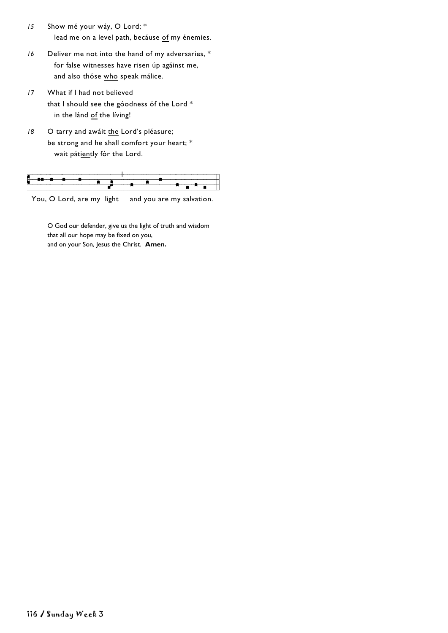- *15* Show mé your wáy, O Lord; \* lead me on a level path, becáuse of my énemies.
- *16* Deliver me not into the hand of my adversaries, \* for false witnesses have risen úp agáinst me, and also thóse who speak málice.
- *17* What if I had not believed that I should see the góodness óf the Lord \* in the lánd of the líving!
- 18 O tarry and awáit the Lord's pléasure; be strong and he shall comfort your heart; \* wait pátiently fór the Lord.



You, O Lord, are my light and you are my salvation.

O God our defender, give us the light of truth and wisdom that all our hope may be fixed on you, and on your Son, Jesus the Christ. **Amen.**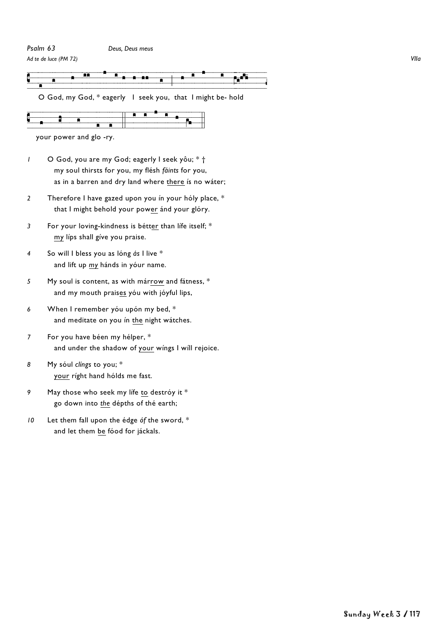*Psalm 63 Deus, Deus meus Ad te de luce (PM 72) VIIa*





your power and glo -ry.

- *1* O God, you are my God; eagerly I seek yôu; \* † my soul thirsts for you, my flésh *fáints* for you, as in a barren and dry land where there ís no wáter;
- *2* Therefore I have gazed upon you ín your hóly place, \* that I might behold your power and your glóry.
- *3* For your loving-kindness is bétter than lífe itself; \* my líps shall gíve you praise.
- *4* So will I bless you as lóng *ás* I live \* and lift up *my* hánds in yóur name.
- *5* My soul is content, as with márrow and fátness, \* and my mouth praises yóu with jóyful lips,
- *6* When I remember yóu upón my bed, \* and meditate on you ín the night wátches.
- *7* For you have béen my hélper, \* and under the shadow of your wings I will rejoice.
- *8* My sóul *clíngs* to you; \* your ríght hand hólds me fast.
- *9* May those who seek my lífe to destróy it \* go down into *the* dépths of thé earth;
- *10* Let them fall upon the édge *óf* the sword, \* and let them be fóod for jáckals.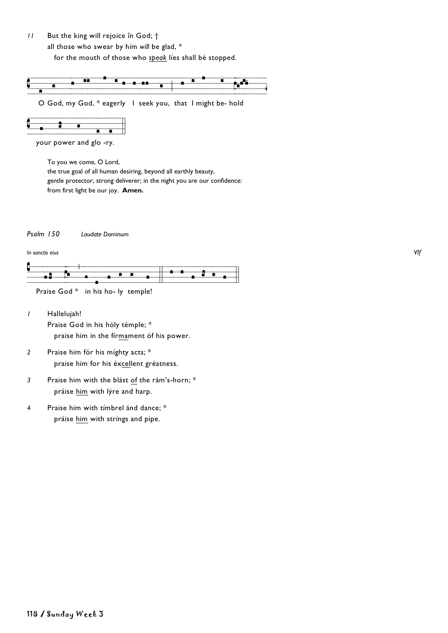## *11* But the king will rejoice în God; †

all those who swear by hím *wíll* be glad, \*

for the mouth of those who *speak* líes shall bé stopped.





To you we come, O Lord,

the true goal of all human desiring, beyond all earthly beauty, gentle protector, strong deliverer; in the night you are our confidence: from first light be our joy. **Amen.**

*Psalm 150 Laudate Dominum*

*In sanctis eius VIf*



Praise God \* in his ho- ly temple!

- *1* Hallelujah! Praise God in his hóly témple; \* praise him in the fírmament óf his power.
- *2* Praise him fór his míghty acts; \* praise him for his éxcellent gréatness.
- *3* Praise him with the blást of the rám's-horn; \* práise him with lýre and harp.
- *4* Praise him with tímbrel ánd dance; \* práise him with stríngs and pipe.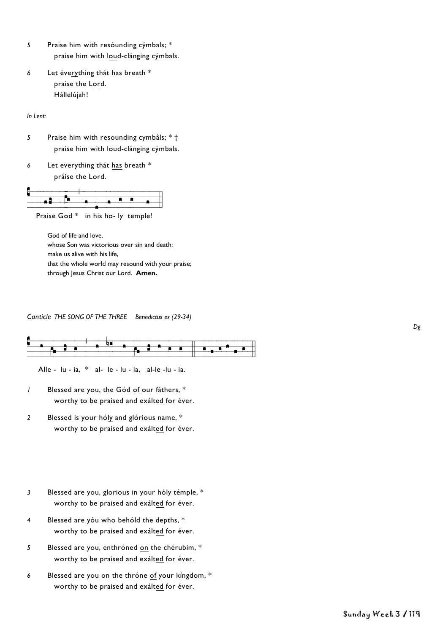- *5* Praise him with resóunding cýmbals; \* praise him with loud-clánging cýmbals.
- *6* Let éverything thát has breath \* praise the Lord. Hállelújah!

*In Lent:* 

- *5* Praise him with resounding cymbâls; \* † praise him with loud-clánging cýmbals.
- *6* Let everything thát has breath \* práise the Lord.



God of life and love, whose Son was victorious over sin and death: make us alive with his life, that the whole world may resound with your praise; through Jesus Christ our Lord. **Amen.**

*Canticle THE SONG OF THE THREE Benedictus es (29-34)*



Alle - lu - ia, \* al- le - lu - ia, al-le -lu - ia.

- *1* Blessed are you, the Gód of our fáthers, \* worthy to be praised and exálted for éver.
- *2* Blessed is your hóly and glórious name, \* worthy to be praised and exálted for éver.
- *3* Blessed are you, glorious in your hóly témple, \* worthy to be praised and exálted for éver.
- *4* Blessed are yóu who behóld the depths, \* worthy to be praised and exálted for éver.
- *5* Blessed are you, enthróned on the chérubim, \* worthy to be praised and exálted for éver.
- *6* Blessed are you on the thróne of your kíngdom, \* worthy to be praised and exálted for éver.

*Dg*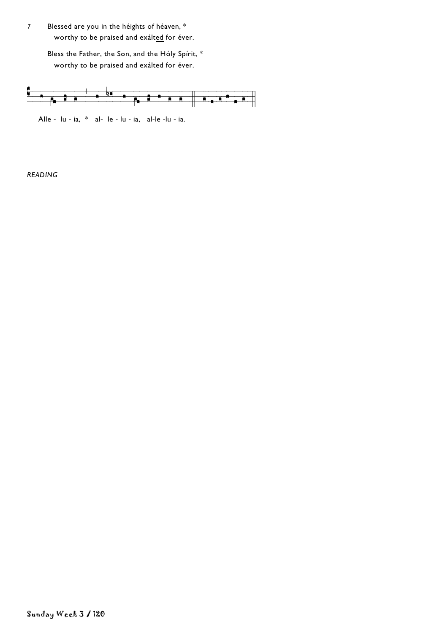*7* Blessed are you in the héights of héaven, \* worthy to be praised and exálted for éver.

> Bless the Father, the Son, and the Hóly Spírit, \* worthy to be praised and exálted for éver.



Alle - lu - ia, \* al- le - lu - ia, al-le -lu - ia.

*READING*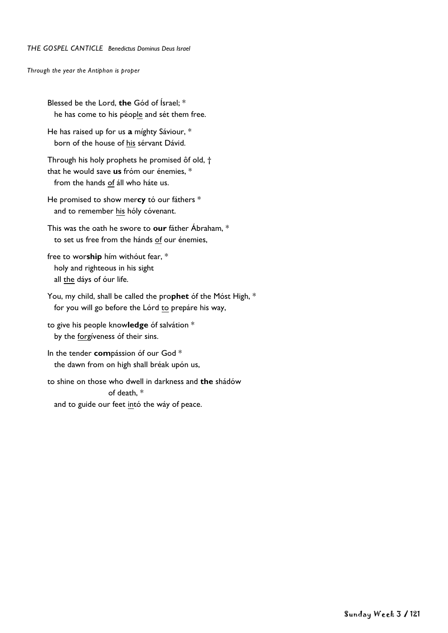*Through the year the Antiphon is proper*

Blessed be the Lord, **the** Gód of Ísrael; \* he has come to his péople and sét them free.

He has raised up for us **a** míghty Sáviour, \* born of the house of his sérvant Dávid.

Through his holy prophets he promised ôf old, † that he would save **us** fróm our énemies, \* from the hands of áll who háte us.

He promised to show mer**cy** tó our fáthers \* and to remember his hóly cóvenant.

This was the oath he swore to **our** fáther Ábraham, \* to set us free from the hánds of our énemies,

free to wor**ship** hím withóut fear, \* holy and righteous in his sight all the dáys of óur life.

You, my child, shall be called the pro**phet** óf the Móst High, \* for you will go before the Lórd to prepáre his way,

to give his people know**ledge** óf salvátion \* by the forgíveness óf their sins.

In the tender **com**pássion óf our God \* the dawn from on high shall bréak upón us,

to shine on those who dwell in darkness and **the** shádów of death, \* and to guide our feet intó the wáy of peace.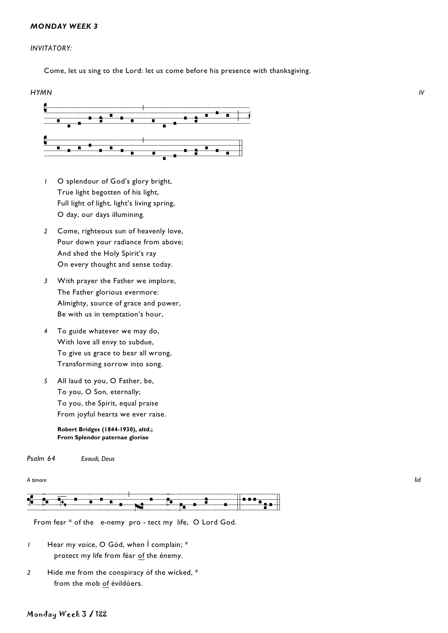### **MONDAY WEEK 3**

### **INVITATORY:**

Come, let us sing to the Lord: let us come before his presence with thanksgiving.

 $\mathsf{IV}$ 

lid

#### **HYMN**



- / O splendour of God's glory bright, True light begotten of his light, Full light of light, light's living spring, O day, our days illumining.
- 2 Come, righteous sun of heavenly love, Pour down your radiance from above; And shed the Holy Spirit's ray On every thought and sense today.
- 3 With prayer the Father we implore, The Father glorious evermore: Almighty, source of grace and power, Be with us in temptation's hour,
- 4 To guide whatever we may do, With love all envy to subdue, To give us grace to bear all wrong, Transforming sorrow into song.
- 5 All laud to you, O Father, be, To you, O Son, eternally; To you, the Spirit, equal praise From joyful hearts we ever raise.

Robert Bridges (1844-1930), altd.; From Splendor paternae gloriae

Psalm 64 Exaudi, Deus

A timore



From fear \* of the e-nemy pro - tect my life, O Lord God.

- Hear my voice, O Gód, when I complain; \*  $\overline{1}$ protect my life from féar of the énemy.
- $\overline{2}$ Hide me from the conspiracy óf the wicked, \* from the mob of évildóers.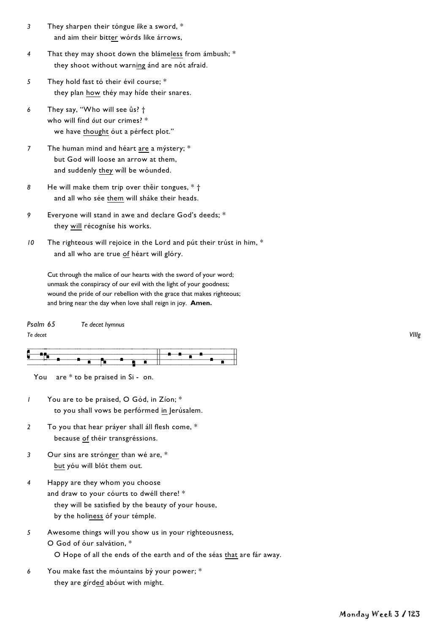- *3* They sharpen their tóngue *líke* a sword, \* and aim their bitter wórds like árrows,
- *4* That they may shoot down the blámeless from ámbush; \* they shoot without warning ánd are nót afraid.
- *5* They hold fast tó their évil course; \* they plan how théy may híde their snares.
- *6* They say, "Who will see ûs? † who will fínd *óut* our crimes? \* we have thought óut a pérfect plot."
- *7* The human mind and héart are a mýstery; \* but God will loose an arrow at them, and suddenly they wíll be wóunded.
- *8* He will make them trip over thêir tongues, \* † and all who sée them will sháke their heads.
- *9* Everyone will stand in awe and declare God's deeds; \* they will récogníse his works.
- *10* The righteous will rejoice in the Lord and pút their trúst in him, \* and all who are true of héart will glóry.

Cut through the malice of our hearts with the sword of your word; unmask the conspiracy of our evil with the light of your goodness; wound the pride of our rebellion with the grace that makes righteous; and bring near the day when love shall reign in joy. **Amen.**

*Psalm 65 Te decet hymnus Te decet VIIIg*





- *1* You are to be praised, O Gód, in Zíon; \* to you shall vows be perfórmed in Jerúsalem.
- *2* To you that hear práyer shall áll flesh come, \* because of théir transgréssions.
- *3* Our sins are strónger than wé are, \* but yóu will blót them out.
- *4* Happy are they whom you choose and draw to your cóurts to dwéll there! \* they will be satisfied by the beauty of your house, by the holiness óf your témple.
- *5* Awesome things will you show us in your righteousness, O God of óur salvátion, \* O Hope of all the ends of the earth and of the séas that are fár away.
- *6* You make fast the móuntains bý your power; \* they are gírded abóut with might.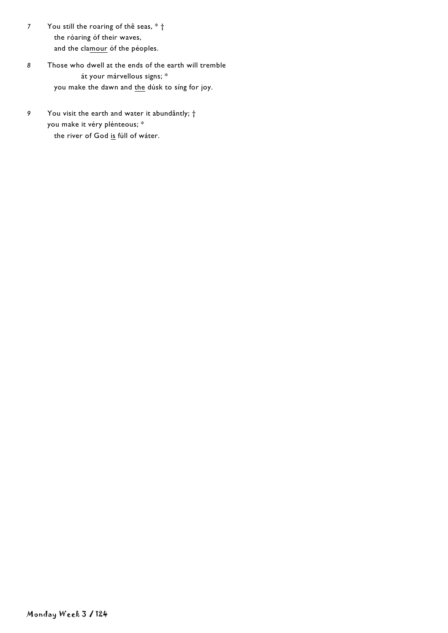- *7* You still the roaring of thê seas, \* † the róaring óf their waves, and the clamour óf the péoples.
- *8* Those who dwell at the ends of the earth will tremble át your márvellous signs; \* you make the dawn and the dúsk to síng for joy.
- *9* You visit the earth and water it abundântly; † you make it véry plénteous; \* the river of God is fúll of wáter.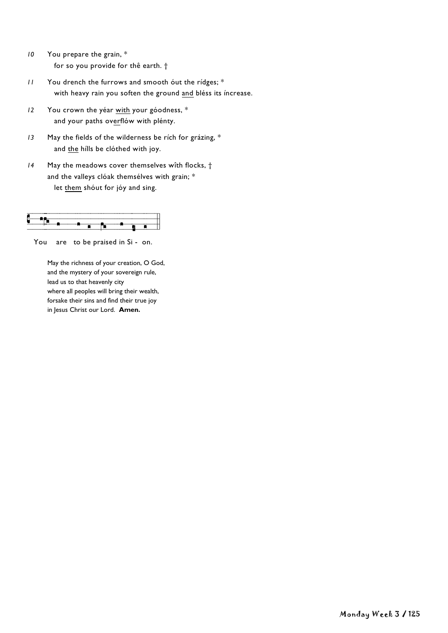- *10* You prepare the grain, \* for so you provide for thê earth. †
- *11* You drench the furrows and smooth óut the rídges; \* with heavy rain you soften the ground and bléss its íncrease.
- *12* You crown the yéar with your góodness, \* and your paths overflów with plénty.
- *13* May the fields of the wilderness be rích for grázing, \* and the hílls be clóthed with joy.
- *14* May the meadows cover themselves wîth flocks, † and the valleys clóak themsélves with grain; \* let them shóut for jóy and sing.



You are to be praised in Si - on.

May the richness of your creation, O God, and the mystery of your sovereign rule, lead us to that heavenly city where all peoples will bring their wealth, forsake their sins and find their true joy in Jesus Christ our Lord. **Amen.**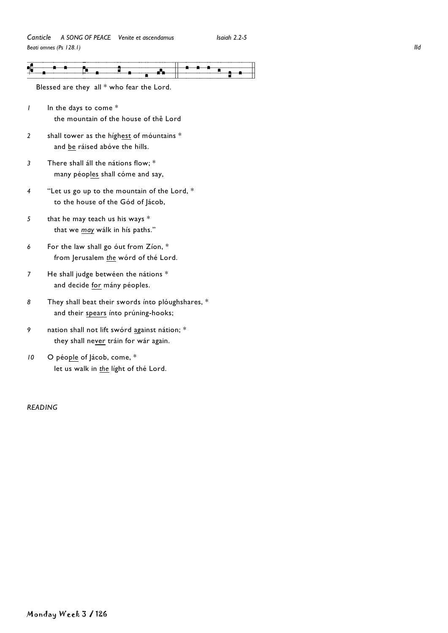Blessed are they all \* who fear the Lord.

- In the days to come \*  $\overline{1}$ the mountain of the house of thê Lord
- shall tower as the highest of mountains \*  $\overline{2}$ and be ráised abóve the hills.
- $\mathfrak{Z}$ There shall áll the nátions flow; \* many péoples shall cóme and say,
- "Let us go up to the mountain of the Lord, \*  $\overline{4}$ to the house of the Gód of Jácob,
- that he may teach us his ways \* 5 that we may walk in his paths."
- For the law shall go out from Zion, \*  $\pmb{6}$ from Jerusalem the wórd of thé Lord.
- $\overline{7}$ He shall judge betwéen the nátions \* and decide for mány péoples.
- 8 They shall beat their swords into ploughshares, \* and their spears into prúning-hooks;
- 9 nation shall not lift swórd against nátion; \* they shall never tráin for wár again.
- O péople of Jácob, come, \*  $10$ let us walk in the light of the Lord.

#### **READING**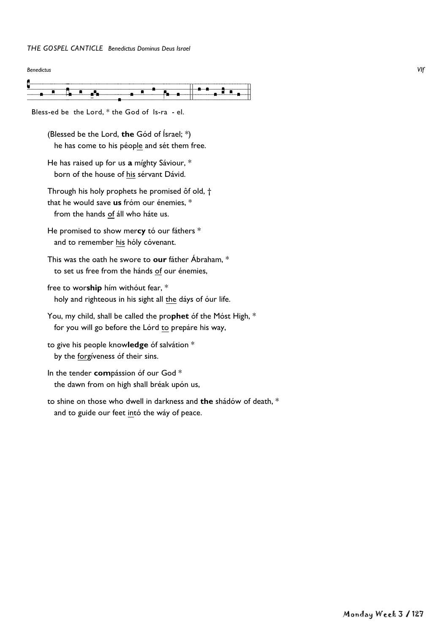### THE GOSPEL CANTICLE Benedictus Dominus Deus Israel

```
Benedictus
                                              <del>. . . . .</del>
      ↥
         \overline{\phantom{a}}\overline{\mathbf{r}^2}Bless-ed be the Lord. * the God of Is-ra - el.
(Blessed be the Lord, the Gód of Ísrael; *)
  he has come to his péople and sét them free.
He has raised up for us a míghty Sáviour, *
  born of the house of his sérvant Dávid.
Through his holy prophets he promised ôf old, t
that he would save us fróm our énemies, *
  from the hands of all who hate us.
He promised to show mercy tó our fáthers *
  and to remember his hóly cóvenant.
This was the oath he swore to our father Abraham, *
  to set us free from the hánds of our énemies,
free to worship him without fear, *
  holy and righteous in his sight all the dáys of óur life.
You, my child, shall be called the prophet of the Most High, *
  for you will go before the Lórd to prepáre his way,
to give his people knowledge óf salvátion *
  by the forgiveness of their sins.
In the tender compássion óf our God*
  the dawn from on high shall bréak upón us,
to shine on those who dwell in darkness and the shádów of death, *
  and to guide our feet intó the wáy of peace.
```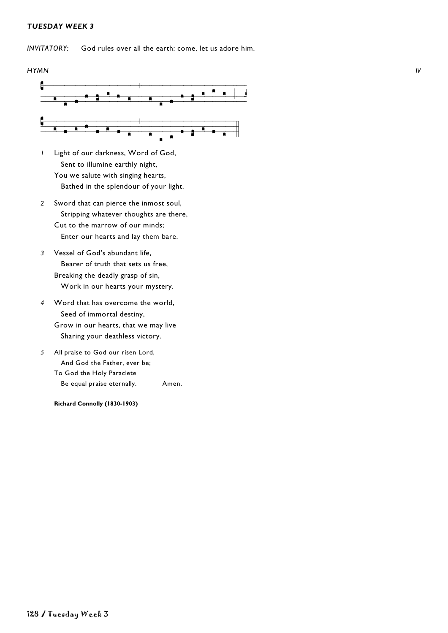## *TUESDAY WEEK 3*

## *INVITATORY:* God rules over all the earth: come, let us adore him.



- *1* Light of our darkness, Word of God, Sent to illumine earthly night, You we salute with singing hearts, Bathed in the splendour of your light.
- *2* Sword that can pierce the inmost soul, Stripping whatever thoughts are there, Cut to the marrow of our minds; Enter our hearts and lay them bare.
- *3* Vessel of God's abundant life, Bearer of truth that sets us free, Breaking the deadly grasp of sin, Work in our hearts your mystery.
- *4* Word that has overcome the world, Seed of immortal destiny, Grow in our hearts, that we may live Sharing your deathless victory.
- *5* All praise to God our risen Lord, And God the Father, ever be; To God the Holy Paraclete Be equal praise eternally. Amen.

**Richard Connolly (1830-1903)**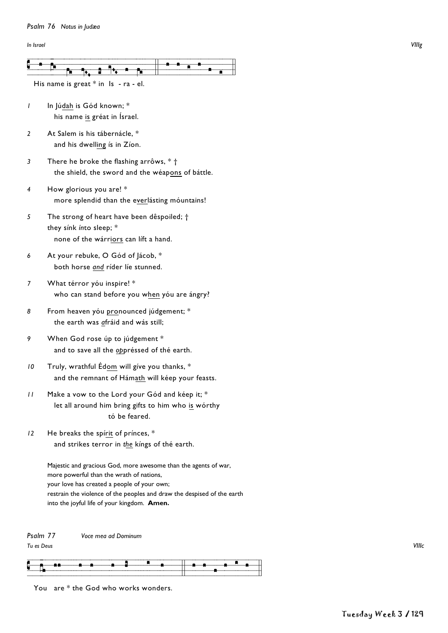*In Israel VIIIg* 



*Psalm 77 Voce mea ad Dominum Tu es Deus VIIIc*

VcyÎfcbhzhcvvvvhczhccvhcvHUcvvvvzjcvbhcc}chchcfchcjchc}

You are \* the God who works wonders.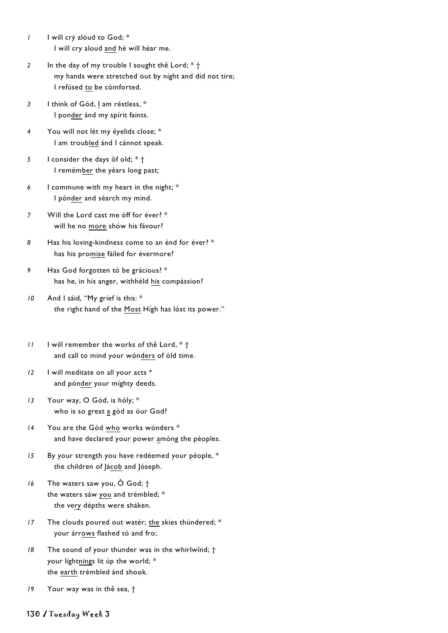- *1* I will crý alóud to God; \* I will cry aloud and hé will héar me.
- *2* In the day of my trouble I sought thê Lord; \* † my hands were stretched out by níght and díd not tire; I refúsed to be cómforted.
- *3* I think of Gód, I am réstless, \* I ponder ánd my spírit faints.
- *4* You will not lét my éyelids close; \* I am troubled ánd I cánnot speak.
- *5* I consider the days ôf old; \* † I remémber the yéars long past;
- *6* I commune with my heart in the night; \* I pónder and séarch my mind.
- *7* Will the Lord cast me óff for éver? \* will he no more shów his fávour?
- *8* Has his loving-kindness come to an énd for éver? \* has his promise fáiled for évermore?
- *9* Has God forgotten tó be grácious? \* has he, in his anger, withhéld his compássion?
- *10* And I sáid, "My gríef is this: \* the right hand of the Most Hígh has lóst its power."
- *11* I will remember the works of thê Lord, \* † and call to mind your wónders of óld time.
- 12 I will meditate on all your acts \* and pónder your míghty deeds.
- *13* Your way, O Gód, is hóly; \* who is so great a gód as óur God?
- *14* You are the Gód who works wónders \* and have declared your power amóng the péoples.
- *15* By your strength you have redéemed your péople, \* the children of Jácob and Jóseph.
- *16* The waters saw you, Ô God; † the waters sáw you and trémbled; \* the very dépths were sháken.
- *17* The clouds poured out watér; the skies thúndered; \* your árrows flashed tó and fro;
- *18* The sound of your thunder was in the whirlwînd; † your líghtnings lit úp the world; \* the earth trémbled ánd shook.
- *19* Your way was in thê sea, †

# 130 / Tuesday Week 3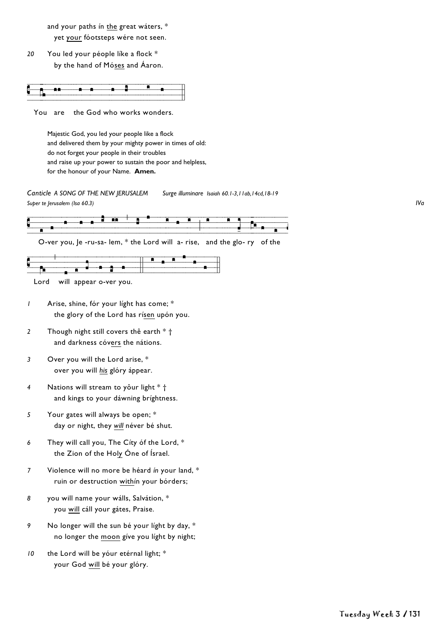and your paths in the great waters, \* yet your fóotsteps wére not seen.

You led your péople líke a flock \* 20 by the hand of Móses and Áaron.



You are the God who works wonders.

Majestic God, you led your people like a flock and delivered them by your mighty power in times of old: do not forget your people in their troubles and raise up your power to sustain the poor and helpless, for the honour of your Name. Amen.

Canticle A SONG OF THE NEW JERUSALEM Surge illuminare Isaiah 60.1-3, I lab, I 4cd, I 8-19 Super te Jerusalem (Isa 60.3)



O-ver you, Je -ru-sa- lem, \* the Lord will a- rise, and the glo-ry of the



Lord will appear o-ver you.

- $\overline{1}$ Arise, shine, fór your líght has come; \* the glory of the Lord has risen upón you.
- $\overline{2}$ Though night still covers the earth  $*$   $\dagger$ and darkness cóvers the nátions.
- Over you will the Lord arise, \*  $\mathfrak{Z}$ over you will his glóry áppear.
- Nations will stream to your light \* +  $\overline{4}$ and kings to your dáwning bríghtness.
- Your gates will always be open; \* 5 day or night, they will néver bé shut.
- They will call you, The City of the Lord, \* 6 the Zion of the Holy One of Israel.
- Violence will no more be héard in your land, \*  $\overline{7}$ ruin or destruction withín your bórders;
- you will name your wálls, Salvátion, \* 8 you will cáll your gátes, Praise.
- No longer will the sun bé your líght by day, \* 9 no longer the moon give you light by night;
- the Lord will be your eternal light; \*  $10$ your God will bé your glóry.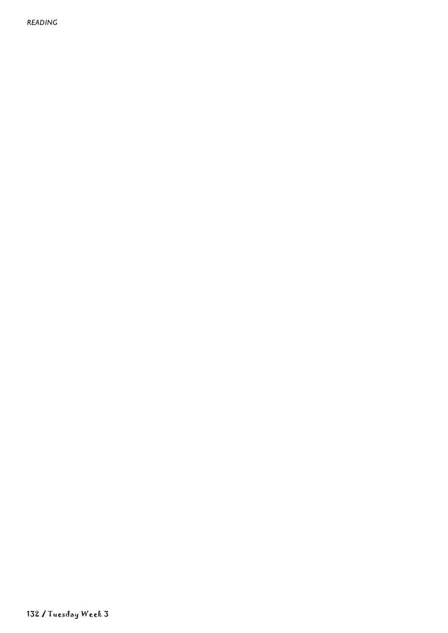*READING*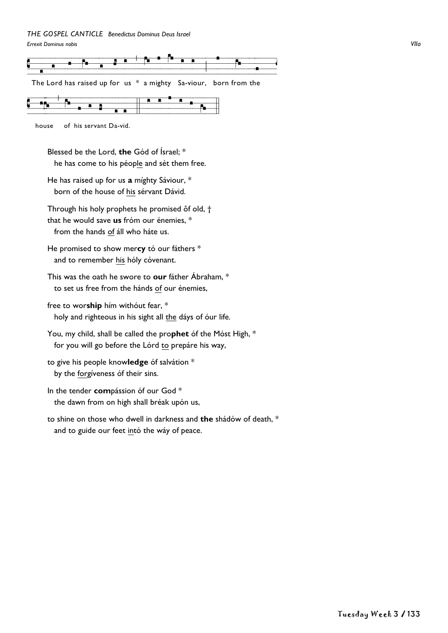# *THE GOSPEL CANTICLE Benedictus Dominus Deus Israel*

*Errexit Dominus nobis VIIa*

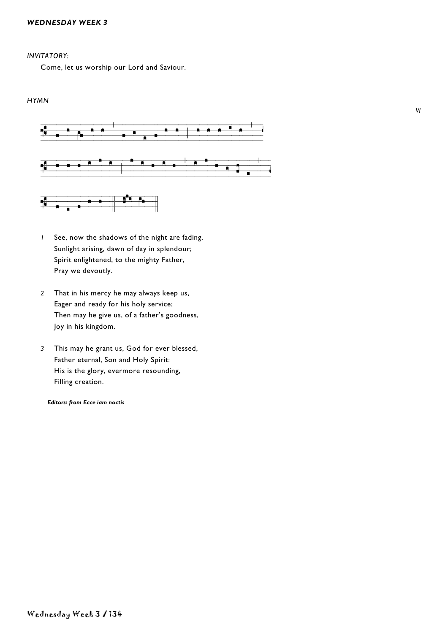# *WEDNESDAY WEEK 3*

### *INVITATORY:*

Come, let us worship our Lord and Saviour.

### *HYMN*



- *1* See, now the shadows of the night are fading, Sunlight arising, dawn of day in splendour; Spirit enlightened, to the mighty Father, Pray we devoutly.
- *2* That in his mercy he may always keep us, Eager and ready for his holy service; Then may he give us, of a father's goodness, Joy in his kingdom.
- *3* This may he grant us, God for ever blessed, Father eternal, Son and Holy Spirit: His is the glory, evermore resounding, Filling creation.

*Editors: from Ecce iam noctis*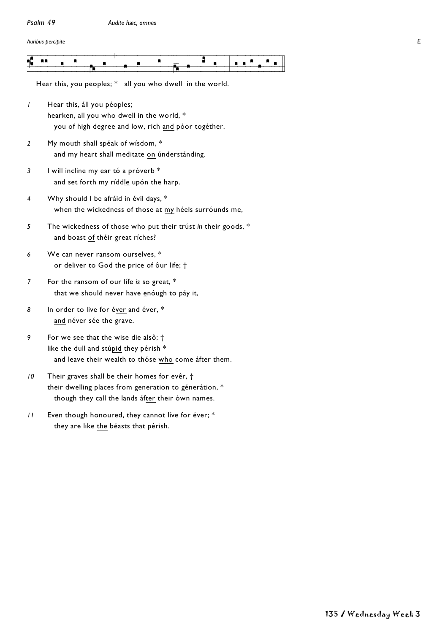Auribus percipite

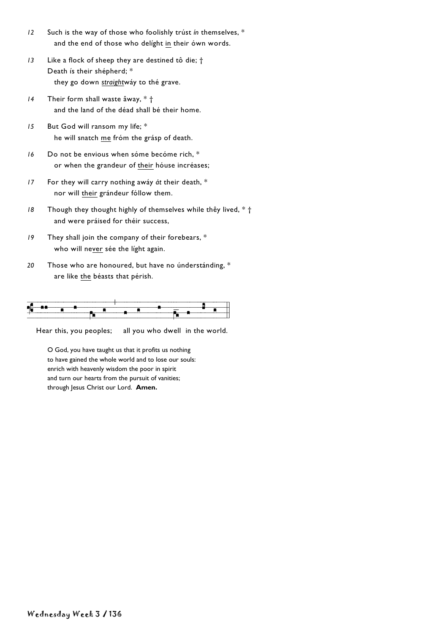- *12* Such is the way of those who foolishly trúst *ín* themselves, \* and the end of those who delíght in their ówn words.
- *13* Like a flock of sheep they are destined tô die; † Death ís their shépherd; \* they go down *straight*wáy to thé grave.
- *14* Their form shall waste âway, \* † and the land of the déad shall bé their home.
- *15* But God will ransom my life; \* he will snatch me fróm the grásp of death.
- *16* Do not be envious when sóme becóme rich, \* or when the grandeur of their hóuse incréases;
- *17* For they will carry nothing awáy *át* their death, \* nor will their grándeur fóllow them.
- *18* Though they thought highly of themselves while thêy lived, \* † and were práised for théir success,
- *19* They shall join the company of their forebears, \* who will never sée the líght again.
- *20* Those who are honoured, but have no únderstánding, \* are like the béasts that pérish.



Hear this, you peoples; all you who dwell in the world.

O God, you have taught us that it profits us nothing to have gained the whole world and to lose our souls: enrich with heavenly wisdom the poor in spirit and turn our hearts from the pursuit of vanities; through Jesus Christ our Lord. **Amen.**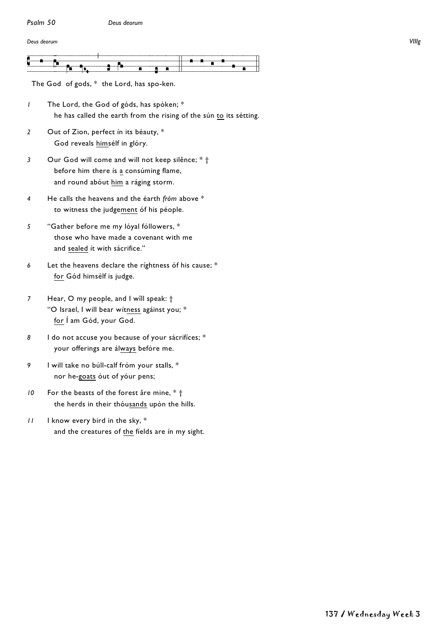Deus deorum



The God of gods, \* the Lord, has spo-ken.

- $\overline{1}$ The Lord, the God of góds, has spóken; \* he has called the earth from the rising of the sún to its sétting.
- Out of Zion, perfect in its beauty, \*  $\overline{2}$ God reveals himsélf in glóry.
- Our God will come and will not keep silênce; \* +  $\mathfrak{Z}$ before him there is a consuming flame, and round about him a ráging storm.
- He calls the heavens and the éarth fróm above \*  $\overline{4}$ to witness the judgement óf his péople.
- "Gather before me my lóyal fóllowers, \*  $\overline{5}$ those who have made a covenant with me and sealed it with sácrifice."
- Let the heavens declare the ríghtness óf his cause; \* 6 for Gód himsélf is judge.
- $\overline{7}$ Hear, O my people, and I will speak: + "O Israel, I will bear witness agáinst you; \* for Í am Gód, your God.
- I do not accuse you because of your sácrifíces; \* 8 your offerings are álways befóre me.
- I will take no búll-calf fróm your stalls, \* 9 nor he-goats out of your pens;
- For the beasts of the forest are mine,  $*$   $\dagger$  $10$ the herds in their thóusands upón the hills.
- I know every bird in the sky, \*  $\frac{1}{2}$ and the creatures of the fields are in my sight.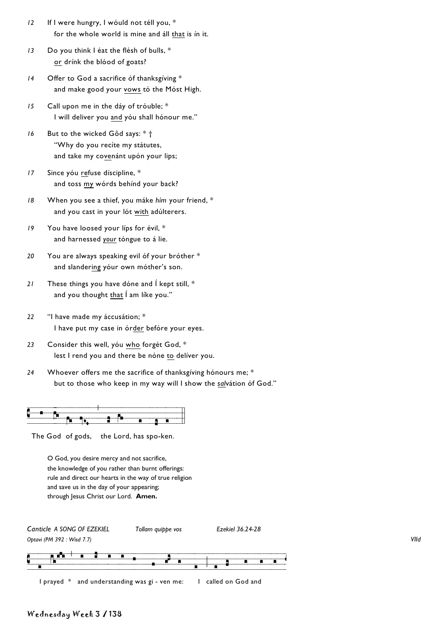- If I were hungry, I would not tell you, \*  $12$ for the whole world is mine and all that is in it.
- $13$ Do you think I éat the flésh of bulls, \* or drínk the blóod of goats?
- Offer to God a sacrifice of thanksgiving \*  $\overline{14}$ and make good your vows tó the Móst High.
- Call upon me in the dáy of tróuble; \*  $15$ I will deliver you and yóu shall hónour me."
- But to the wicked Gôd says: \* +  $16$ "Why do you recite my statutes, and take my covenánt upón your lips;
- Since yóu refuse díscipline, \*  $17$ and toss my wórds behínd your back?
- $18$ When you see a thief, you máke hím your friend, \* and you cast in your lót with adúlterers.
- $19$ You have loosed your lips for évil, \* and harnessed your tóngue to á lie.
- You are always speaking evil óf your bróther \* 20 and slandering your own mother's son.
- These things you have dóne and I kept still, \*  $21$ and you thought that I am like you."
- "I have made my áccusátion; \*  $22$ I have put my case in órder befóre your eyes.
- Consider this well, yóu who forgét God, \* 23 lest I rend you and there be nóne to delíver you.
- Whoever offers me the sacrifice of thanksgiving hónours me; \* 24 but to those who keep in my way will I show the salvátion óf God."



The God of gods, the Lord, has spo-ken.

O God, you desire mercy and not sacrifice, the knowledge of you rather than burnt offerings: rule and direct our hearts in the way of true religion and save us in the day of your appearing; through Jesus Christ our Lord. Amen.



I prayed \* and understanding was gi - ven me: I called on God and VIId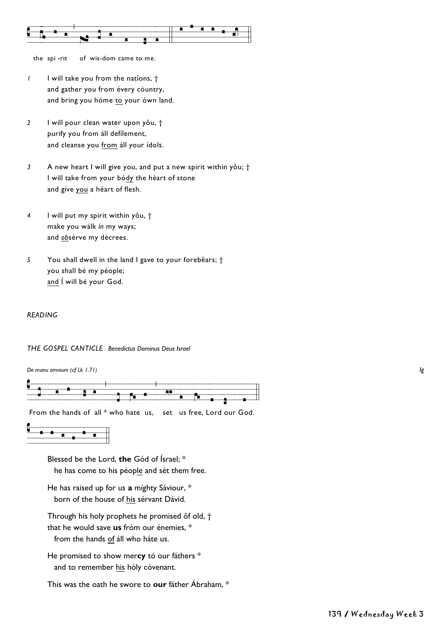

the spi-rit of wis-dom came to me.

- I will take you from the nations,  $\dagger$  $\overline{1}$ and gather you from évery cóuntry, and bring you hóme to your ówn land.
- I will pour clean water upon yôu, †  $\overline{2}$ purify you from all defilement, and cleanse you from all your idols.
- $\mathfrak{Z}$ A new heart I will give you, and put a new spirit within you; † I will take from your bódy the héart of stone and give you a héart of flesh.
- I will put my spirit within you, +  $\overline{4}$ make you wálk ín my ways; and obsérve my décrees.
- $\overline{5}$ You shall dwell in the land I gave to your forebears; † you shall bé my péople; and Í will bé your God.

### **READING**

## THE GOSPEL CANTICLE Benedictus Dominus Deus Israel

De manu omnium (cf Lk 1.71)



From the hands of all \* who hate us, set us free, Lord our God.



Blessed be the Lord, the Gód of Ísrael; \* he has come to his péople and sét them free.

He has raised up for us a míghty Sáviour, \* born of the house of his sérvant Dávid.

Through his holy prophets he promised ôf old, t that he would save us fróm our énemies, \* from the hands of all who hate us.

He promised to show mercy tó our fáthers \* and to remember his hóly cóvenant.

This was the oath he swore to our father Abraham, \*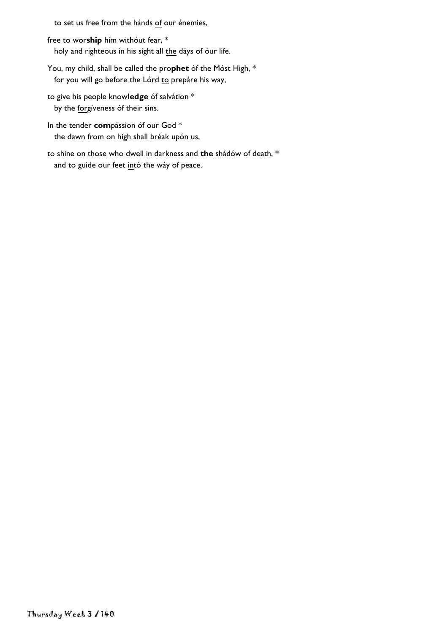to set us free from the hánds of our énemies,

free to wor**ship** hím withóut fear, \*

holy and righteous in his sight all the dáys of óur life.

You, my child, shall be called the pro**phet** óf the Móst High, \* for you will go before the Lórd to prepáre his way,

to give his people know**ledge** óf salvátion \* by the forgíveness óf their sins.

In the tender **com**pássion óf our God \* the dawn from on high shall bréak upón us,

to shine on those who dwell in darkness and **the** shádów of death, \* and to guide our feet intó the wáy of peace.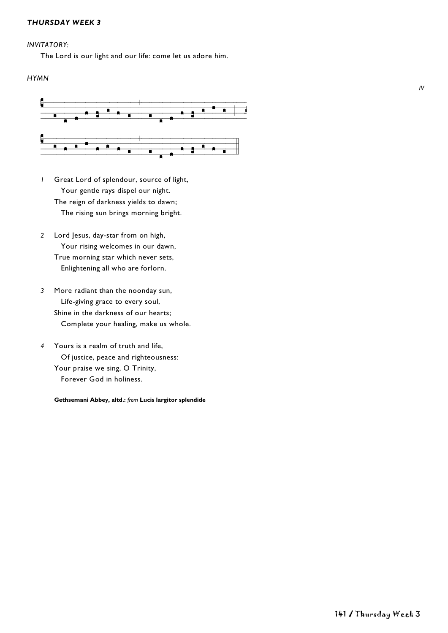## *THURSDAY WEEK 3*

## *INVITATORY:*

The Lord is our light and our life: come let us adore him.

# *HYMN*



- *1* Great Lord of splendour, source of light, Your gentle rays dispel our night. The reign of darkness yields to dawn; The rising sun brings morning bright.
- *2* Lord Jesus, day-star from on high, Your rising welcomes in our dawn, True morning star which never sets, Enlightening all who are forlorn.
- *3* More radiant than the noonday sun, Life-giving grace to every soul, Shine in the darkness of our hearts; Complete your healing, make us whole.
- *4* Yours is a realm of truth and life, Of justice, peace and righteousness: Your praise we sing, O Trinity, Forever God in holiness.

**Gethsemani Abbey, altd.:** *from* **Lucis largitor splendide**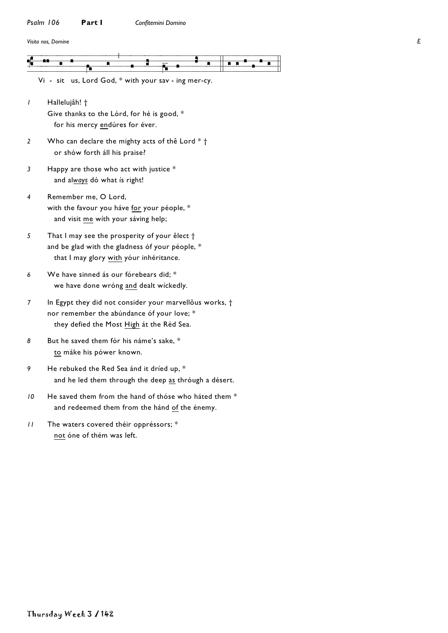Visita nos, Domine



- Vi sit us, Lord God, \* with your sav ing mer-cy.
- Hallelujâh! †  $\overline{1}$ Give thanks to the Lórd, for hé is good, \* for his mercy endúres for éver.
- $\overline{2}$ Who can declare the mighty acts of the Lord  $*$   $\dagger$ or shów forth áll his praise?
- $\mathfrak{Z}$ Happy are those who act with justice \* and always dó what is right!
- $\overline{4}$ Remember me, O Lord, with the favour you háve for your péople, \* and visit me with your sáving help;
- That I may see the prosperity of your êlect + 5 and be glad with the gladness of your people, \* that I may glory with your inhéritance.
- 6 We have sinned ás our fórebears did; \* we have done wróng and dealt wickedly.
- $\overline{7}$ In Egypt they did not consider your marvellôus works, † nor remember the abúndance óf your love; \* they defied the Most High at the Red Sea.
- But he saved them fór his náme's sake, \* 8 to máke his pówer known.
- 9 He rebuked the Red Sea and it dried up, \* and he led them through the deep as thróugh a désert.
- He saved them from the hand of thóse who háted them \*  $10$ and redeemed them from the hánd of the énemy.
- $\overline{11}$ The waters covered théir oppréssors; \* not óne of thém was left.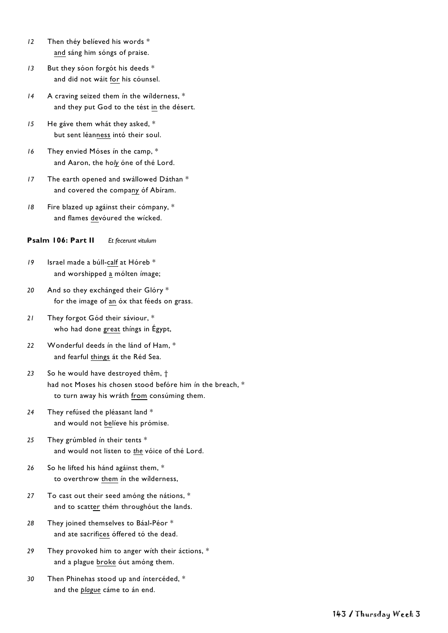- *12* Then théy belíeved his words \* and sáng him sóngs of praise.
- *13* But they sóon forgót his deeds \* and did not wáit for his cóunsel.
- *14* A craving seized them ín the wílderness, \* and they put God to the tést in the désert.
- *15* He gáve them whát they asked, \* but sent léanness intó their soul.
- *16* They envied Móses ín the camp, \* and Aaron, the ho*ly* óne of thé Lord.
- *17* The earth opened and swállowed Dáthan \* and covered the company óf Abíram.
- *18* Fire blazed up agáinst their cómpany, \* and flames devóured the wícked.

# **Psalm 106: Part II** *Et fecerunt vitulum*

- *19* Israel made a búll-calf at Hóreb \* and worshipped a mólten ímage;
- *20* And so they exchánged their Glóry \* for the image of an óx that féeds on grass.
- *21* They forgot Gód their sáviour, \* who had done great thíngs in Égypt,
- *22* Wonderful deeds ín the lánd of Ham, \* and fearful things át the Réd Sea.
- *23* So he would have destroyed thêm, † had not Moses his chosen stood befóre him ín the breach, \* to turn away his wráth from consúming them.
- *24* They refúsed the pléasant land \* and would not belíeve his prómise.
- *25* They grúmbled ín their tents \* and would not listen to *the* vóice of thé Lord.
- *26* So he lifted his hánd agáinst them, \* to overthrow them in the wilderness,
- *27* To cast out their seed amóng the nátions, \* and to scatter thém throughóut the lands.
- *28* They joined themselves to Báal-Péor \* and ate sacrifices óffered tó the dead.
- *29* They provoked him to anger wíth their áctions, \* and a plague broke óut amóng them.
- *30* Then Phinehas stood up and íntercéded, \* and the *plague* cáme to án end.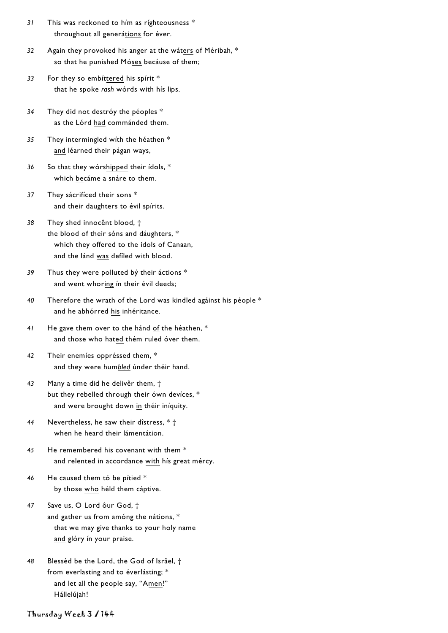- *31* This was reckoned to hím as ríghteousness \* throughout all generátions for éver.
- *32* Again they provoked his anger at the wáters of Méribah, \* so that he punished Móses becáuse of them;
- *33* For they so embíttered his spírit \* that he spoke *rash* wórds with hís lips.
- *34* They did not destróy the péoples \* as the Lórd had commánded them.
- *35* They intermingled wíth the héathen \* and léarned their págan ways,
- *36* So that they wórshipped their ídols, \* which becáme a snáre to them.
- *37* They sácrifíced their sons \* and their daughters to évil spírits.
- *38* They shed innocênt blood, † the blood of their sóns and dáughters, \* which they offered to the idols of Canaan, and the lánd was defíled with blood.
- *39* Thus they were polluted bý their áctions \* and went whoring ín their évil deeds;
- *40* Therefore the wrath of the Lord was kindled agáinst his péople \* and he abhórred his inhéritance.
- *41* He gave them over to the hánd of the héathen, \* and those who hated thém ruled óver them.
- *42* Their enemíes oppréssed them, \* and they were hum*bled* únder théir hand.
- *43* Many a time did he delivêr them, † but they rebelled through their ówn devíces, \* and were brought down in théir iníquity.
- *44* Nevertheless, he saw their dîstress, \* † when he heard their lámentátion.
- *45* He remembered his covenant with them \* and relented in accordance with hís great mércy.
- *46* He caused them tó be pítied \* by those who héld them cáptive.
- *47* Save us, O Lord ôur God, † and gather us from amóng the nátions, \* that we may give thanks to your holy name and glóry ín your praise.
- *48* Blessèd be the Lord, the God of Isrâel, † from everlasting and to éverlásting; \* and let all the people say, "Amen!" Hállelújah!

# Thursday Week 3 / 144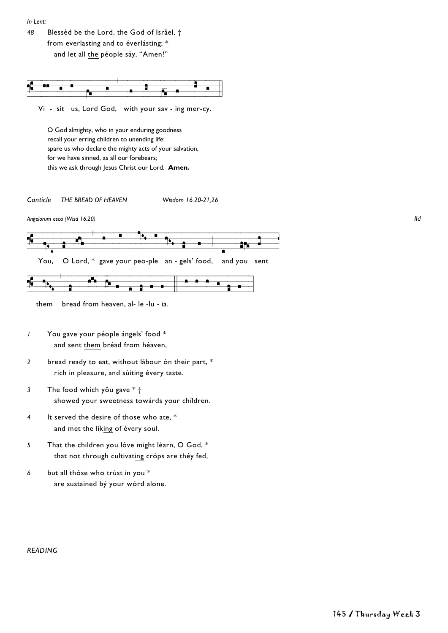In Lent:

Blessèd be the Lord, the God of Isrâel, t 48 from everlasting and to éverlásting; \* and let all the péople sáy, "Amen!"



Vi - sit us, Lord God, with your sav - ing mer-cy.

O God almighty, who in your enduring goodness recall your erring children to unending life: spare us who declare the mighty acts of your salvation, for we have sinned, as all our forebears; this we ask through Jesus Christ our Lord. Amen.

Canticle THE BREAD OF HEAVEN Wisdom 16.20-21,26

Angelorum esca (Wisd 16.20)



O Lord,  $*$  gave your peo-ple an - gels' food, You. and you sent



bread from heaven, al- le -lu - ia. them

- You gave your péople ángels' food \*  $\overline{1}$ and sent them bréad from héaven,
- bread ready to eat, without lábour ón their part, \*  $\overline{2}$ rich in pleasure, and súiting évery taste.
- The food which you gave  $*$   $\dagger$  $\sqrt{3}$ showed your sweetness towards your children.
- It served the desire of those who ate, \*  $\overline{4}$ and met the líking of évery soul.
- $\sqrt{5}$ That the children you lóve might léarn, O God, \* that not through cultivating cróps are théy fed,
- but all thóse who trúst in you \* 6 are sustained bý your wórd alone.

**READING** 

lld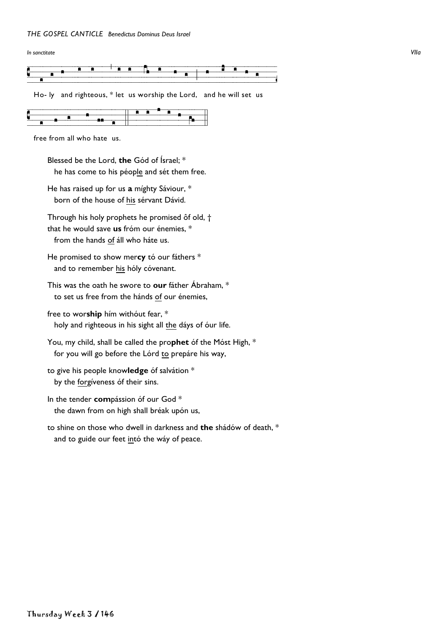#### *THE GOSPEL CANTICLE Benedictus Dominus Deus Israel*

*In sanctitate VIIa*



Ho- ly and righteous, \* let us worship the Lord, and he will set us

free from all who hate us.

Blessed be the Lord, **the** Gód of Ísrael; \* he has come to his péople and sét them free.

He has raised up for us **a** míghty Sáviour, \* born of the house of his sérvant Dávid.

Through his holy prophets he promised ôf old, † that he would save **us** fróm our énemies, \* from the hands of áll who háte us.

He promised to show mer**cy** tó our fáthers \* and to remember his hóly cóvenant.

This was the oath he swore to **our** fáther Ábraham, \* to set us free from the hánds of our énemies,

free to wor**ship** hím withóut fear, \* holy and righteous in his sight all the dáys of óur life.

You, my child, shall be called the pro**phet** óf the Móst High, \* for you will go before the Lórd to prepáre his way,

to give his people know**ledge** óf salvátion \* by the forgíveness óf their sins.

In the tender **com**pássion óf our God \* the dawn from on high shall bréak upón us,

to shine on those who dwell in darkness and **the** shádów of death, \* and to guide our feet intó the wáy of peace.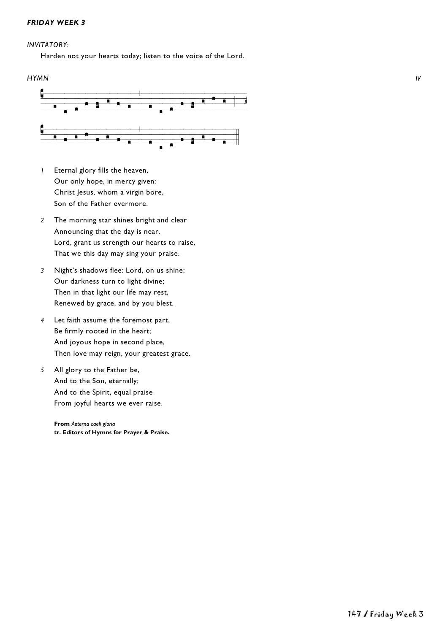### *INVITATORY:*

Harden not your hearts today; listen to the voice of the Lord.

## *HYMN IV*



- *1* Eternal glory fills the heaven, Our only hope, in mercy given: Christ Jesus, whom a virgin bore, Son of the Father evermore.
- *2* The morning star shines bright and clear Announcing that the day is near. Lord, grant us strength our hearts to raise, That we this day may sing your praise.
- *3* Night's shadows flee: Lord, on us shine; Our darkness turn to light divine; Then in that light our life may rest, Renewed by grace, and by you blest.
- *4* Let faith assume the foremost part, Be firmly rooted in the heart; And joyous hope in second place, Then love may reign, your greatest grace.
- *5* All glory to the Father be, And to the Son, eternally; And to the Spirit, equal praise From joyful hearts we ever raise.

**From** *Aeterna caeli gloria* **tr. Editors of Hymns for Prayer & Praise.**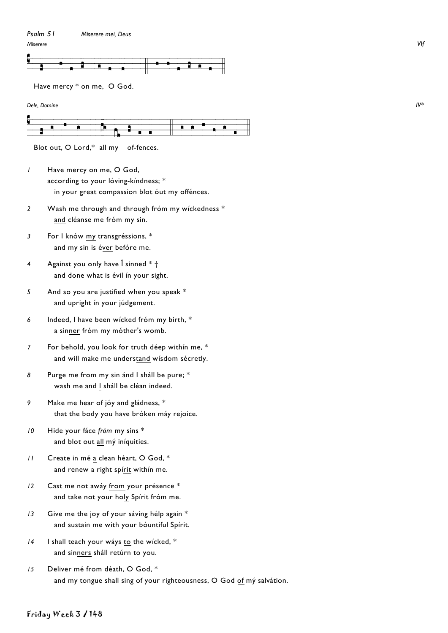Psalm 51 Miserere mei. Deus



Have mercy \* on me, O God.

Dele, Domine

Miserere



Blot out, O Lord,\* all my of-fences.

- Have mercy on me, O God,  $\overline{1}$ according to your lóving-kíndness; \* in your great compassion blot out my offences.
- $\overline{2}$ Wash me through and through fróm my wickedness \* and cléanse me fróm my sin.
- $\mathfrak{Z}$ For I knów my transgréssions, \* and my sin is éver befóre me.
- Against you only have  $\hat{I}$  sinned  $*$   $\dagger$  $\overline{4}$ and done what is évil ín your sight.
- And so you are justified when you speak \* 5 and upright in your júdgement.
- Indeed, I have been wicked from my birth, \* 6 a sinner fróm my móther's womb.
- For behold, you look for truth déep withín me, \*  $\overline{7}$ and will make me understand wisdom sécretly.
- Purge me from my sin ánd I sháll be pure; \* 8 wash me and I sháll be cléan indeed.
- 9 Make me hear of jóy and gládness, \* that the body you have bróken máy rejoice.
- $10$ Hide your fáce fróm my sins \* and blot out all mý iníquities.
- Create in mé a clean héart, O God, \*  $\overline{11}$ and renew a right spírit withín me.
- Cast me not awáy from your présence \*  $12$ and take not your holy Spírit fróm me.
- Give me the joy of your sáving hélp again \*  $13$ and sustain me with your bóuntiful Spírit.
- I shall teach your wáys to the wícked, \*  $\overline{14}$ and sinners sháll retúrn to you.
- $15$ Deliver mé from déath, O God, \* and my tongue shall sing of your righteousness, O God of mý salvátion.

 $IV^*$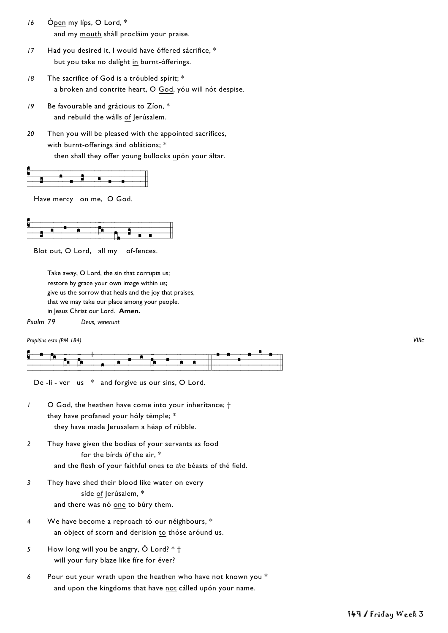- *16* Ópen my líps, O Lord, \* and my mouth sháll procláim your praise.
- *17* Had you desired it, I would have óffered sácrifice, \* but you take no delíght in burnt-ófferings.
- *18* The sacrifice of God is a tróubled spírit; \* a broken and contrite heart, O God, yóu will nót despise.
- 19 Be favourable and grácious to Zíon,  $*$ and rebuild the wálls of Jerúsalem.
- *20* Then you will be pleased with the appointed sacrifices, with burnt-offerings ánd oblátions; \* then shall they offer young bullocks upón your áltar.



Have mercy on me, O God.



Blot out, O Lord, all my of-fences.

Take away, O Lord, the sin that corrupts us; restore by grace your own image within us; give us the sorrow that heals and the joy that praises, that we may take our place among your people, in Jesus Christ our Lord. **Amen.**

*Psalm 79 Deus, venerunt*

#### *Propitius esto (PM 184) VIIIc*



- De -li ver us \* and forgive us our sins, O Lord.
- *1* O God, the heathen have come into your inherîtance; † they have profaned your hóly témple; \* they have made Jerusalem a héap of rúbble.
- *2* They have given the bodies of your servants as food for the bírds *óf* the air, \* and the flesh of your faithful ones to *the* béasts of thé field.
- *3* They have shed their blood like water on every síde of Jerúsalem, \* and there was nó one to búry them.
- *4* We have become a reproach tó our néighbours, \* an object of scorn and derision to thóse aróund us.
- *5* How long will you be angry, Ô Lord? \* † will your fury blaze like fíre for éver?
- *6* Pour out your wrath upon the heathen who have not known you \* and upon the kingdoms that have not cálled upón your name.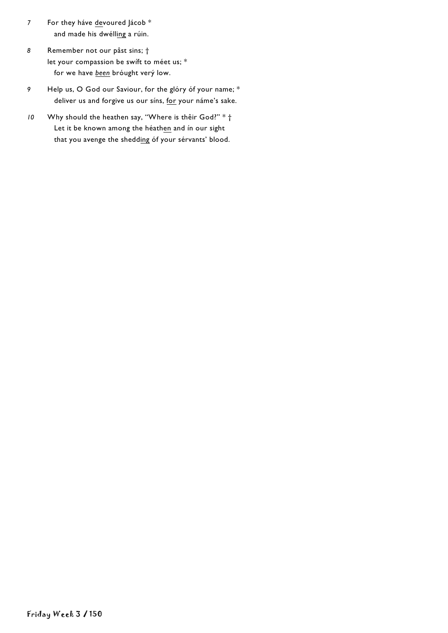- *7* For they háve devoured Jácob \* and made his dwélling a rúin.
- *8* Remember not our pâst sins; † let your compassion be swíft to méet us; \* for we have *been* bróught verý low.
- *9* Help us, O God our Saviour, for the glóry óf your name; \* deliver us and forgive us our síns, for your náme's sake.
- *10* Why should the heathen say, "Where is thêir God?" \* † Let it be known among the héathen and ín our sight that you avenge the shedding óf your sérvants' blood.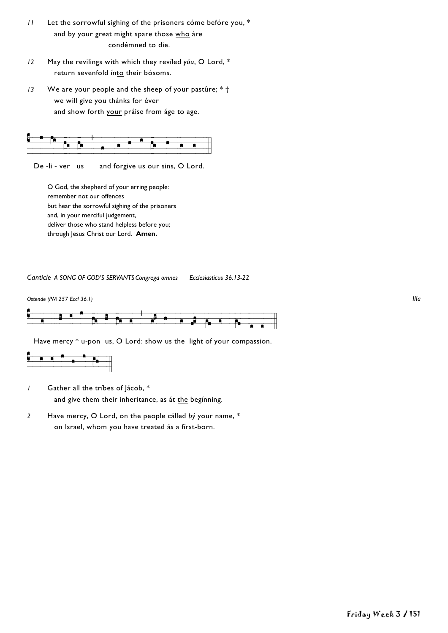- Let the sorrowful sighing of the prisoners cóme befóre you, \*  $\frac{1}{2}$ and by your great might spare those who are condémned to die.
- $12$ May the revilings with which they reviled yóu, O Lord, \* return sevenfold into their bósoms.
- We are your people and the sheep of your pastûre;  $*$   $\dagger$  $13$ we will give you thánks for éver and show forth your práise from áge to age.



De-li-verus and forgive us our sins, O Lord.

O God, the shepherd of your erring people: remember not our offences but hear the sorrowful sighing of the prisoners and, in your merciful judgement, deliver those who stand helpless before you; through Jesus Christ our Lord. Amen.

Canticle A SONG OF GOD'S SERVANTS Congrega omnes Ecclesiasticus 36.13-22

Ostende (PM 257 Eccl 36.1)



Have mercy  $*$  u-pon us, O Lord: show us the light of your compassion.



- $\overline{1}$ Gather all the tribes of Jácob, \* and give them their inheritance, as át the begínning.
- $\overline{2}$ Have mercy, O Lord, on the people cálled bý your name, \* on Israel, whom you have treated ás a fírst-born.

Illa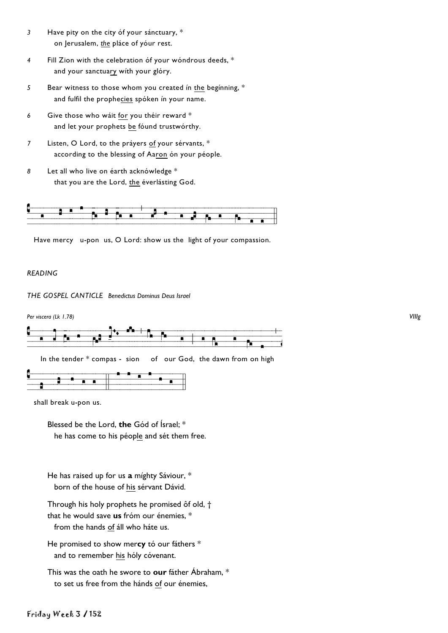- Have pity on the city of your sanctuary, \*  $\mathfrak{Z}$ on Jerusalem, the pláce of yóur rest.
- Fill Zion with the celebration óf your wóndrous deeds, \*  $\overline{4}$ and your sanctuary with your glóry.
- Bear witness to those whom you created in the beginning, \* 5 and fulfil the prophecies spóken ín your name.
- Give those who wait for you their reward \* 6 and let your prophets be found trustworthy.
- Listen, O Lord, to the práyers of your sérvants, \*  $\overline{7}$ according to the blessing of Aaron ón your péople.
- Let all who live on éarth acknówledge \* 8 that you are the Lord, the éverlásting God.



Have mercy u-pon us, O Lord: show us the light of your compassion.

### **READING**

THE GOSPEL CANTICLE Benedictus Dominus Deus Israel



shall break u-pon us.

Blessed be the Lord, the Gód of Ísrael; \* he has come to his péople and sét them free.

He has raised up for us a míghty Sáviour, \* born of the house of his sérvant Dávid.

Through his holy prophets he promised ôf old, † that he would save us fróm our énemies, \* from the hands of all who hate us.

He promised to show mercy tó our fáthers \* and to remember his hóly cóvenant.

This was the oath he swore to our father Abraham, \* to set us free from the hánds of our énemies,

VIIIg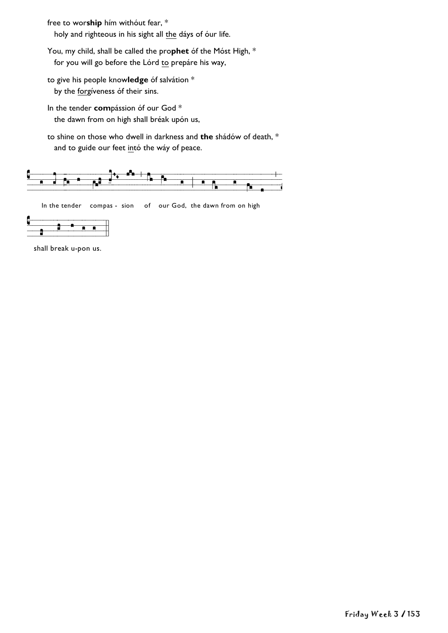free to worship him without fear, \*

holy and righteous in his sight all the dáys of óur life.

You, my child, shall be called the prophet of the Most High, \* for you will go before the Lórd to prepáre his way,

to give his people knowledge óf salvátion \*

by the forgiveness of their sins.

In the tender compássion óf our God\* the dawn from on high shall bréak upón us,

to shine on those who dwell in darkness and the shádów of death, \* and to guide our feet intó the wáy of peace.



In the tender compas - sion of our God, the dawn from on high



shall break u-pon us.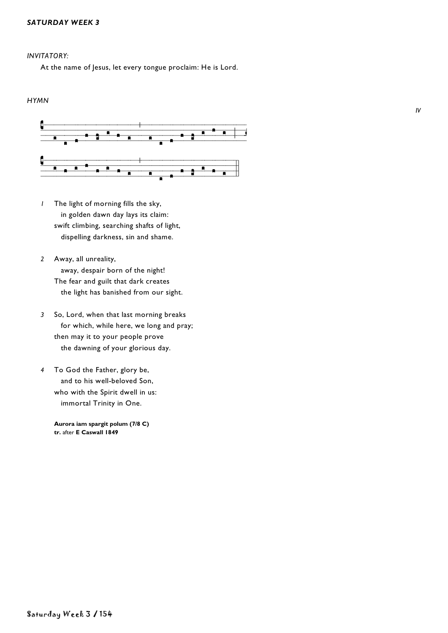### *INVITATORY:*

At the name of Jesus, let every tongue proclaim: He is Lord.

#### *HYMN*



- *1* The light of morning fills the sky, in golden dawn day lays its claim: swift climbing, searching shafts of light, dispelling darkness, sin and shame.
- *2* Away, all unreality, away, despair born of the night! The fear and guilt that dark creates the light has banished from our sight.
- *3* So, Lord, when that last morning breaks for which, while here, we long and pray; then may it to your people prove the dawning of your glorious day.
- *4* To God the Father, glory be, and to his well-beloved Son, who with the Spirit dwell in us: immortal Trinity in One.

**Aurora iam spargit polum (7/8 C) tr.** after **E Caswall 1849**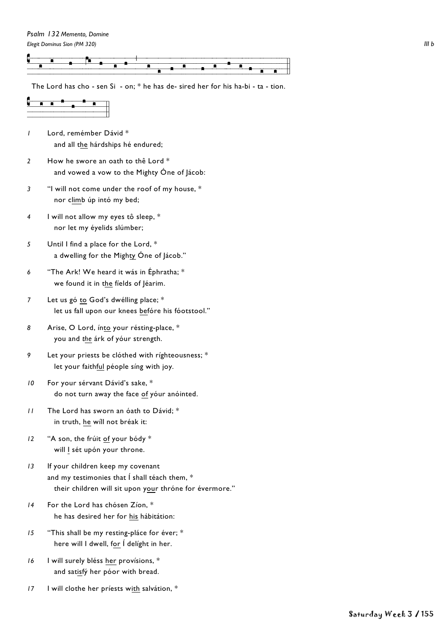*Psalm 132 Memento, Domine Elegit Dominus Sion (PM 320) III b*



The Lord has cho - sen Si - on; \* he has de- sired her for his ha-bi - ta - tion.



- *1* Lord, remémber Dávid \* and all the hárdships hé endured;
- *2* How he swore an oath to thê Lord \* and vowed a vow to the Mighty Óne of Jácob:
- *3* "I will not come under the roof of my house, \* nor climb úp intó my bed;
- *4* I will not allow my eyes tô sleep, \* nor let my éyelids slúmber;
- *5* Until I find a place for the Lord, \* a dwelling for the Mighty Óne of Jácob."
- *6* "The Ark! We heard it wás in Éphratha; \* we found it in the fíelds of Jéarim.
- *7* Let us gó to God's dwélling place; \* let us fall upon our knees befóre his fóotstool."
- *8* Arise, O Lord, ínto your résting-place, \* you and *the* árk of yóur strength.
- *9* Let your priests be clóthed with ríghteousness; \* let your faithful péople síng with joy.
- *10* For your sérvant Dávid's sake, \* do not turn away the face of yóur anóinted.
- *11* The Lord has sworn an óath to Dávid; \* in truth, he wíll not bréak it:
- *12* "A son, the frúit of your bódy \* will I sét upón your throne.
- *13* If your children keep my covenant and my testimonies that Í shall téach them, \* their children will sit upon your thróne for évermore."
- *14* For the Lord has chósen Zíon, \* he has desired her for his hábitátion:
- *15* "This shall be my resting-pláce for éver; \* here will I dwell, for Í delíght in her.
- *16* I will surely bléss her provísions, \* and satisfý her póor with bread.
- *17* I will clothe her príests with salvátion, \*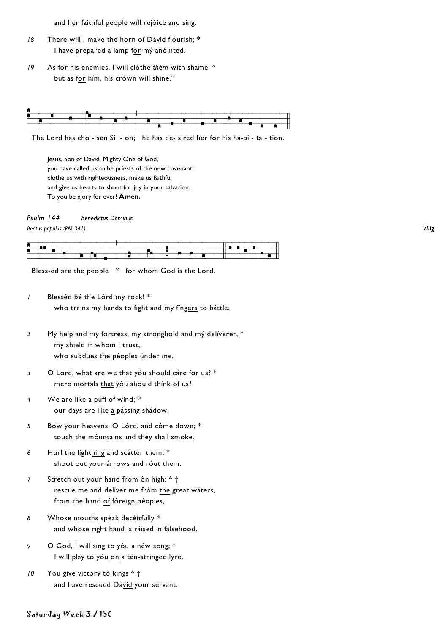and her faithful people wíll rejóice and sing.

- *18* There will I make the horn of Dávid flóurish; \* I have prepared a lamp for mý anóinted.
- *19* As for his enemies, I will clóthe *thém* with shame; \* but as for hím, his crówn will shine."



Jesus, Son of David, Mighty One of God, you have called us to be priests of the new covenant: clothe us with righteousness, make us faithful and give us hearts to shout for joy in your salvation. To you be glory for ever! **Amen.**

*Psalm 144 Benedictus Dominus Beatus populus (PM 341) VIIIg*



Bless-ed are the people \* for whom God is the Lord.

- *1* Blessèd bé the Lórd my rock! \* who trains my hands to fight and my fíngers to báttle;
- *2* My help and my fortress, my stronghold and mý delíverer, \* my shield in whom I trust, who subdues the péoples únder me.
- *3* O Lord, what are we that yóu should cáre for us? \* mere mortals that yóu should thínk of us?
- *4* We are líke a púff of wind; \* our days are like a pássing shádow.
- *5* Bow your heavens, O Lórd, and cóme down; \* touch the móuntains and théy shall smoke.
- *6* Hurl the líghtning and scátter them; \* shoot out your árrows and róut them.
- *7* Stretch out your hand from ôn high; \* † rescue me and deliver me fróm the great wáters, from the hand of fóreign péoples,
- *8* Whose mouths spéak decéitfully \* and whose right hand is ráised in fálsehood.
- *9* O God, I will sing to yóu a néw song; \* I will play to yóu on a tén-stringed lyre.
- *10* You give victory tô kings \* † and have rescued Dávid your sérvant.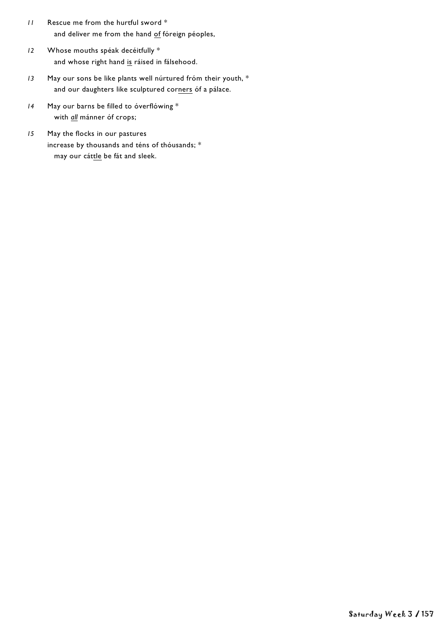- *11* Rescue me from the hurtful sword \* and deliver me from the hand of fóreign péoples,
- *12* Whose mouths spéak decéitfully \* and whose right hand is ráised in fálsehood.
- *13* May our sons be like plants well núrtured fróm their youth, \* and our daughters like sculptured corners óf a pálace.
- *14* May our barns be filled to óverflówing \* with *all* mánner óf crops;
- *15* May the flocks in our pastures increase by thousands and téns of thóusands; \* may our cáttle be fát and sleek.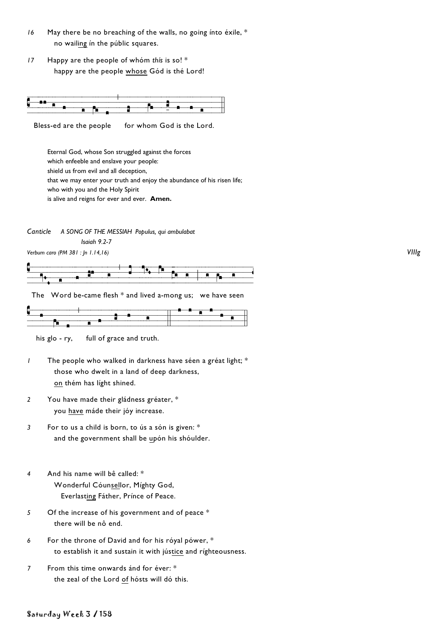- *16* May there be no breaching of the walls, no going ínto éxile, \* no wailing ín the públic squares.
- *17* Happy are the people of whóm *thís* is so! \* happy are the people whose Gód is thé Lord!



Bless-ed are the people for whom God is the Lord.

Eternal God, whose Son struggled against the forces which enfeeble and enslave your people: shield us from evil and all deception, that we may enter your truth and enjoy the abundance of his risen life; who with you and the Holy Spirit

is alive and reigns for ever and ever. **Amen.**

*Canticle A SONG OF THE MESSIAH Populus, qui ambulabat Isaiah 9.2-7*

*Verbum caro (PM 381 : Jn 1.14,16) VIIIg*



The Word be-came flesh \* and lived a-mong us; we have seen



his glo - ry, full of grace and truth.

- *1* The people who walked in darkness have séen a gréat light; \* those who dwelt in a land of deep darkness, on thém has líght shined.
- *2* You have made their gládness gréater, \* you have máde their jóy increase.
- *3* For to us a child is born, to ús a són is given: \* and the government shall be upón his shóulder.
- *4* And his name will bê called: \* Wonderful Cóunsellor, Míghty God, Everlasting Fáther, Prínce of Peace.
- *5* Of the increase of his government and of peace \* there will be nô end.
- *6* For the throne of David and for his róyal pówer, \* to establish it and sustain it with jústice and ríghteousness.
- *7* From this time onwards ánd for éver: \* the zeal of the Lord of hósts will dó this.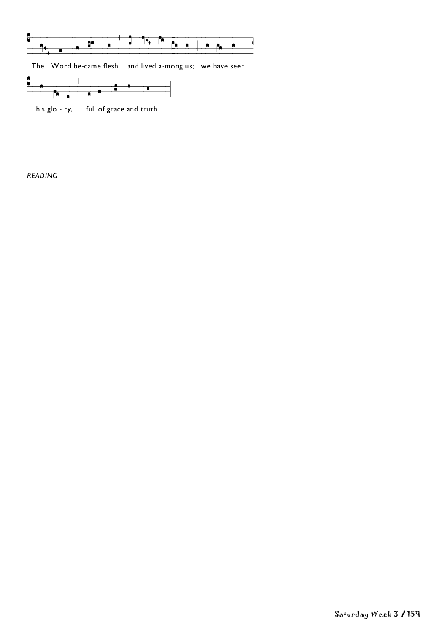

The Word be-came flesh and lived a-mong us; we have seen



his glo - ry, full of grace and truth.

*READING*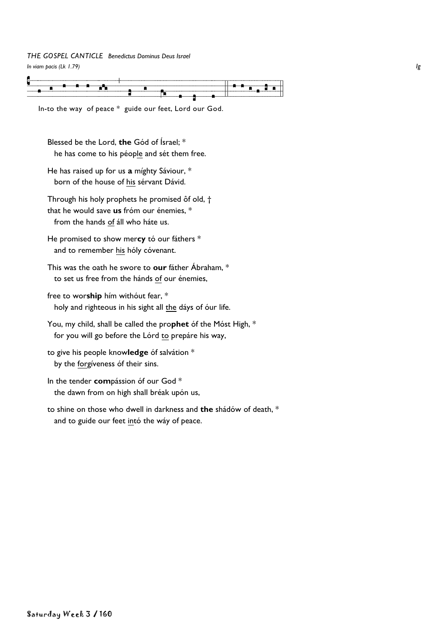*THE GOSPEL CANTICLE Benedictus Dominus Deus Israel In viam pacis (Lk 1.79) Ig*



In-to the way of peace \* guide our feet, Lord our God.

Blessed be the Lord, **the** Gód of Ísrael; \* he has come to his péople and sét them free.

He has raised up for us **a** míghty Sáviour, \* born of the house of his sérvant Dávid.

Through his holy prophets he promised ôf old, † that he would save **us** fróm our énemies, \* from the hands of áll who háte us.

He promised to show mer**cy** tó our fáthers \* and to remember his hóly cóvenant.

This was the oath he swore to **our** fáther Ábraham, \* to set us free from the hánds of our énemies,

free to wor**ship** hím withóut fear, \* holy and righteous in his sight all the dáys of óur life.

You, my child, shall be called the pro**phet** óf the Móst High, \* for you will go before the Lórd to prepáre his way,

to give his people know**ledge** óf salvátion \* by the forgíveness óf their sins.

In the tender **com**pássion óf our God \* the dawn from on high shall bréak upón us,

to shine on those who dwell in darkness and **the** shádów of death, \* and to guide our feet intó the wáy of peace.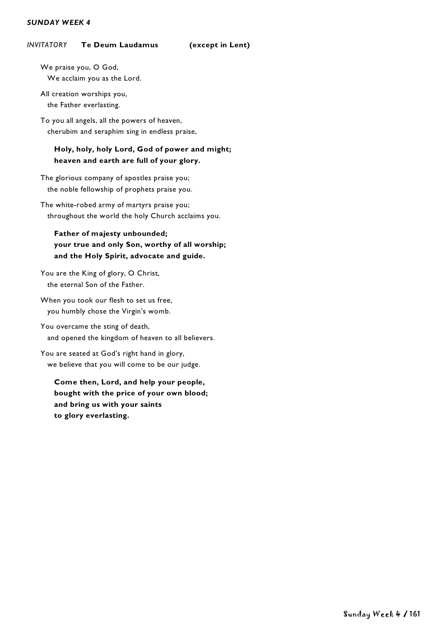### *SUNDAY WEEK 4*

# *INVITATORY* **Te Deum Laudamus (except in Lent)**

We praise you, O God, We acclaim you as the Lord.

All creation worships you, the Father everlasting.

To you all angels, all the powers of heaven, cherubim and seraphim sing in endless praise,

## **Holy, holy, holy Lord, God of power and might; heaven and earth are full of your glory.**

The glorious company of apostles praise you; the noble fellowship of prophets praise you.

The white-robed army of martyrs praise you; throughout the world the holy Church acclaims you.

# **Father of majesty unbounded; your true and only Son, worthy of all worship; and the Holy Spirit, advocate and guide.**

You are the King of glory, O Christ, the eternal Son of the Father.

When you took our flesh to set us free, you humbly chose the Virgin's womb.

You overcame the sting of death, and opened the kingdom of heaven to all believers.

You are seated at God's right hand in glory, we believe that you will come to be our judge.

**Come then, Lord, and help your people, bought with the price of your own blood; and bring us with your saints to glory everlasting.**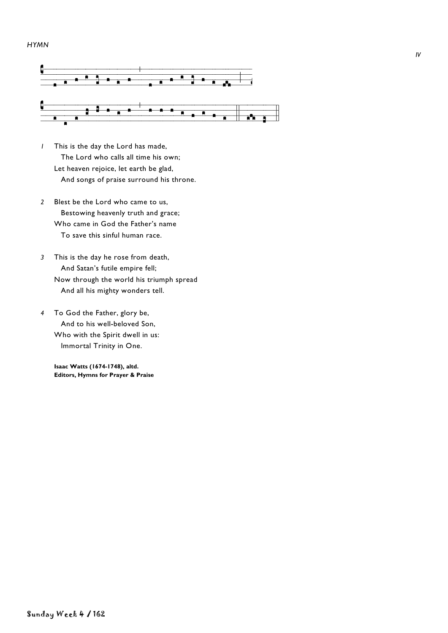

- *1* This is the day the Lord has made, The Lord who calls all time his own; Let heaven rejoice, let earth be glad, And songs of praise surround his throne.
- *2* Blest be the Lord who came to us, Bestowing heavenly truth and grace; Who came in God the Father's name To save this sinful human race.
- *3* This is the day he rose from death, And Satan's futile empire fell; Now through the world his triumph spread And all his mighty wonders tell.
- *4* To God the Father, glory be, And to his well-beloved Son, Who with the Spirit dwell in us: Immortal Trinity in One.

**Isaac Watts (1674-1748), altd. Editors, Hymns for Prayer & Praise**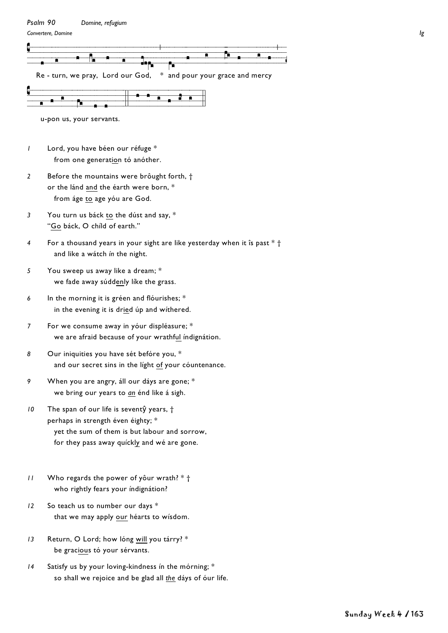Convertere, Domine

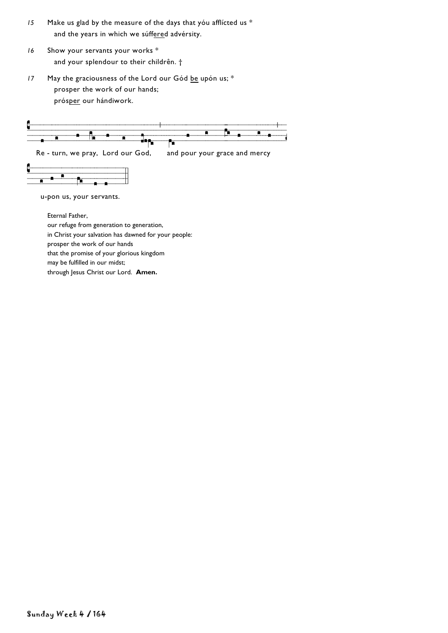- Make us glad by the measure of the days that you afflicted us \*  $15$ and the years in which we súffered advérsity.
- $16$ Show your servants your works \* and your splendour to their childrên. +
- May the graciousness of the Lord our Gód be upón us; \*  $17$ prosper the work of our hands; prósper our hándiwork.





u-pon us, your servants.

Eternal Father,

our refuge from generation to generation, in Christ your salvation has dawned for your people: prosper the work of our hands that the promise of your glorious kingdom may be fulfilled in our midst;

through Jesus Christ our Lord. Amen.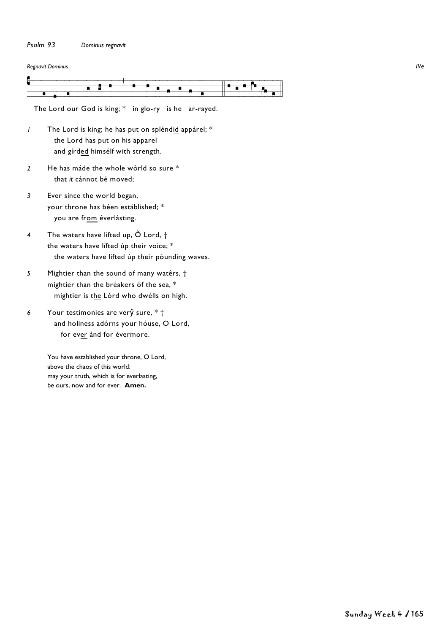### *Psalm 93 Dominus regnavit*

#### *Regnavit Dominus IVe*



The Lord our God is king; \* in glo-ry is he ar-rayed.

- *1* The Lord is king; he has put on spléndid appárel; \* the Lord has put on his apparel and gírded himsélf with strength.
- *2* He has máde the whole wórld so sure \* that *it* cánnot bé moved;
- *3* Ever since the world began, your throne has béen estáblished; \* you are from éverlásting.
- *4* The waters have lifted up, Ô Lord, † the waters have lífted úp their voice; \* the waters have lifted úp their póunding waves.
- *5* Mightier than the sound of many watêrs, † mightier than the bréakers óf the sea, \* mightier is the Lórd who dwélls on high.
- *6* Your testimonies are ver $\hat{y}$  sure,  $*$  † and holiness adórns your hóuse, O Lord, for ever ánd for évermore.

You have established your throne, O Lord, above the chaos of this world: may your truth, which is for everlasting, be ours, now and for ever. **Amen.**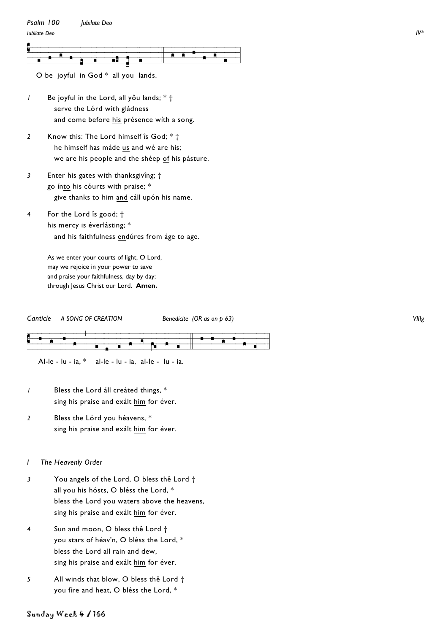

O be joyful in God \* all you lands.

- Be joyful in the Lord, all you lands; \* +  $\overline{1}$ serve the Lórd with gládness and come before his présence with a song.
- Know this: The Lord himself is God; \* +  $\overline{2}$ he himself has máde us and wé are his; we are his people and the shéep of his pásture.
- Enter his gates with thanksgiving; +  $\mathfrak{Z}$ go ínto his cóurts with praise; \* give thanks to him and cáll upón his name.
- For the Lord is good; †  $\overline{4}$ his mercy is éverlásting; \* and his faithfulness endúres from áge to age.

As we enter your courts of light, O Lord, may we rejoice in your power to save and praise your faithfulness, day by day; through Jesus Christ our Lord. Amen.

Canticle A SONG OF CREATION

Benedicite (OR as on b 63)



Al-le - lu - ia, \* al-le - lu - ia, al-le - lu - ia.

- Bless the Lord all created things, \*  $\overline{1}$ sing his praise and exált him for éver.
- Bless the Lórd you héavens, \*  $\overline{2}$ sing his praise and exált him for éver.
- $\overline{I}$ The Heavenly Order
- $\mathfrak{Z}$ You angels of the Lord, O bless the Lord + all you his hósts, O bléss the Lord, \* bless the Lord you waters above the heavens, sing his praise and exalt him for ever.
- $\overline{\mathcal{A}}$ Sun and moon, O bless thê Lord + you stars of héav'n, O bléss the Lord, \* bless the Lord all rain and dew, sing his praise and exált him for éver.
- All winds that blow, O bless thê Lord +  $\sqrt{5}$ you fíre and heat, O bléss the Lord, \*

VIIIg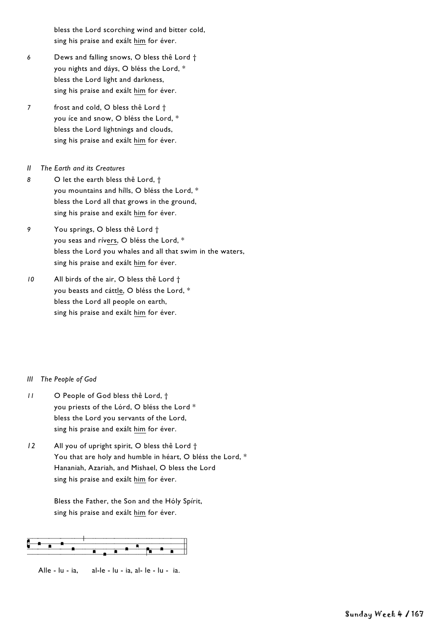bless the Lord scorching wind and bitter cold, sing his praise and exált him for éver.

- *6* Dews and falling snows, O bless thê Lord † you nights and dáys, O bléss the Lord, \* bless the Lord light and darkness, sing his praise and exált him for éver.
- *7* frost and cold, O bless thê Lord † you íce and snow, O bléss the Lord, \* bless the Lord lightnings and clouds, sing his praise and exált him for éver.
- *II The Earth and its Creatures*
- *8* O let the earth bless thê Lord, † you mountains and hílls, O bléss the Lord, \* bless the Lord all that grows in the ground, sing his praise and exált him for éver.
- *9* You springs, O bless thê Lord † you seas and rívers, O bléss the Lord, \* bless the Lord you whales and all that swim in the waters, sing his praise and exált him for éver.
- *10* All birds of the air, O bless thê Lord † you beasts and cáttle, O bléss the Lord, \* bless the Lord all people on earth, sing his praise and exált him for éver.

## *III The People of God*

- *11* O People of God bless thê Lord, † you priests of the Lórd, O bléss the Lord \* bless the Lord you servants of the Lord, sing his praise and exált him for éver.
- *12* All you of upright spirit, O bless thê Lord † You that are holy and humble in héart, O bléss the Lord, \* Hananiah, Azariah, and Mishael, O bless the Lord sing his praise and exált him for éver.

Bless the Father, the Son and the Hóly Spírit, sing his praise and exált him for éver.



Alle - lu - ia, al-le - lu - ia, al- le - lu - ia.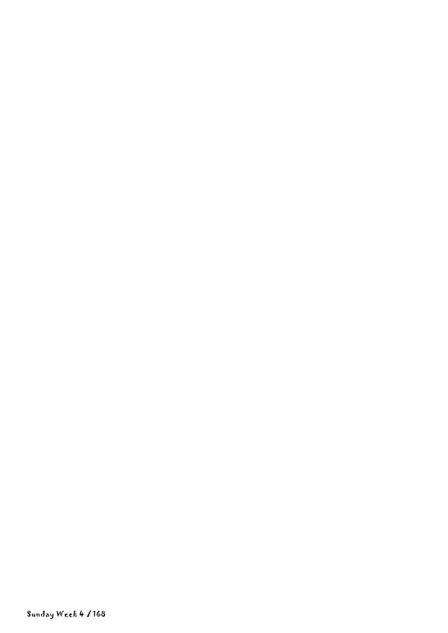Sunday Week 4 / 168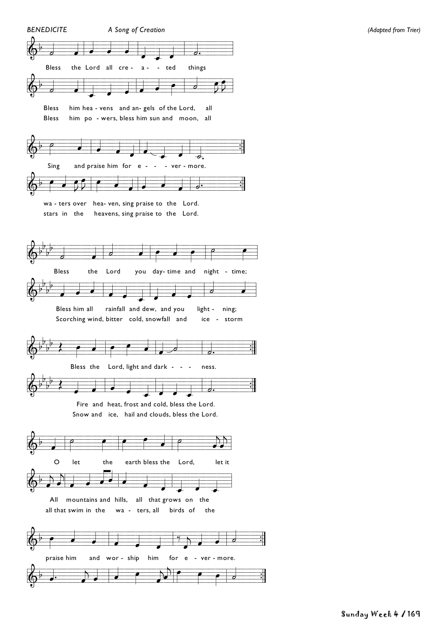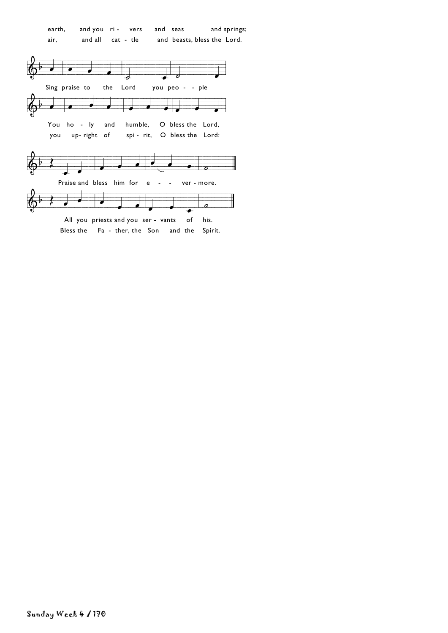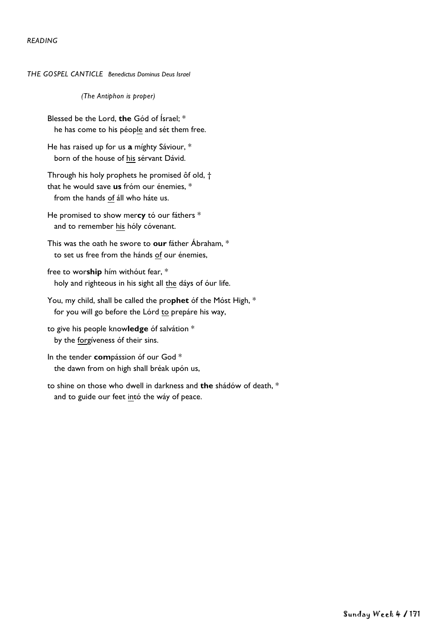### *READING*

*THE GOSPEL CANTICLE Benedictus Dominus Deus Israel*

*(The Antiphon is proper)*

Blessed be the Lord, **the** Gód of Ísrael; \* he has come to his péople and sét them free.

He has raised up for us **a** míghty Sáviour, \* born of the house of his sérvant Dávid.

Through his holy prophets he promised ôf old, † that he would save **us** fróm our énemies, \* from the hands of áll who háte us.

He promised to show mer**cy** tó our fáthers \* and to remember his hóly cóvenant.

This was the oath he swore to **our** fáther Ábraham, \* to set us free from the hánds of our énemies,

free to wor**ship** hím withóut fear, \* holy and righteous in his sight all the dáys of óur life.

You, my child, shall be called the pro**phet** óf the Móst High, \* for you will go before the Lórd to prepáre his way,

to give his people know**ledge** óf salvátion \* by the forgíveness óf their sins.

In the tender **com**pássion óf our God \* the dawn from on high shall bréak upón us,

to shine on those who dwell in darkness and **the** shádów of death, \* and to guide our feet intó the wáy of peace.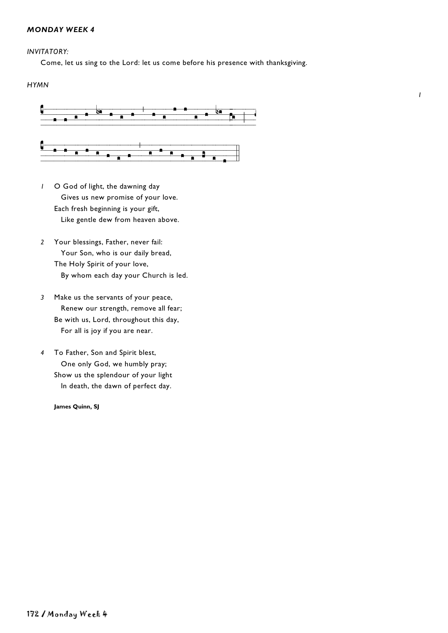### *INVITATORY:*

Come, let us sing to the Lord: let us come before his presence with thanksgiving.

*I*

### *HYMN*



- 1 O God of light, the dawning day Gives us new promise of your love. Each fresh beginning is your gift, Like gentle dew from heaven above.
- *2* Your blessings, Father, never fail: Your Son, who is our daily bread, The Holy Spirit of your love, By whom each day your Church is led.
- *3* Make us the servants of your peace, Renew our strength, remove all fear; Be with us, Lord, throughout this day, For all is joy if you are near.
- *4* To Father, Son and Spirit blest, One only God, we humbly pray; Show us the splendour of your light In death, the dawn of perfect day.

**James Quinn, SJ**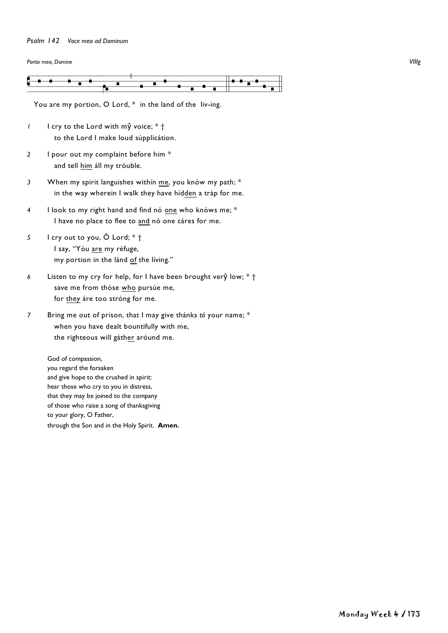### *Psalm 142 Voce mea ad Dominum*

#### *Portio mea, Domine VIIIg*



You are my portion, O Lord, \* in the land of the liv-ing.

- *I* I cry to the Lord with  $m\hat{y}$  voice;  $*$   $\dagger$ to the Lord I make loud súpplicátion.
- *2* I pour out my complaint before him \* and tell him áll my tróuble.
- *3* When my spirit languishes withín me, you knów my path; \* in the way wherein I walk they have hídden a tráp for me.
- *4* I look to my right hand and find nó one who knóws me; \* I have no place to flee to and nó one cáres for me.
- *5* I cry out to you, Ô Lord; \* † I say, "Yóu are my réfuge, my portion in the lánd of the líving."
- *6* Listen to my cry for help, for I have been brought ver $\hat{y}$  low;  $*$   $\dagger$ save me from thóse who pursúe me, for they áre too stróng for me.
- *7* Bring me out of prison, that I may give thánks *tó* your name; \* when you have dealt bountifully with me, the righteous will gáther aróund me.

God of compassion, you regard the forsaken and give hope to the crushed in spirit: hear those who cry to you in distress, that they may be joined to the company of those who raise a song of thanksgiving to your glory, O Father, through the Son and in the Holy Spirit. **Amen.**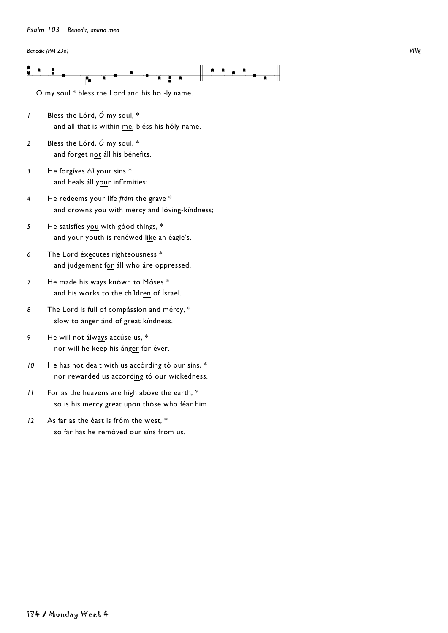#### Psalm 103 Benedic, anima mea

#### Benedic (PM 236)

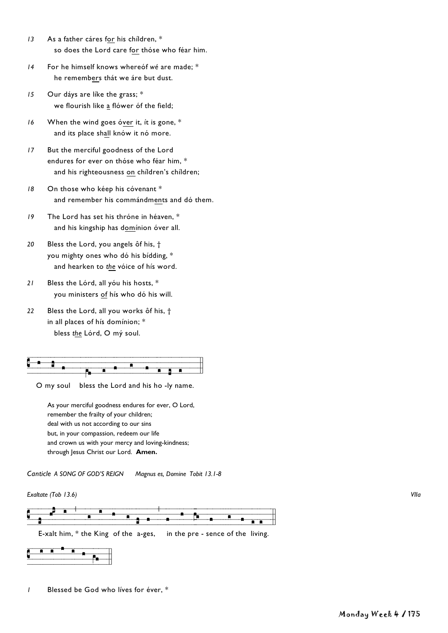- As a father cáres for his chíldren, \*  $13$ so does the Lord care for thóse who féar him.
- For he himself knows whereof we are made; \*  $14$ he remembers thát we áre but dust.
- Our dáys are líke the grass; \*  $15$ we flourish like a flówer óf the field;
- When the wind goes óver it, it is gone, \*  $16$ and its place shall knów it nó more.
- But the merciful goodness of the Lord  $17$ endures for ever on thóse who féar him, \* and his righteousness on children's children;
- $18$ On those who kéep his cóvenant \* and remember his commándments and dó them.
- $19$ The Lord has set his thróne in héaven, \* and his kingship has domínion óver all.
- 20 Bless the Lord, you angels ôf his, t you mighty ones who dó his bídding, \* and hearken to the vóice of hís word.
- Bless the Lórd, all yóu his hosts, \*  $21$ you ministers of hís who dó his will.
- Bless the Lord, all you works ôf his, t 22 in all places of hís domínion; \* bless the Lórd, O mý soul.



O my soul bless the Lord and his ho -ly name.

As your merciful goodness endures for ever, O Lord, remember the frailty of your children; deal with us not according to our sins but, in your compassion, redeem our life and crown us with your mercy and loving-kindness; through Jesus Christ our Lord. Amen.

Canticle A SONG OF GOD'S REIGN Magnus es, Domine Tobit 13.1-8





E-xalt him,  $*$  the King of the a-ges, in the pre - sence of the living.



Blessed be God who lives for éver, \*  $\overline{1}$ 

VIIa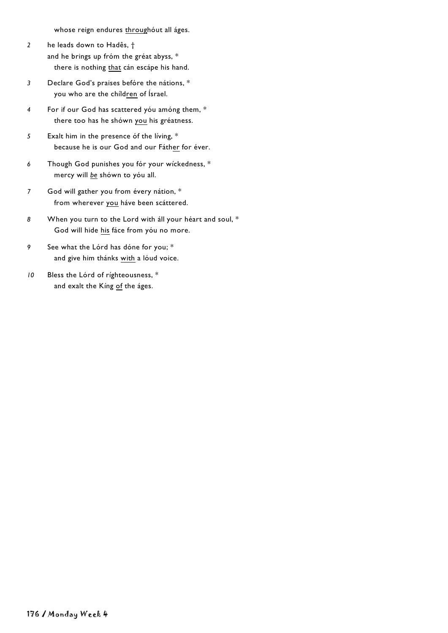whose reign endures throughóut all áges.

- *2* he leads down to Hadês, † and he brings up fróm the gréat abyss, \* there is nothing that cán escápe his hand.
- *3* Declare God's praises befóre the nátions, \* you who are the chíldren of Ísrael.
- *4* For if our God has scattered yóu amóng them, \* there too has he shówn you his gréatness.
- *5* Exalt him in the presence óf the líving, \* because he is our God and our Fáther for éver.
- *6* Though God punishes you fór your wíckedness, \* mercy will *be* shówn to yóu all.
- *7* God will gather you from évery nátion, \* from wherever you háve been scáttered.
- *8* When you turn to the Lord with áll your héart and soul, \* God will hide his fáce from yóu no more.
- *9* See what the Lórd has dóne for you; \* and give him thánks with a lóud voice.
- *10* Bless the Lórd of ríghteousness, \* and exalt the King of the áges.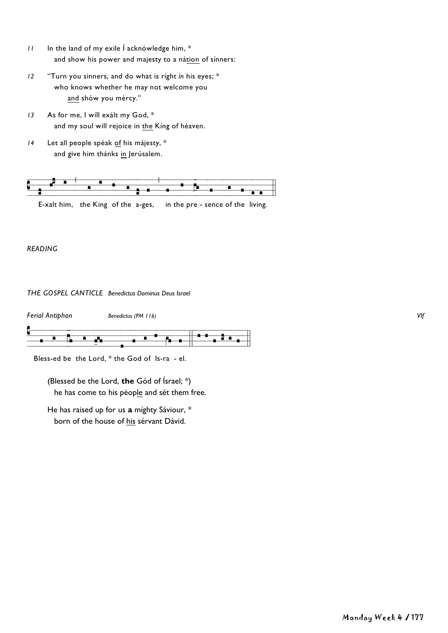- *11* In the land of my exile Í acknówledge him, \* and show his power and majesty to a nátion of sínners:
- *12* "Turn you sinners, and do what is ríght *ín* his eyes; \* who knows whether he may not welcome you and shów you mércy."
- *13* As for me, I wíll exált my God, \* and my soul will rejoice in the King of héaven.
- 14 Let all people spéak of his májesty, \* and give him thánks in Jerúsalem.



#### *READING*

#### *THE GOSPEL CANTICLE Benedictus Dominus Deus Israel*

| Ferial Antiphon | Benedictus (PM 116) |  |
|-----------------|---------------------|--|
|                 |                     |  |
|                 |                     |  |

Bless-ed be the Lord, \* the God of Is-ra - el.

(Blessed be the Lord, **the** Gód of Ísrael; \*) he has come to his péople and sét them free.

He has raised up for us **a** míghty Sáviour, \* born of the house of his sérvant Dávid.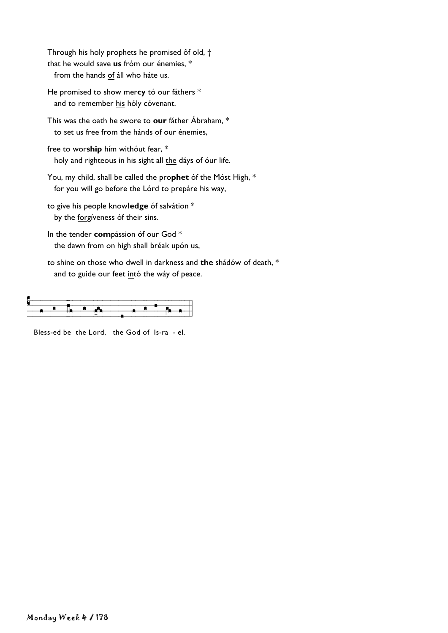Through his holy prophets he promised ôf old, t that he would save us fróm our énemies, \* from the hands of all who hate us.

He promised to show mercy tó our fáthers \* and to remember his hóly cóvenant.

This was the oath he swore to our father Abraham, \* to set us free from the hánds of our énemies,

free to worship him without fear, \* holy and righteous in his sight all the dáys of óur life.

You, my child, shall be called the prophet of the Most High, \* for you will go before the Lórd to prepáre his way,

to give his people knowledge óf salvátion \* by the forgiveness of their sins.

In the tender compássion óf our God\* the dawn from on high shall bréak upón us,

to shine on those who dwell in darkness and the shádów of death, \* and to guide our feet intó the wáy of peace.



Bless-ed be the Lord, the God of Is-ra - el.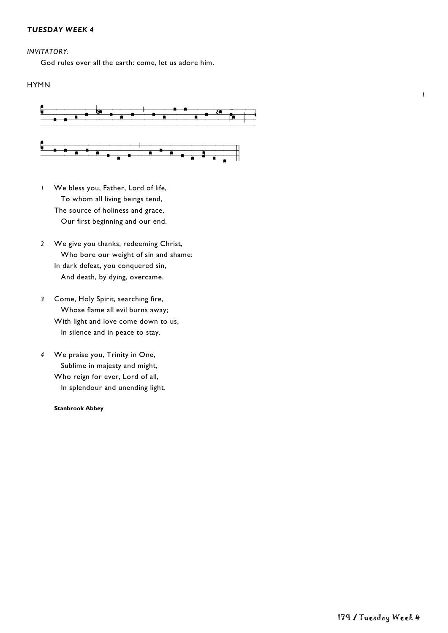## *TUESDAY WEEK 4*

### *INVITATORY:*

God rules over all the earth: come, let us adore him.

### HYMN



- *1* We bless you, Father, Lord of life, To whom all living beings tend, The source of holiness and grace, Our first beginning and our end.
- *2* We give you thanks, redeeming Christ, Who bore our weight of sin and shame: In dark defeat, you conquered sin, And death, by dying, overcame.
- *3* Come, Holy Spirit, searching fire, Whose flame all evil burns away; With light and love come down to us, In silence and in peace to stay.
- *4* We praise you, Trinity in One, Sublime in majesty and might, Who reign for ever, Lord of all, In splendour and unending light.

**Stanbrook Abbey**

*I*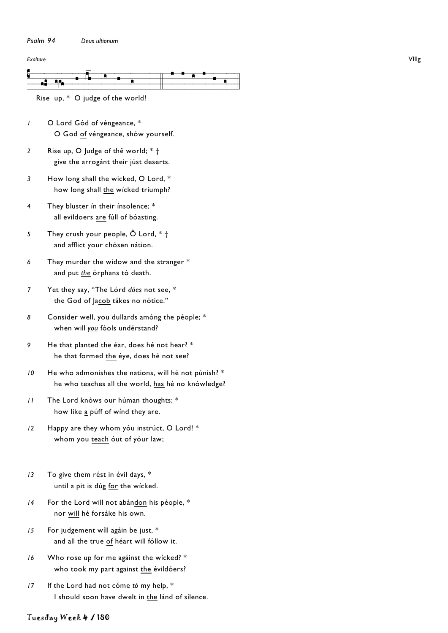Psalm 94 Deus ultionum

|    | Exaltare                                                                                                     |
|----|--------------------------------------------------------------------------------------------------------------|
|    | ٩Ŋ                                                                                                           |
|    | Rise up, $*$ O judge of the world!                                                                           |
| I  | O Lord Gód of véngeance, *<br>O God of véngeance, shów yourself.                                             |
| 2  | Rise up, O Judge of thê world; $*$ $\dagger$<br>give the arrogánt their júst deserts.                        |
| 3  | How long shall the wicked, $\circ$ Lord, $*$<br>how long shall the wicked triumph?                           |
| 4  | They bluster in their insolence; *<br>all evildoers are fúll of bóasting.                                    |
| 5  | They crush your people, $\hat{O}$ Lord, $*$ $\dagger$<br>and afflict your chósen nátion.                     |
| 6  | They murder the widow and the stranger *<br>and put the órphans tó death.                                    |
| 7  | Yet they say, "The Lórd dóes not see, *<br>the God of Jacob tákes no nótice."                                |
| 8  | Consider well, you dullards amóng the péople; *<br>when will you fóols undérstand?                           |
| 9  | He that planted the éar, does hé not hear? *<br>he that formed the éye, does hé not see?                     |
| 10 | He who admonishes the nations, will hé not púnish? $*$<br>he who teaches all the world, has hé no knówledge? |
| H  | The Lord knóws our húman thoughts; *<br>how like a púff of wind they are.                                    |
| 12 | Happy are they whom yóu instrúct, O Lord! *<br>whom you teach out of your law;                               |
| 13 | To give them rést in évil days, *<br>until a pit is dúg for the wícked.                                      |
| 14 | For the Lord will not abándon his péople, *<br>nor will hé forsáke his own.                                  |
| 15 | For judgement will agáin be just, *<br>and all the true of héart will fóllow it.                             |
| 16 | Who rose up for me against the wicked? $*$<br>who took my part against the évildóers?                        |
| 17 | If the Lord had not cóme tó my help, *<br>I should soon have dwelt in the lánd of sílence.                   |

# Tuesday Week 4 / 180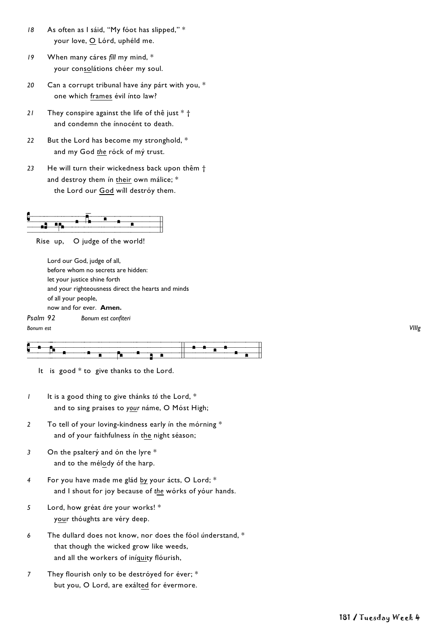- As often as I sáid, "My fóot has slipped," \*  $18$ your love, O Lórd, uphéld me.
- When many cáres fill my mind, \*  $19$ your consolátions chéer my soul.
- $20$ Can a corrupt tribunal have ány párt with you, \* one which frames évil ínto law?
- They conspire against the life of the just  $*$   $\dagger$  $21$ and condemn the innocent to death.
- But the Lord has become my stronghold, \* 22 and my God the róck of mý trust.
- 23 He will turn their wickedness back upon thêm t and destroy them in their own málice; \* the Lord our God will destróy them.

Rise up, O judge of the world!

Lord our God, judge of all, before whom no secrets are hidden: let your justice shine forth and your righteousness direct the hearts and minds of all your people, now and for ever. Amen. Psalm 92 Bonum est confiteri **Bonum est** 

- It is good  $*$  to give thanks to the Lord.
- It is a good thing to give thánks tó the Lord, \*  $\overline{1}$ and to sing praises to your náme, O Móst High;
- To tell of your loving-kindness early in the morning \*  $\overline{2}$ and of your faithfulness in the night séason;
- On the psaltery and on the lyre \* 3 and to the mélody of the harp.
- For you have made me glád by your ácts, O Lord; \*  $\overline{4}$ and I shout for joy because of the wórks of yóur hands.
- Lord, how gréat áre your works! \* .5 your thóughts are véry deep.
- The dullard does not know, nor does the fóol únderstand, \* 6 that though the wicked grow like weeds, and all the workers of iníquity flóurish,
- They flourish only to be destróyed for éver; \*  $\overline{7}$ but you, O Lord, are exálted for évermore.

VIIIg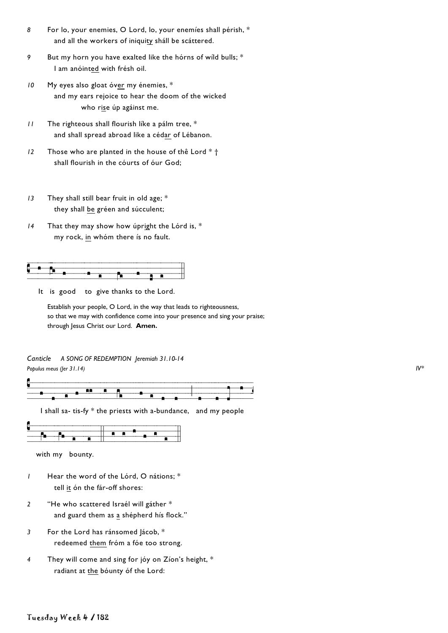- *8* For lo, your enemies, O Lord, lo, your enemíes shall pérish, \* and all the workers of iniquity sháll be scáttered.
- *9* But my horn you have exalted like the hórns of wíld bulls; \* I am anóinted with frésh oil.
- *10* My eyes also gloat óver my énemies, \* and my ears rejoice to hear the doom of the wicked who rise úp agáinst me.
- *11* The righteous shall flourish líke a pálm tree, \* and shall spread abroad like a cédar of Lébanon.
- *12* Those who are planted in the house of thê Lord \* † shall flourish in the cóurts of óur God;
- *13* They shall still bear fruit in old age; \* they shall be gréen and súcculent;
- *14* That they may show how úpright the Lórd is, \* my rock, in whóm there ís no fault.



It is good to give thanks to the Lord.

Establish your people, O Lord, in the way that leads to righteousness, so that we may with confidence come into your presence and sing your praise; through Jesus Christ our Lord. **Amen.**

#### *Canticle A SONG OF REDEMPTION Jeremiah 31.10-14 Populus meus (Jer 31.14) IV\**



I shall sa- tis-fy \* the priests with a-bundance, and my people



with my bounty.

- *1* Hear the word of the Lórd, O nátions; \* tell it ón the fár-off shores:
- *2* "He who scattered Israél will gáther \* and guard them as a shépherd hís flock."
- *3* For the Lord has ránsomed Jácob, \* redeemed them fróm a fóe too strong.
- *4* They will come and sing for jóy on Zíon's height, \* radiant at the bóunty óf the Lord: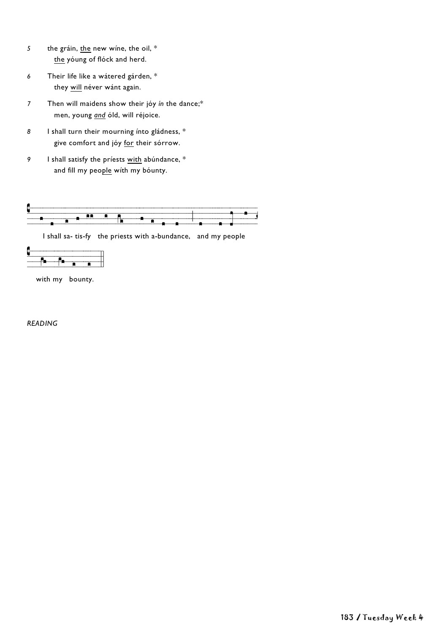- *5* the gráin, the new wíne, the oil, \* the yóung of flóck and herd.
- *6* Their life like a wátered gárden, \* they will néver wánt again.
- *7* Then will maidens show their jóy *ín* the dance;\* men, young *and* óld, will réjoice.
- *8* I shall turn their mourning ínto gládness, \* give comfort and jóy for their sórrow.
- *9* I shall satisfy the príests with abúndance, \* and fill my people wíth my bóunty.



I shall sa- tis-fy the priests with a-bundance, and my people



with my bounty.

#### *READING*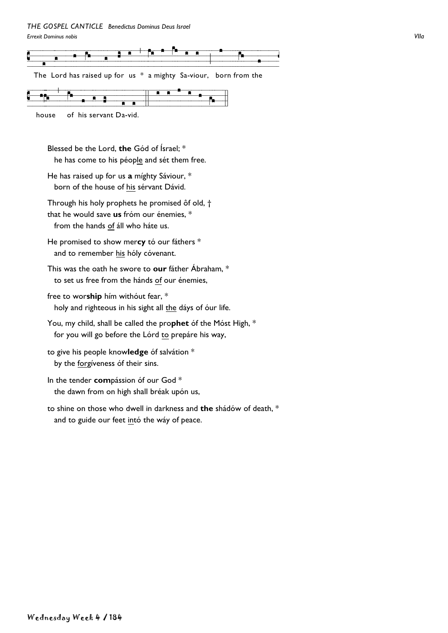



house of his servant Da-vid.

Blessed be the Lord, **the** Gód of Ísrael; \* he has come to his péople and sét them free.

He has raised up for us **a** míghty Sáviour, \* born of the house of his sérvant Dávid.

Through his holy prophets he promised ôf old, † that he would save **us** fróm our énemies, \* from the hands of áll who háte us.

He promised to show mer**cy** tó our fáthers \* and to remember his hóly cóvenant.

This was the oath he swore to **our** fáther Ábraham, \* to set us free from the hánds of our énemies,

- free to wor**ship** hím withóut fear, \* holy and righteous in his sight all the dáys of óur life.
- You, my child, shall be called the pro**phet** óf the Móst High, \* for you will go before the Lórd to prepáre his way,

```
to give his people knowledge óf salvátion *
by the forgíveness óf their sins.
```
In the tender **com**pássion óf our God \* the dawn from on high shall bréak upón us,

to shine on those who dwell in darkness and **the** shádów of death, \* and to guide our feet intó the wáy of peace.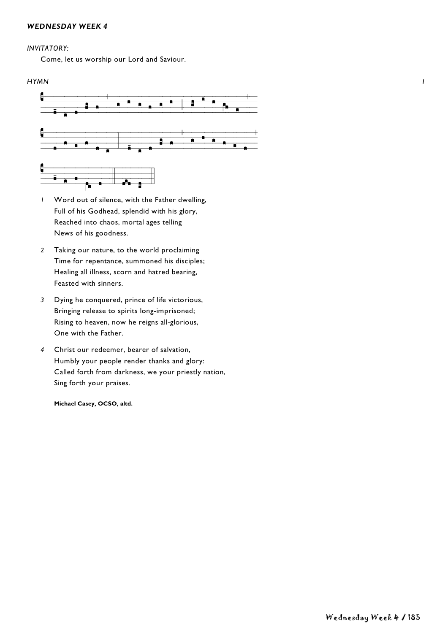#### *INVITATORY:*

Come, let us worship our Lord and Saviour.

### *HYMN I*



- *1* Word out of silence, with the Father dwelling, Full of his Godhead, splendid with his glory, Reached into chaos, mortal ages telling News of his goodness.
- *2* Taking our nature, to the world proclaiming Time for repentance, summoned his disciples; Healing all illness, scorn and hatred bearing, Feasted with sinners.
- *3* Dying he conquered, prince of life victorious, Bringing release to spirits long-imprisoned; Rising to heaven, now he reigns all-glorious, One with the Father.
- *4* Christ our redeemer, bearer of salvation, Humbly your people render thanks and glory: Called forth from darkness, we your priestly nation, Sing forth your praises.

**Michael Casey, OCSO, altd.**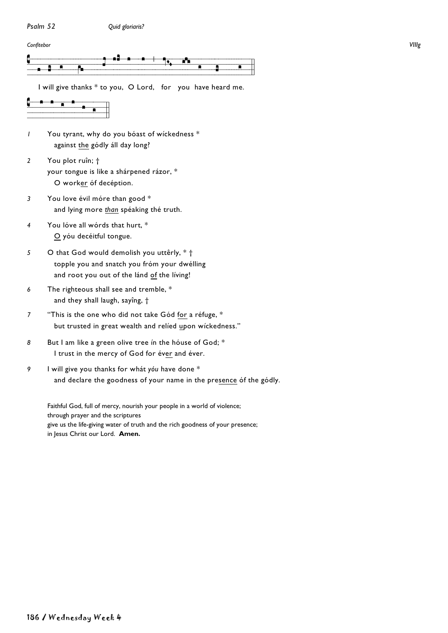#### Psalm 52 Quid gloriaris?

Confitebor



I will give thanks \* to you, O Lord, for you have heard me.



- You tyrant, why do you bóast of wíckedness \*  $\overline{1}$ against the gódly áll day long?
- $\overline{2}$ You plot ruîn; t your tongue is like a shárpened rázor, \* O worker óf decéption.
- $\mathfrak{Z}$ You love évil móre than good \* and lying more than spéaking thé truth.
- $\overline{\mathcal{A}}$ You lóve all wórds that hurt, \* O yóu decéitful tongue.
- O that God would demolish you uttêrly, \* + 5 topple you and snatch you fróm your dwélling and root you out of the lánd of the líving!
- The righteous shall see and tremble, \*  $\pmb{6}$ and they shall laugh, saying, t
- "This is the one who did not take Gód for a réfuge, \*  $\overline{7}$ but trusted in great wealth and relied upon wickedness."
- But I am like a green olive tree in the house of God; \* 8 I trust in the mercy of God for éver and éver.
- 9 I will give you thanks for what you have done \* and declare the goodness of your name in the presence of the godly.

Faithful God, full of mercy, nourish your people in a world of violence; through prayer and the scriptures give us the life-giving water of truth and the rich goodness of your presence; in Jesus Christ our Lord. Amen.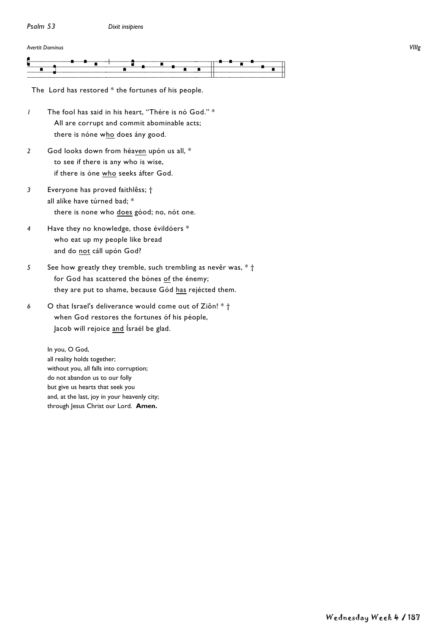#### *Psalm 53 Dixit insipiens*

*Avertit Dominus VIIIg*



The Lord has restored \* the fortunes of his people.

- *1* The fool has said in his heart, "Thére is nó God." \* All are corrupt and commit abominable acts; there is nóne who does ány good.
- *2* God looks down from héaven upón us all, \* to see if there is any who is wise, if there is óne who seeks áfter God.
- *3* Everyone has proved faithlêss; † all alíke have túrned bad; \* there is none who does góod; no, nót one.
- *4* Have they no knowledge, those évildóers \* who eat up my people like bread and do not cáll upón God?
- *5* See how greatly they tremble, such trembling as nevêr was, \* † for God has scattered the bónes of the énemy; they are put to shame, because Gód has rejécted them.
- *6* O that Israel's deliverance would come out of Ziôn! \* † when God restores the fortunes óf his péople, Jacob will rejoice and Ísraél be glad.

In you, O God, all reality holds together; without you, all falls into corruption; do not abandon us to our folly but give us hearts that seek you and, at the last, joy in your heavenly city; through Jesus Christ our Lord. **Amen.**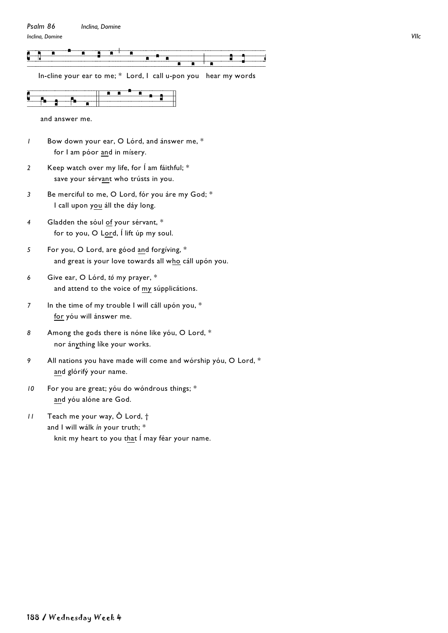

- *7* In the time of my trouble I will cáll upón you, \* for yóu will ánswer me.
- *8* Among the gods there is nóne like yóu, O Lord, \* nor ánything líke your works.
- *9* All nations you have made will come and wórship yóu, O Lord, \* and glórifý your name.
- *10* For you are great; yóu do wóndrous things; \* and yóu alóne are God.
- *11* Teach me your way, Ô Lord, † and I will wálk *ín* your truth; \* knit my heart to you that I may féar your name.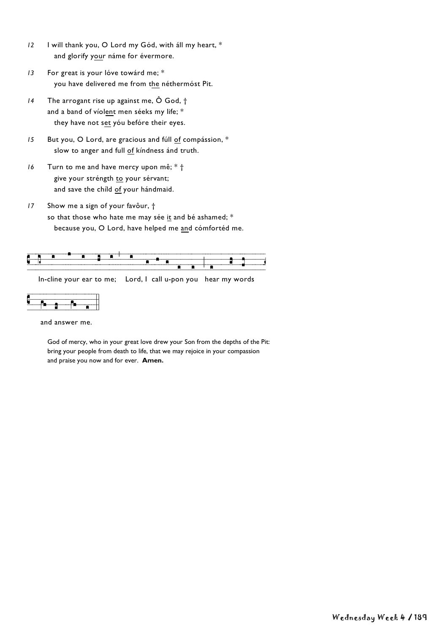- *12* I will thank you, O Lord my Gód, with áll my heart, \* and glorify your náme for évermore.
- *13* For great is your lóve towárd me; \* you have delivered me from the néthermóst Pit.
- *14* The arrogant rise up against me, Ô God, † and a band of víolent men séeks my life; \* they have not set yóu befóre their eyes.
- 15 But you, O Lord, are gracious and fúll of compássion,  $*$ slow to anger and full of kíndness ánd truth.
- *16* Turn to me and have mercy upon mê; \* † give your stréngth to your sérvant; and save the chíld of your hándmaid.
- *17* Show me a sign of your favôur, † so that those who hate me may sée it and bé ashamed; \* because you, O Lord, have helped me and cómfortéd me.





and answer me.

God of mercy, who in your great love drew your Son from the depths of the Pit: bring your people from death to life, that we may rejoice in your compassion and praise you now and for ever. **Amen.**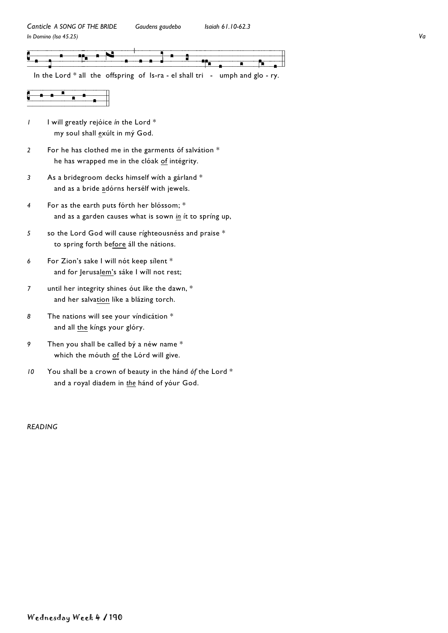

In the Lord \* all the offspring of Is-ra - el shall tri - umph and glo - ry.

- I will greatly rejóice ín the Lord \*  $\overline{1}$ my soul shall exúlt in mý God.
- $\overline{2}$ For he has clothed me in the garments of salvation \* he has wrapped me in the clóak of intégrity.
- $\overline{3}$ As a bridegroom decks himself with a gárland \* and as a bride adórns hersélf with jewels.
- For as the earth puts fórth her blóssom; \*  $\overline{4}$ and as a garden causes what is sown in it to spring up,
- $\sqrt{5}$ so the Lord God will cause ríghteousnéss and praise \* to spring forth before áll the nátions.
- For Zion's sake I will nót keep sílent \* 6 and for Jerusalem's sáke I wíll not rest;
- until her integrity shines out like the dawn, \*  $\overline{7}$ and her salvation líke a blázing torch.
- The nations will see your vindication \* 8 and all the kings your glóry.
- Then you shall be called bý a néw name \* 9 which the móuth of the Lórd will give.
- $10$ You shall be a crown of beauty in the hánd óf the Lord \* and a royal diadem in the hánd of yóur God.

**READING**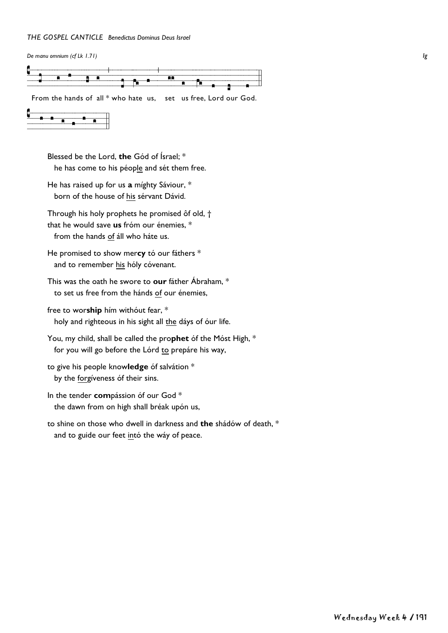#### *THE GOSPEL CANTICLE Benedictus Dominus Deus Israel*

*De manu omnium (cf Lk 1.71) Ig*



From the hands of all \* who hate us, set us free, Lord our God.



Blessed be the Lord, **the** Gód of Ísrael; \* he has come to his péople and sét them free.

He has raised up for us **a** míghty Sáviour, \* born of the house of his sérvant Dávid.

Through his holy prophets he promised ôf old, † that he would save **us** fróm our énemies, \* from the hands of áll who háte us.

He promised to show mer**cy** tó our fáthers \* and to remember his hóly cóvenant.

This was the oath he swore to **our** fáther Ábraham, \* to set us free from the hánds of our énemies,

free to wor**ship** hím withóut fear, \* holy and righteous in his sight all the dáys of óur life.

You, my child, shall be called the pro**phet** óf the Móst High, \* for you will go before the Lórd to prepáre his way,

```
to give his people knowledge óf salvátion *
by the forgíveness óf their sins.
```
In the tender **com**pássion óf our God \* the dawn from on high shall bréak upón us,

to shine on those who dwell in darkness and **the** shádów of death, \* and to guide our feet intó the wáy of peace.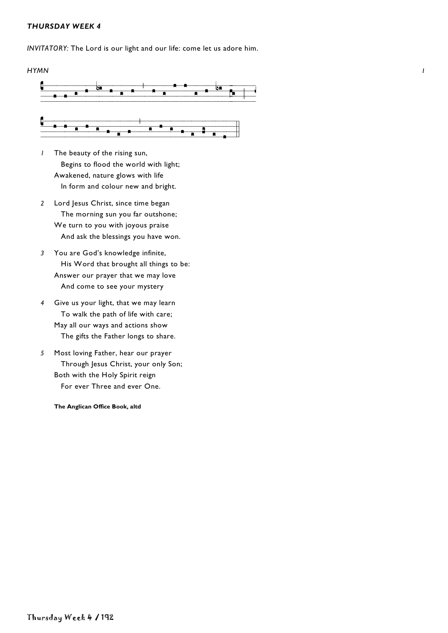#### *THURSDAY WEEK 4*

*INVITATORY:* The Lord is our light and our life: come let us adore him.

# *HYMN I* Bcfcfcgchc\bjchcgchc[chcgckckcgchc\bjcygc{cö <u>Baaan an a<sup>n</sup> an an</u>

- *1* The beauty of the rising sun, Begins to flood the world with light; Awakened, nature glows with life In form and colour new and bright.
- *2* Lord Jesus Christ, since time began The morning sun you far outshone; We turn to you with joyous praise And ask the blessings you have won.
- *3* You are God's knowledge infinite, His Word that brought all things to be: Answer our prayer that we may love And come to see your mystery
- *4* Give us your light, that we may learn To walk the path of life with care; May all our ways and actions show The gifts the Father longs to share.
- *5* Most loving Father, hear our prayer Through Jesus Christ, your only Son; Both with the Holy Spirit reign For ever Three and ever One.

**The Anglican Office Book, altd**

Thursday Week 4 / 192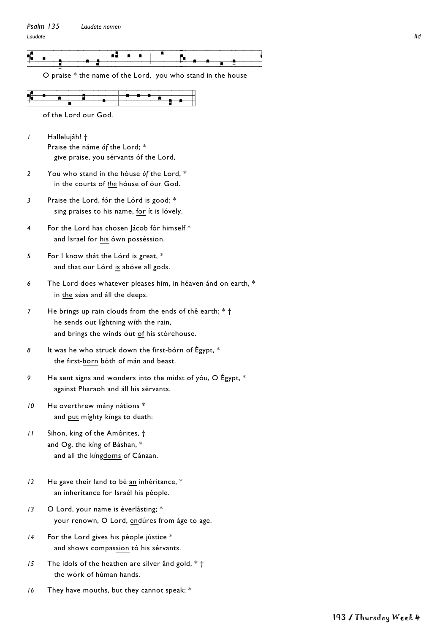

- *15* The idols of the heathen are silver ând gold, \* † the wórk of húman hands.
- *16* They have mouths, but they cannot speak; \*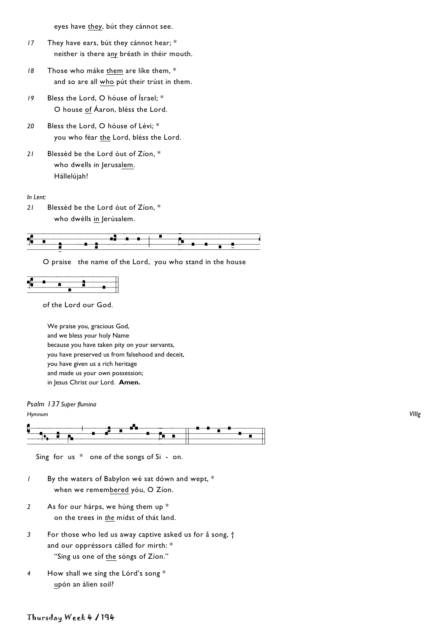eyes have they, bút they cánnot see.

- *17* They have ears, bút they cánnot hear; \* neither is there a*ny* bréath in théir mouth.
- *18* Those who máke them are líke them, \* and so are all who pút their trúst in them.
- *19* Bless the Lord, O hóuse of Ísrael; \* O house of Áaron, bléss the Lord.
- *20* Bless the Lord, O hóuse of Lévi; \* you who féar the Lord, bléss the Lord.
- *21* Blessèd be the Lord óut of Zíon, \* who dwells in Jerusalem. Hállelújah!

#### *In Lent:*

*21* Blessèd be the Lord óut of Zíon, \* who dwélls in Jerúsalem.



O praise the name of the Lord, you who stand in the house

of the Lord our God.

We praise you, gracious God, and we bless your holy Name because you have taken pity on your servants, you have preserved us from falsehood and deceit, you have given us a rich heritage and made us your own possession; in Jesus Christ our Lord. **Amen.**

*Psalm 137 Super flumina*

*Hymnum VIIIg*



Sing for us \* one of the songs of Si - on.

- *1* By the waters of Babylon wé sat dówn and wept, \* when we remembered yóu, O Zíon.
- *2* As for our hárps, we húng them up \* on the trees in *the* mídst of thát land.
- *3* For those who led us away captive asked us for â song, † and our oppréssors cálled for mirth: \* "Sing us one of the sóngs of Zíon."
- *4* How shall we síng the Lórd's song \* upón an álien soil?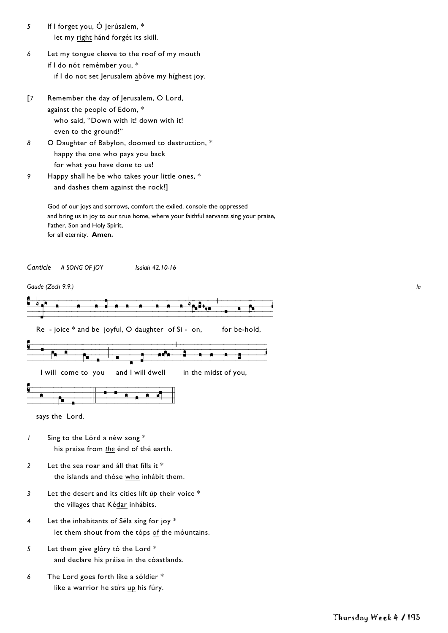- *5* If I forget you, Ó Jerúsalem, \* let my right hánd forgét its skill.
- *6* Let my tongue cleave to the roof of my mouth if I do nót remémber you, \* if I do not set Jerusalem abóve my híghest joy.
- [*7* Remember the day of Jerusalem, O Lord, against the people of Edom, \* who said, "Down with it! down with it! even to the ground!"
- *8* O Daughter of Babylon, doomed to destruction, \* happy the one who pays you back for what you have done to us!
- *9* Happy shall he be who takes your little ones, \* and dashes them against the rock!]

God of our joys and sorrows, comfort the exiled, console the oppressed and bring us in joy to our true home, where your faithful servants sing your praise, Father, Son and Holy Spirit, for all eternity. **Amen.**

*Canticle A SONG OF JOY Isaiah 42.10-16*

*Gaude (Zech 9.9.) Ia*



says the Lord.

- *1* Sing to the Lórd a néw song \* his praise from *the* énd of thé earth.
- *2* Let the sea roar and áll that fílls it \* the islands and thóse who inhábit them.
- *3* Let the desert and its cities líft *úp* their voice \* the villages that Kédar inhábits.
- *4* Let the inhabitants of Séla síng for joy \* let them shout from the tóps of the móuntains.
- *5* Let them give glóry tó the Lord \* and declare his práise in the cóastlands.
- *6* The Lord goes forth líke a sóldier \* like a warrior he stírs up his fúry.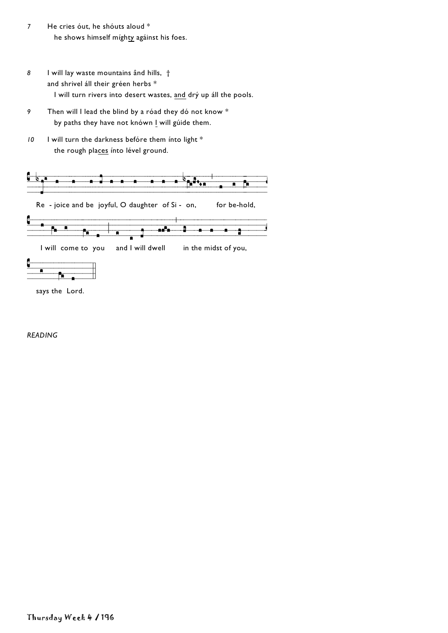- *7* He cries óut, he shóuts aloud \* he shows himself míghty agáinst his foes.
- *8* I will lay waste mountains ând hills, † and shrivel áll their gréen herbs \* I will turn rivers into desert wastes, and drý up áll the pools.
- *9* Then will I lead the blind by a róad they dó not know \* by paths they have not knówn I will gúide them.
- *10* I will turn the darkness befóre them ínto light \* the rough places into lével ground.



says the Lord.

#### *READING*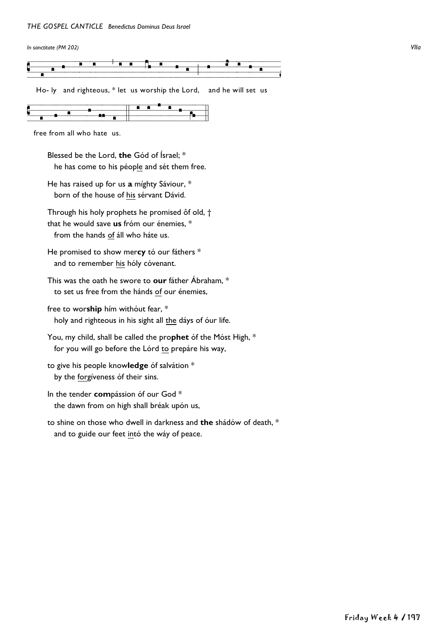#### *THE GOSPEL CANTICLE Benedictus Dominus Deus Israel*

*In sanctitate (PM 202) VIIa*



Ho- ly and righteous, \* let us worship the Lord, and he will set us



free from all who hate us.

Blessed be the Lord, **the** Gód of Ísrael; \* he has come to his péople and sét them free.

He has raised up for us **a** míghty Sáviour, \* born of the house of his sérvant Dávid.

Through his holy prophets he promised ôf old, † that he would save **us** fróm our énemies, \* from the hands of áll who háte us.

He promised to show mer**cy** tó our fáthers \* and to remember his hóly cóvenant.

This was the oath he swore to **our** fáther Ábraham, \* to set us free from the hánds of our énemies,

free to wor**ship** hím withóut fear, \* holy and righteous in his sight all the dáys of óur life.

You, my child, shall be called the pro**phet** óf the Móst High, \* for you will go before the Lórd to prepáre his way,

to give his people know**ledge** óf salvátion \* by the forgíveness óf their sins.

In the tender **com**pássion óf our God \* the dawn from on high shall bréak upón us,

to shine on those who dwell in darkness and **the** shádów of death, \* and to guide our feet intó the wáy of peace.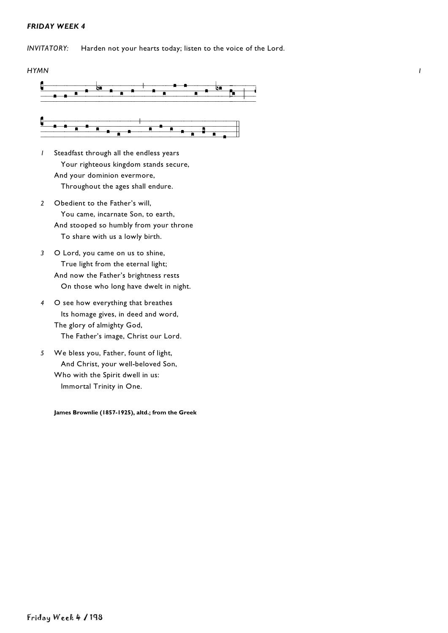#### *FRIDAY WEEK 4*

*INVITATORY:* Harden not your hearts today; listen to the voice of the Lord.



- *1* Steadfast through all the endless years Your righteous kingdom stands secure, And your dominion evermore, Throughout the ages shall endure.
- *2* Obedient to the Father's will, You came, incarnate Son, to earth, And stooped so humbly from your throne To share with us a lowly birth.
- *3* O Lord, you came on us to shine, True light from the eternal light; And now the Father's brightness rests On those who long have dwelt in night.
- *4* O see how everything that breathes Its homage gives, in deed and word, The glory of almighty God, The Father's image, Christ our Lord.
- *5* We bless you, Father, fount of light, And Christ, your well-beloved Son, Who with the Spirit dwell in us: Immortal Trinity in One.

**James Brownlie (1857-1925), altd.; from the Greek**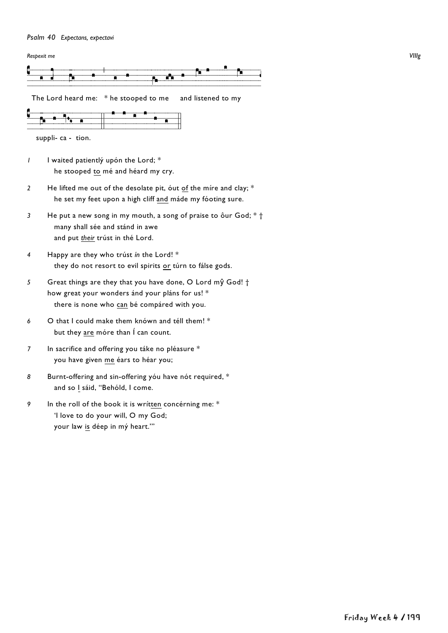#### Psalm 40 Expectans, expectavi

Respexit me  $\mathbf{r}$ The Lord heard me: \* he stooped to me and listened to my suppli-ca - tion.  $\overline{1}$ I waited patientlý upón the Lord; \* he stooped to mé and héard my cry. He lifted me out of the desolate pit, out of the mire and clay; \*  $\overline{2}$ he set my feet upon a high cliff and máde my fóoting sure. He put a new song in my mouth, a song of praise to ôur God;  $*$   $\dagger$  $\mathfrak{Z}$ many shall sée and stánd in awe and put their trúst in thé Lord. Happy are they who trúst ín the Lord! \*  $\overline{4}$ they do not resort to evil spirits or túrn to fálse gods. 5 Great things are they that you have done, O Lord mŷ God! + how great your wonders and your plans for us! \* there is none who can bé compáred with you.  $\boldsymbol{6}$ O that I could make them knówn and téll them! \* but they are more than I can count.  $\overline{7}$ In sacrifice and offering you táke no pléasure \* you have given me éars to héar you; Burnt-offering and sin-offering you have not required, \* 8 and so I sáid, "Behóld, I come. In the roll of the book it is written concerning me: \* 9 'I love to do your will, O my God; your law is déep in mý heart."

VIIIg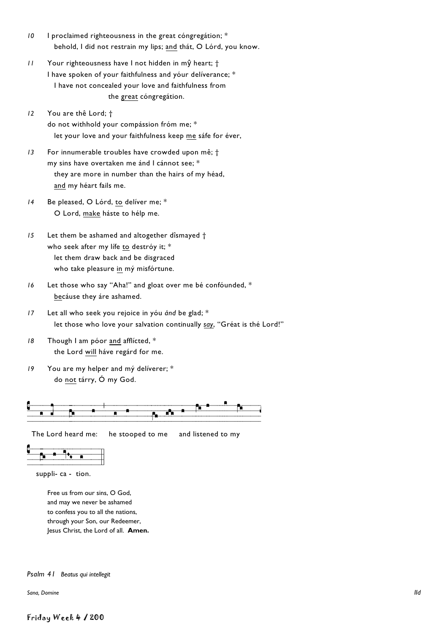- *10* I proclaimed righteousness in the great cóngregátion; \* behold, I did not restrain my lips; and thát, O Lórd, you know.
- *11* Your righteousness have I not hidden in mŷ heart; † I have spoken of your faithfulness and yóur delíverance; \* I have not concealed your love and faithfulness from the great cóngregátion.
- *12* You are thê Lord; † do not withhold your compássion fróm me; \* let your love and your faithfulness keep me sáfe for éver,
- *13* For innumerable troubles have crowded upon mê; † my sins have overtaken me ánd I cánnot see; \* they are more in number than the hairs of my héad, and my héart fails me.
- *14* Be pleased, O Lórd, to delíver me; \* O Lord, make háste to hélp me.
- *15* Let them be ashamed and altogether dîsmayed † who seek after my lífe to destróy it; \* let them draw back and be disgraced who take pleasure in mý misfórtune.
- *16* Let those who say "Aha!" and gloat over me bé confóunded, \* becáuse they áre ashamed.
- *17* Let all who seek you rejoice in yóu *ánd* be glad; \* let those who love your salvation continually *say*, "Gréat is thé Lord!"
- *18* Though I am póor and afflícted, \* the Lord will háve regárd for me.
- *19* You are my helper and mý delíverer; \* do not tárry, Ó my God.



The Lord heard me: he stooped to me and listened to my



suppli- ca - tion.

Free us from our sins, O God, and may we never be ashamed to confess you to all the nations, through your Son, our Redeemer, Jesus Christ, the Lord of all. **Amen.**

#### *Psalm 41 Beatus qui intellegit*

*Sana, Domine IId*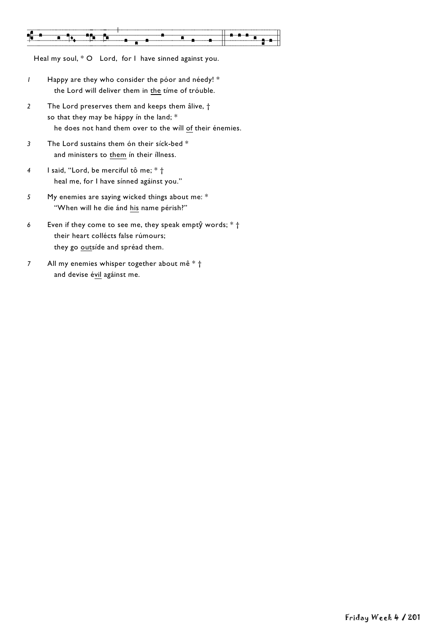

Heal my soul, \* O Lord, for I have sinned against you.

- Happy are they who consider the póor and néedy! \*  $\overline{I}$ the Lord will deliver them in the time of trouble.
- The Lord preserves them and keeps them âlive, †  $\overline{z}$ so that they may be háppy in the land; \* he does not hand them over to the will of their énemies.
- The Lord sustains them ón their síck-bed \*  $\overline{3}$ and ministers to them in their illness.
- I said, "Lord, be merciful tô me; \* +  $\overline{\mathcal{A}}$ heal me, for I have sínned agáinst you."
- $\sqrt{5}$ My enemies are saying wicked things about me: \* "When will he die ánd his name pérish?"
- Even if they come to see me, they speak empt $\hat{y}$  words;  $*$   $\dagger$  $\pmb{6}$ their heart collécts false rúmours; they go outsíde and spréad them.
- All my enemies whisper together about mê \* +  $\overline{7}$ and devise évil agáinst me.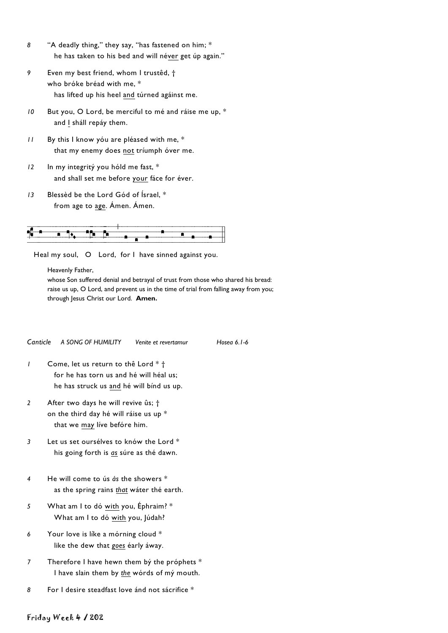- "A deadly thing," they say, "has fastened on him; \* 8 he has taken to his bed and will néver get úp again."
- Even my best friend, whom I trustêd, t  $\mathcal{Q}$ who bróke bréad with me, \* has lifted up his heel and túrned agáinst me.
- But you, O Lord, be merciful to mé and ráise me up, \*  $10$ and I sháll repáy them.
- By this I know yóu are pléased with me, \*  $\overline{11}$ that my enemy does not tríumph óver me.
- In my integritý you hóld me fast, \*  $12$ and shall set me before your fáce for éver.
- $13$ Blessèd be the Lord Gód of Ísrael, \* from age to age. Amen. Amen.

A SONG OF HUMILITY



Heal my soul, O Lord, for I have sinned against you.

Heavenly Father,

Canticle

whose Son suffered denial and betrayal of trust from those who shared his bread: raise us up, O Lord, and prevent us in the time of trial from falling away from you; through Jesus Christ our Lord. Amen.

Venite et revertamur

Hosea 6.1-6

| Come, let us return to thê Lord $*$ $\dagger$ |
|-----------------------------------------------|
| for he has torn us and hé will héal us;       |
| he has struck us and hé will bínd us up.      |
| After two days he will revive ûs; †           |
| on the third day hé will ráise us up *        |
| that we may live before him.                  |
| Let us set oursélves to knów the Lord *       |

- his going forth is as súre as thé dawn.
- He will come to ús ás the showers \*  $\overline{4}$ as the spring rains that water the earth.
- What am I to dó with you, Éphraim? \*  $\sqrt{5}$ What am I to dó with you, Júdah?
- Your love is líke a mórning cloud \* 6 like the dew that goes éarly áway.
- Therefore I have hewn them by the prophets \*  $\overline{7}$ I have slain them by the wórds of mý mouth.
- For I desire steadfast love ánd not sácrifice \* 8

## Friday Week 4 / 202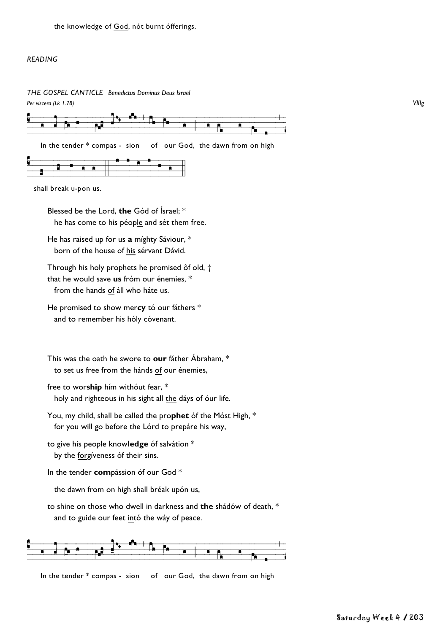#### **READING**

#### THE GOSPEL CANTICLE Benedictus Dominus Deus Israel Per viscera (Lk 1.78)



In the tender  $*$  compas - sion of our God, the dawn from on high



shall break u-pon us.

Blessed be the Lord. the Gód of Ísrael: \* he has come to his péople and sét them free.

He has raised up for us a míghty Sáviour, \* born of the house of his sérvant Dávid.

Through his holy prophets he promised ôf old, t that he would save us fróm our énemies, \* from the hands of all who hate us.

He promised to show mercy tó our fáthers \* and to remember his hóly cóvenant.

This was the oath he swore to our father Abraham, \* to set us free from the hánds of our énemies,

free to worship him without fear, \* holy and righteous in his sight all the dáys of óur life.

You, my child, shall be called the prophet of the Most High, \* for you will go before the Lórd to prepáre his way,

to give his people knowledge óf salvátion \* by the forgiveness of their sins.

In the tender compássion óf our God \*

the dawn from on high shall bréak upón us,

to shine on those who dwell in darkness and the shádów of death, \* and to guide our feet intó the wáy of peace.



In the tender \* compas - sion of our God, the dawn from on high VIIIg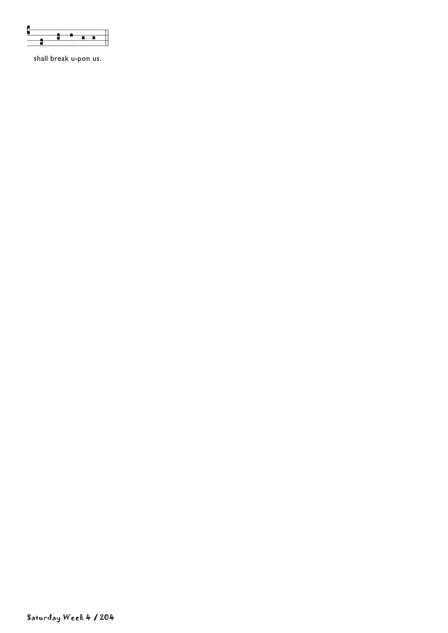

shall break u-pon us.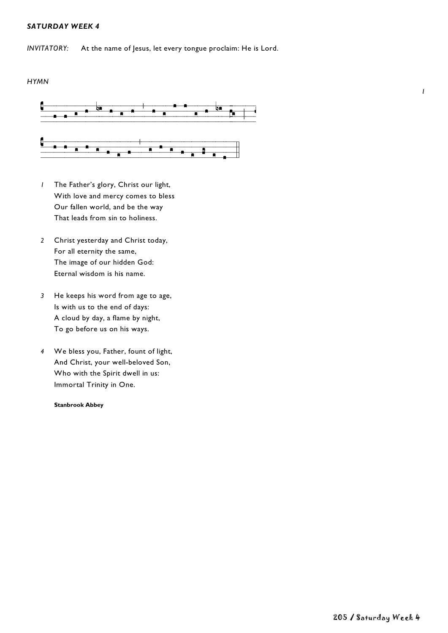#### *SATURDAY WEEK 4*

*INVITATORY:* At the name of Jesus, let every tongue proclaim: He is Lord.

### *HYMN*



- *1* The Father's glory, Christ our light, With love and mercy comes to bless Our fallen world, and be the way That leads from sin to holiness.
- *2* Christ yesterday and Christ today, For all eternity the same, The image of our hidden God: Eternal wisdom is his name.
- *3* He keeps his word from age to age, Is with us to the end of days: A cloud by day, a flame by night, To go before us on his ways.
- *4* We bless you, Father, fount of light, And Christ, your well-beloved Son, Who with the Spirit dwell in us: Immortal Trinity in One.

**Stanbrook Abbey**

*I*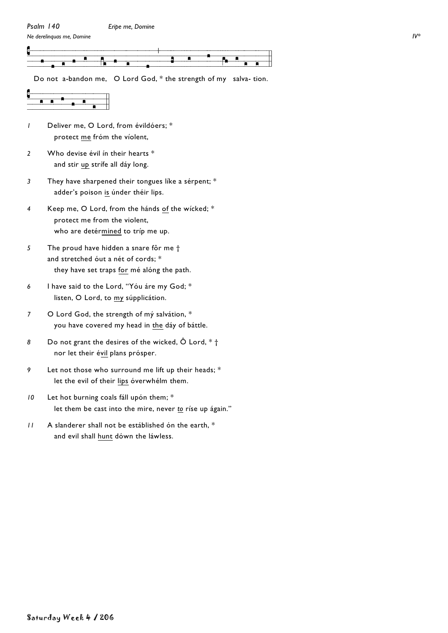

Do not a-bandon me, O Lord God, \* the strength of my salva-tion.



- Deliver me, O Lord, from évildóers; \*  $\overline{1}$ protect me fróm the víolent,
- Who devise évil ín their hearts \*  $\overline{2}$ and stir up strífe all dáy long.
- They have sharpened their tongues like a sérpent; \*  $\mathfrak{Z}$ adder's poison is únder théir lips.
- Keep me, O Lord, from the hánds of the wicked; \*  $\overline{4}$ protect me from the violent, who are detérmined to tríp me up.
- 5 The proud have hidden a snare fôr me t and stretched out a nét of cords; \* they have set traps for mé alóng the path.
- I have said to the Lord, "You are my God; \*  $\pmb{6}$ listen, O Lord, to my súpplicátion.
- O Lord God, the strength of mý salvátion, \*  $\overline{7}$ you have covered my head in the dáy of báttle.
- Do not grant the desires of the wicked,  $\hat{O}$  Lord,  $*$   $\dagger$ 8 nor let their évil plans prósper.
- Let not those who surround me lift up their heads; \* 9 let the evil of their lips óverwhélm them.
- $10$ Let hot burning coals fáll upón them; \* let them be cast into the mire, never to ríse up ágain."
- $\frac{1}{2}$ A slanderer shall not be estáblished ón the earth, \* and evil shall hunt dówn the láwless.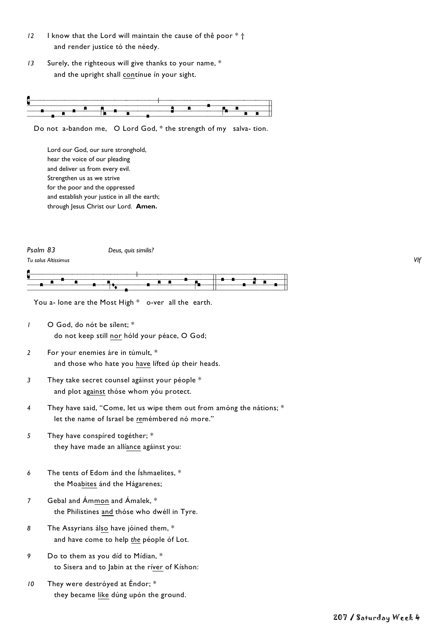- $12$ I know that the Lord will maintain the cause of the poor \* + and render justice tó the néedy.
- Surely, the righteous will give thanks to your name, \*  $13$ and the upright shall continue in your sight.



Do not a-bandon me, O Lord God, \* the strength of my salva-tion.

Lord our God, our sure stronghold, hear the voice of our pleading and deliver us from every evil. Strengthen us as we strive for the poor and the oppressed and establish your justice in all the earth; through Jesus Christ our Lord. Amen.

#### Psalm 83 Deus, quis similis?

Tu solus Altissimus

You a- lone are the Most High \* o-ver all the earth.

- O God, do nót be sílent; \*  $\overline{1}$ do not keep still nor hóld your péace, O God;
- For your enemies áre in túmult, \*  $\overline{2}$ and those who hate you have lifted up their heads.
- They take secret counsel agáinst your péople \* 3 and plot against thóse whom yóu protect.
- They have said, "Come, let us wipe them out from amóng the nátions; \*  $\overline{4}$ let the name of Israel be remémbered nó more."
- They have conspired together; \* 5 they have made an allíance agáinst you:
- The tents of Edom and the Ishmaelites, \* 6 the Moabites ánd the Hágarenes;
- Gebal and Ámmon and Ámalek, \*  $\overline{7}$ the Philistines and thóse who dwéll in Tyre.
- The Assyrians álso have jóined them, \* 8 and have come to help the péople óf Lot.
- Do to them as you díd to Mídian, \* 9 to Sisera and to Jabin at the river of Kishon:
- They were destróyed at Éndor; \*  $10$ they became like dúng upón the ground.

VIf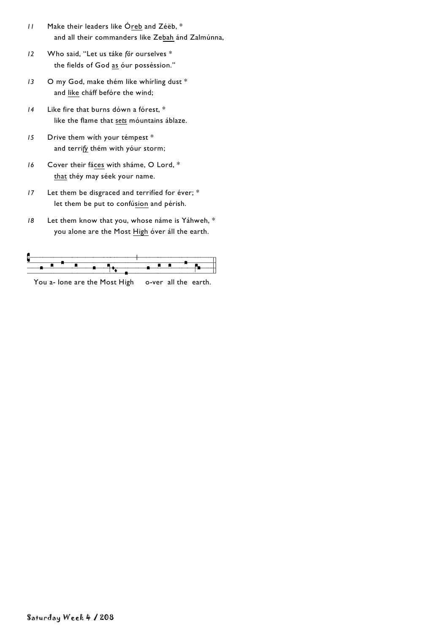- Make their leaders like Óreb and Zéëb, \*  $\frac{1}{2}$ and all their commanders like Zebah and Zalmunna,
- $12$ Who said, "Let us táke fór ourselves \* the fields of God as our possession."
- O my God, make thém like whírling dust \*  $13$ and like cháff befóre the wind;
- $\sqrt{4}$ Like fire that burns dówn a fórest, \* like the flame that sets móuntains áblaze.
- Drive them with your témpest \*  $15$ and terrify thém with yóur storm;
- Cover their fáces with sháme, O Lord, \*  $16$ that théy may séek your name.
- $17$ Let them be disgraced and terrified for éver; \* let them be put to confúsion and pérish.
- $18$ Let them know that you, whose náme is Yáhweh, \* you alone are the Most High óver áll the earth.



You a- lone are the Most High o-ver all the earth.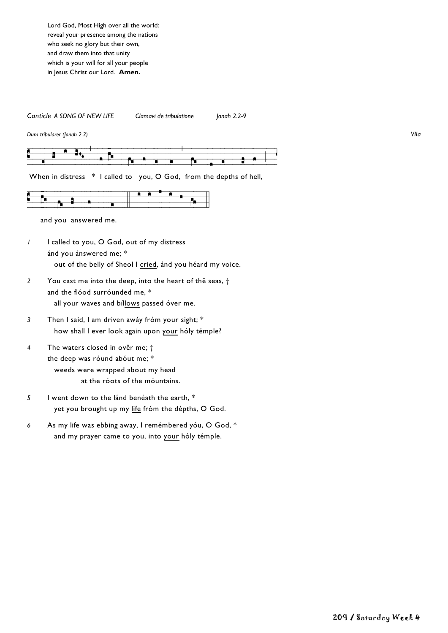Lord God, Most High over all the world: reveal your presence among the nations who seek no glory but their own, and draw them into that unity which is your will for all your people in Jesus Christ our Lord. **Amen.**



*Dum tribularer (Jonah 2.2) VIIa*



When in distress  $*$  I called to you, O God, from the depths of hell,



and you answered me.

- *1* I called to you, O God, out of my distress ánd you ánswered me; \* out of the belly of Sheol I cried, and you heard my voice.
- *2* You cast me into the deep, into the heart of thê seas, † and the flóod surróunded me, \* all your waves and bíllows passed óver me.
- *3* Then I said, I am driven awáy fróm your sight; \* how shall I ever look again upon your hóly témple?
- *4* The waters closed in ovêr me; † the deep was róund abóut me; \* weeds were wrapped about my head at the róots of the móuntains.
- *5* I went down to the lánd benéath the earth, \* yet you brought up my life fróm the dépths, O God.
- *6* As my life was ebbing away, I remémbered yóu, O God, \* and my prayer came to you, into your hóly témple.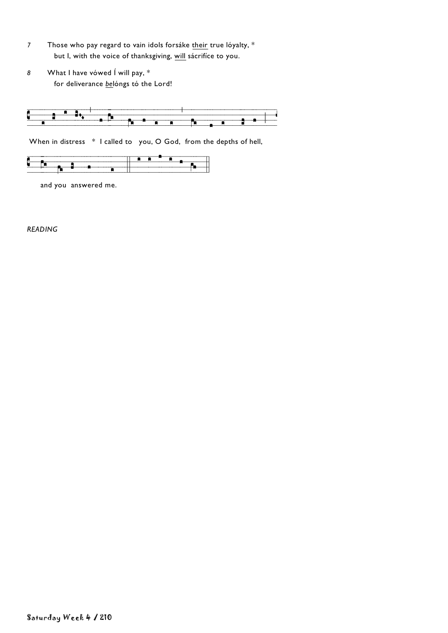- *7* Those who pay regard to vain idols forsáke their true lóyalty, \* but I, with the voice of thanksgiving, will sácrifíce to you.
- *8* What I have vówed Í will pay, \* for deliverance *be*lóngs tó the Lord!



When in distress \* I called to you, O God, from the depths of hell,



and you answered me.

*READING*